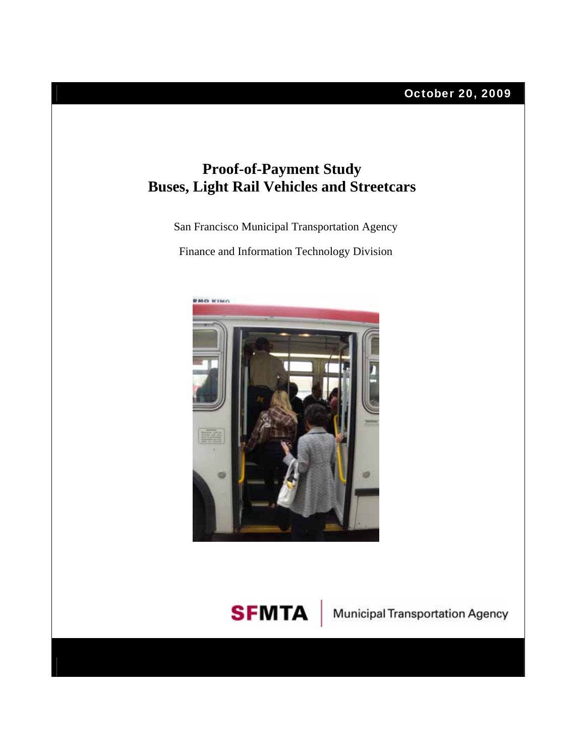

## **Proof-of-Payment Study Buses, Light Rail Vehicles and Streetcars**

San Francisco Municipal Transportation Agency

Finance and Information Technology Division





**SFMTA** Municipal Transportation Agency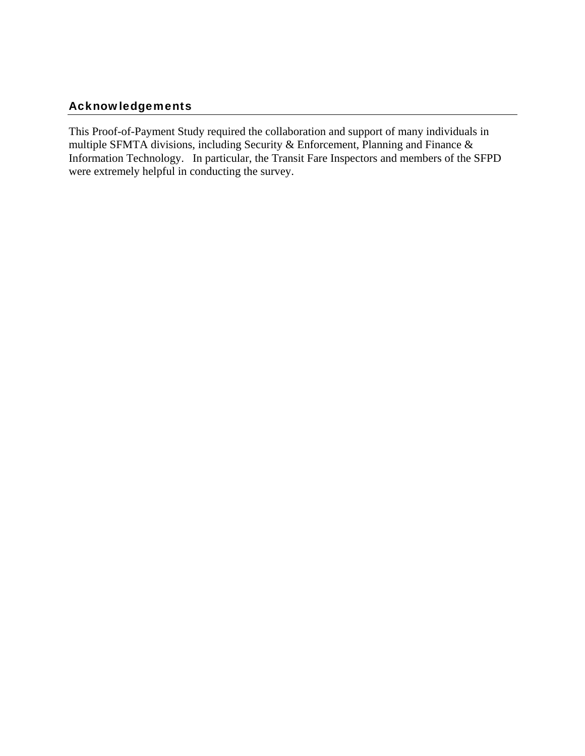## Acknowledgements

This Proof-of-Payment Study required the collaboration and support of many individuals in multiple SFMTA divisions, including Security & Enforcement, Planning and Finance & Information Technology. In particular, the Transit Fare Inspectors and members of the SFPD were extremely helpful in conducting the survey.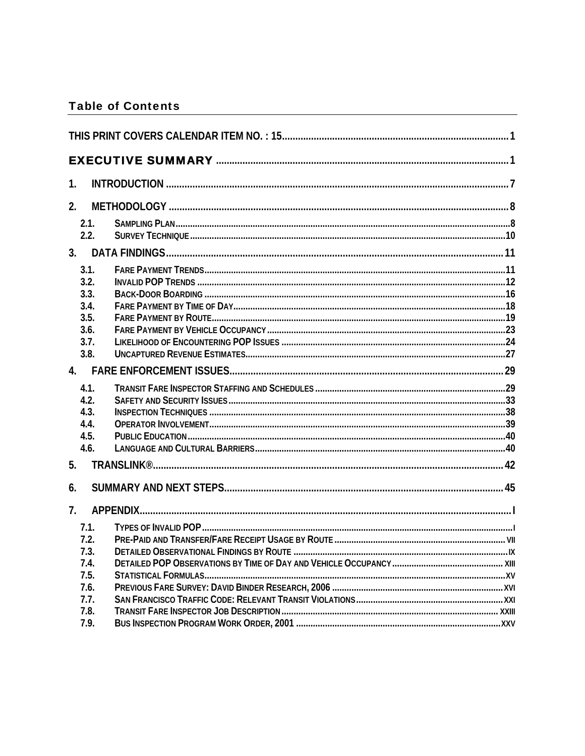## **Table of Contents**

| 1.                                                           |  |
|--------------------------------------------------------------|--|
| 2.                                                           |  |
| 2.1.<br>2.2.                                                 |  |
| 3.                                                           |  |
| 3.1.<br>3.2.<br>3.3.<br>3.4.<br>3.5.<br>3.6.<br>3.7.<br>3.8. |  |
| 4.                                                           |  |
| 4.1.<br>4.2.<br>4.3.<br>4.4.<br>4.5.<br>4.6.                 |  |
| 5.                                                           |  |
| 6.                                                           |  |
| 7 <sub>1</sub><br>7.1.                                       |  |
| 7.2.<br>7.3.<br>7.4.<br>7.5.                                 |  |
| 7.6.<br>7.7.<br>7.8.                                         |  |
| 7.9.                                                         |  |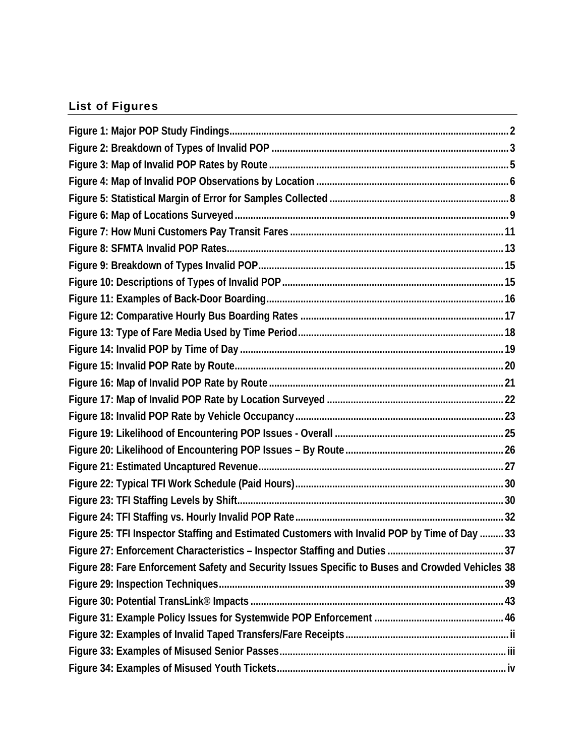## List of Figures

| Figure 25: TFI Inspector Staffing and Estimated Customers with Invalid POP by Time of Day  33    |  |
|--------------------------------------------------------------------------------------------------|--|
|                                                                                                  |  |
| Figure 28: Fare Enforcement Safety and Security Issues Specific to Buses and Crowded Vehicles 38 |  |
|                                                                                                  |  |
|                                                                                                  |  |
|                                                                                                  |  |
|                                                                                                  |  |
|                                                                                                  |  |
|                                                                                                  |  |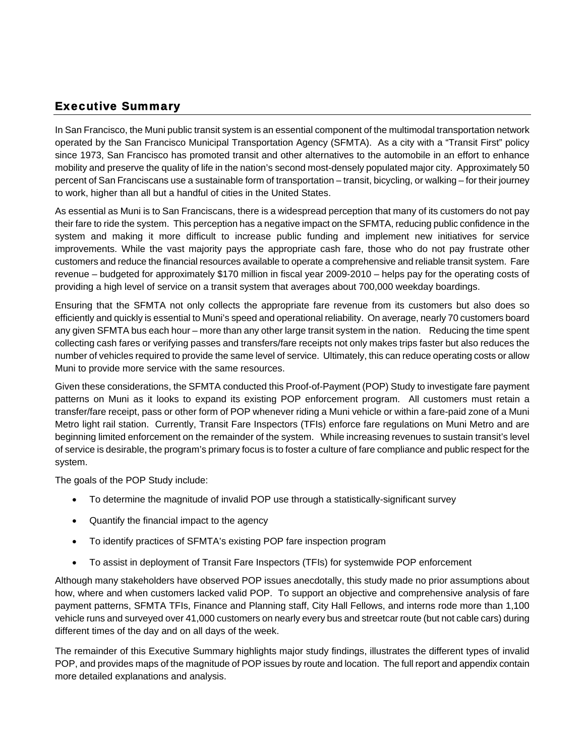## <span id="page-5-0"></span>Executive Summary

In San Francisco, the Muni public transit system is an essential component of the multimodal transportation network operated by the San Francisco Municipal Transportation Agency (SFMTA). As a city with a "Transit First" policy since 1973, San Francisco has promoted transit and other alternatives to the automobile in an effort to enhance mobility and preserve the quality of life in the nation's second most-densely populated major city. Approximately 50 percent of San Franciscans use a sustainable form of transportation – transit, bicycling, or walking – for their journey to work, higher than all but a handful of cities in the United States.

As essential as Muni is to San Franciscans, there is a widespread perception that many of its customers do not pay their fare to ride the system. This perception has a negative impact on the SFMTA, reducing public confidence in the system and making it more difficult to increase public funding and implement new initiatives for service improvements. While the vast majority pays the appropriate cash fare, those who do not pay frustrate other customers and reduce the financial resources available to operate a comprehensive and reliable transit system. Fare revenue – budgeted for approximately \$170 million in fiscal year 2009-2010 – helps pay for the operating costs of providing a high level of service on a transit system that averages about 700,000 weekday boardings.

Ensuring that the SFMTA not only collects the appropriate fare revenue from its customers but also does so efficiently and quickly is essential to Muni's speed and operational reliability. On average, nearly 70 customers board any given SFMTA bus each hour – more than any other large transit system in the nation. Reducing the time spent collecting cash fares or verifying passes and transfers/fare receipts not only makes trips faster but also reduces the number of vehicles required to provide the same level of service. Ultimately, this can reduce operating costs or allow Muni to provide more service with the same resources.

Given these considerations, the SFMTA conducted this Proof-of-Payment (POP) Study to investigate fare payment patterns on Muni as it looks to expand its existing POP enforcement program. All customers must retain a transfer/fare receipt, pass or other form of POP whenever riding a Muni vehicle or within a fare-paid zone of a Muni Metro light rail station. Currently, Transit Fare Inspectors (TFIs) enforce fare regulations on Muni Metro and are beginning limited enforcement on the remainder of the system. While increasing revenues to sustain transit's level of service is desirable, the program's primary focus is to foster a culture of fare compliance and public respect for the system.

The goals of the POP Study include:

- To determine the magnitude of invalid POP use through a statistically-significant survey
- Quantify the financial impact to the agency
- To identify practices of SFMTA's existing POP fare inspection program
- To assist in deployment of Transit Fare Inspectors (TFIs) for systemwide POP enforcement

Although many stakeholders have observed POP issues anecdotally, this study made no prior assumptions about how, where and when customers lacked valid POP. To support an objective and comprehensive analysis of fare payment patterns, SFMTA TFIs, Finance and Planning staff, City Hall Fellows, and interns rode more than 1,100 vehicle runs and surveyed over 41,000 customers on nearly every bus and streetcar route (but not cable cars) during different times of the day and on all days of the week.

The remainder of this Executive Summary highlights major study findings, illustrates the different types of invalid POP, and provides maps of the magnitude of POP issues by route and location. The full report and appendix contain more detailed explanations and analysis.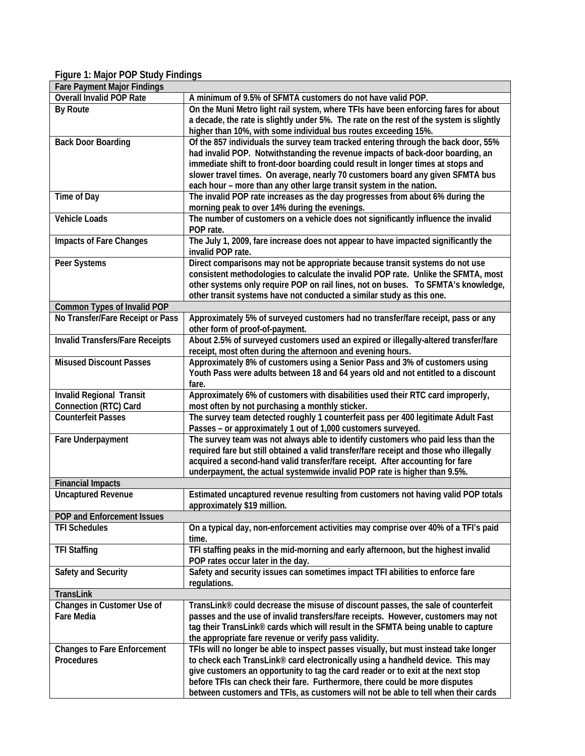## <span id="page-6-0"></span>**Figure 1: Major POP Study Findings**

| <b>Fare Payment Major Findings</b>     |                                                                                         |
|----------------------------------------|-----------------------------------------------------------------------------------------|
| Overall Invalid POP Rate               | A minimum of 9.5% of SFMTA customers do not have valid POP.                             |
| By Route                               | On the Muni Metro light rail system, where TFIs have been enforcing fares for about     |
|                                        | a decade, the rate is slightly under 5%. The rate on the rest of the system is slightly |
|                                        | higher than 10%, with some individual bus routes exceeding 15%.                         |
| <b>Back Door Boarding</b>              | Of the 857 individuals the survey team tracked entering through the back door, 55%      |
|                                        | had invalid POP. Notwithstanding the revenue impacts of back-door boarding, an          |
|                                        | immediate shift to front-door boarding could result in longer times at stops and        |
|                                        | slower travel times. On average, nearly 70 customers board any given SFMTA bus          |
|                                        |                                                                                         |
|                                        | each hour - more than any other large transit system in the nation.                     |
| Time of Day                            | The invalid POP rate increases as the day progresses from about 6% during the           |
|                                        | morning peak to over 14% during the evenings.                                           |
| <b>Vehicle Loads</b>                   | The number of customers on a vehicle does not significantly influence the invalid       |
|                                        | POP rate.                                                                               |
| <b>Impacts of Fare Changes</b>         | The July 1, 2009, fare increase does not appear to have impacted significantly the      |
|                                        | invalid POP rate.                                                                       |
| Peer Systems                           | Direct comparisons may not be appropriate because transit systems do not use            |
|                                        | consistent methodologies to calculate the invalid POP rate. Unlike the SFMTA, most      |
|                                        | other systems only require POP on rail lines, not on buses. To SFMTA's knowledge,       |
|                                        | other transit systems have not conducted a similar study as this one.                   |
| <b>Common Types of Invalid POP</b>     |                                                                                         |
| No Transfer/Fare Receipt or Pass       | Approximately 5% of surveyed customers had no transfer/fare receipt, pass or any        |
|                                        | other form of proof-of-payment.                                                         |
| <b>Invalid Transfers/Fare Receipts</b> | About 2.5% of surveyed customers used an expired or illegally-altered transfer/fare     |
|                                        |                                                                                         |
| <b>Misused Discount Passes</b>         | receipt, most often during the afternoon and evening hours.                             |
|                                        | Approximately 8% of customers using a Senior Pass and 3% of customers using             |
|                                        | Youth Pass were adults between 18 and 64 years old and not entitled to a discount       |
|                                        | fare.                                                                                   |
| <b>Invalid Regional Transit</b>        | Approximately 6% of customers with disabilities used their RTC card improperly,         |
| <b>Connection (RTC) Card</b>           | most often by not purchasing a monthly sticker.                                         |
| <b>Counterfeit Passes</b>              | The survey team detected roughly 1 counterfeit pass per 400 legitimate Adult Fast       |
|                                        | Passes - or approximately 1 out of 1,000 customers surveyed.                            |
| Fare Underpayment                      | The survey team was not always able to identify customers who paid less than the        |
|                                        | required fare but still obtained a valid transfer/fare receipt and those who illegally  |
|                                        | acquired a second-hand valid transfer/fare receipt. After accounting for fare           |
|                                        | underpayment, the actual systemwide invalid POP rate is higher than 9.5%.               |
| <b>Financial Impacts</b>               |                                                                                         |
| <b>Uncaptured Revenue</b>              | Estimated uncaptured revenue resulting from customers not having valid POP totals       |
|                                        | approximately \$19 million.                                                             |
| POP and Enforcement Issues             |                                                                                         |
| <b>TFI Schedules</b>                   | On a typical day, non-enforcement activities may comprise over 40% of a TFI's paid      |
|                                        | time.                                                                                   |
|                                        |                                                                                         |
| <b>TFI Staffing</b>                    | TFI staffing peaks in the mid-morning and early afternoon, but the highest invalid      |
|                                        | POP rates occur later in the day.                                                       |
| Safety and Security                    | Safety and security issues can sometimes impact TFI abilities to enforce fare           |
|                                        | regulations.                                                                            |
| <b>TransLink</b>                       |                                                                                         |
| Changes in Customer Use of             | TransLink® could decrease the misuse of discount passes, the sale of counterfeit        |
| Fare Media                             | passes and the use of invalid transfers/fare receipts. However, customers may not       |
|                                        | tag their TransLink® cards which will result in the SFMTA being unable to capture       |
|                                        | the appropriate fare revenue or verify pass validity.                                   |
| <b>Changes to Fare Enforcement</b>     | TFIs will no longer be able to inspect passes visually, but must instead take longer    |
| <b>Procedures</b>                      | to check each TransLink® card electronically using a handheld device. This may          |
|                                        | give customers an opportunity to tag the card reader or to exit at the next stop        |
|                                        | before TFIs can check their fare. Furthermore, there could be more disputes             |
|                                        | between customers and TFIs, as customers will not be able to tell when their cards      |
|                                        |                                                                                         |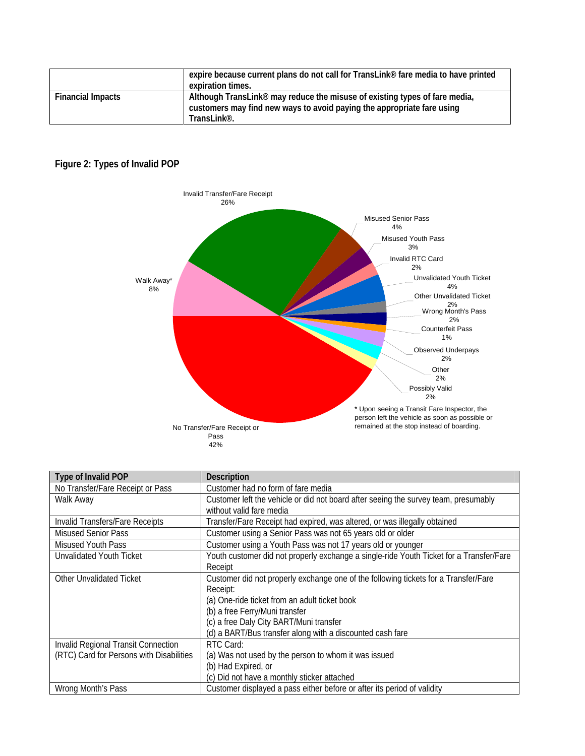|                          | expire because current plans do not call for TransLink® fare media to have printed<br>expiration times.                                                                                      |
|--------------------------|----------------------------------------------------------------------------------------------------------------------------------------------------------------------------------------------|
| <b>Financial Impacts</b> | Although TransLink <sup>®</sup> may reduce the misuse of existing types of fare media,<br>customers may find new ways to avoid paying the appropriate fare using<br>TransLink <sup>®</sup> . |

## <span id="page-7-0"></span>**Figure 2: Types of Invalid POP**



| Type of Invalid POP                                                             | <b>Description</b>                                                                                                                                                                                                                                                                         |
|---------------------------------------------------------------------------------|--------------------------------------------------------------------------------------------------------------------------------------------------------------------------------------------------------------------------------------------------------------------------------------------|
| No Transfer/Fare Receipt or Pass                                                | Customer had no form of fare media                                                                                                                                                                                                                                                         |
| Walk Away                                                                       | Customer left the vehicle or did not board after seeing the survey team, presumably<br>without valid fare media                                                                                                                                                                            |
| Invalid Transfers/Fare Receipts                                                 | Transfer/Fare Receipt had expired, was altered, or was illegally obtained                                                                                                                                                                                                                  |
| <b>Misused Senior Pass</b>                                                      | Customer using a Senior Pass was not 65 years old or older                                                                                                                                                                                                                                 |
| <b>Misused Youth Pass</b>                                                       | Customer using a Youth Pass was not 17 years old or younger                                                                                                                                                                                                                                |
| Unvalidated Youth Ticket                                                        | Youth customer did not properly exchange a single-ride Youth Ticket for a Transfer/Fare<br>Receipt                                                                                                                                                                                         |
| <b>Other Unvalidated Ticket</b>                                                 | Customer did not properly exchange one of the following tickets for a Transfer/Fare<br>Receipt:<br>(a) One-ride ticket from an adult ticket book<br>(b) a free Ferry/Muni transfer<br>(c) a free Daly City BART/Muni transfer<br>(d) a BART/Bus transfer along with a discounted cash fare |
| Invalid Regional Transit Connection<br>(RTC) Card for Persons with Disabilities | RTC Card:<br>(a) Was not used by the person to whom it was issued<br>(b) Had Expired, or<br>(c) Did not have a monthly sticker attached                                                                                                                                                    |
| Wrong Month's Pass                                                              | Customer displayed a pass either before or after its period of validity                                                                                                                                                                                                                    |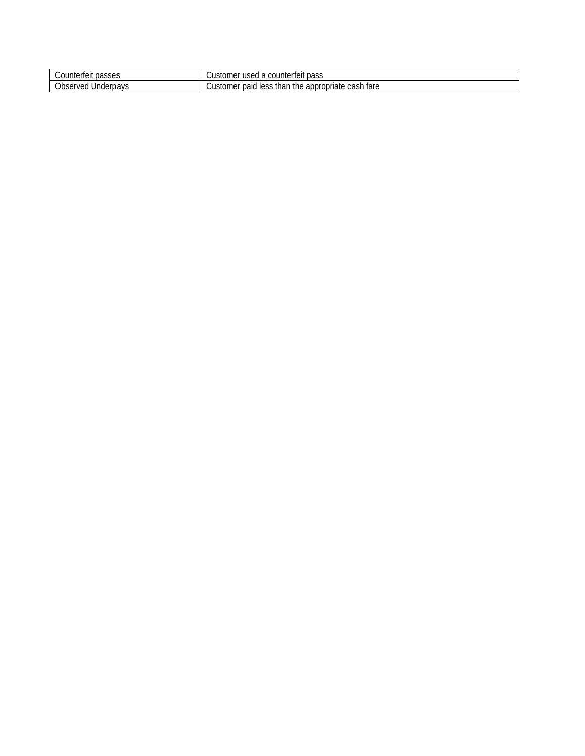| Counterfeit passes                    | counterfeit pass<br>Customer<br>1921<br>◢                                                 |
|---------------------------------------|-------------------------------------------------------------------------------------------|
| <b>Observed</b><br>Underpays<br>.cu : | 0.00h<br>thon<br>ı fare<br>appropriate<br>less<br>Customer<br>the<br>paid<br>inar<br>cash |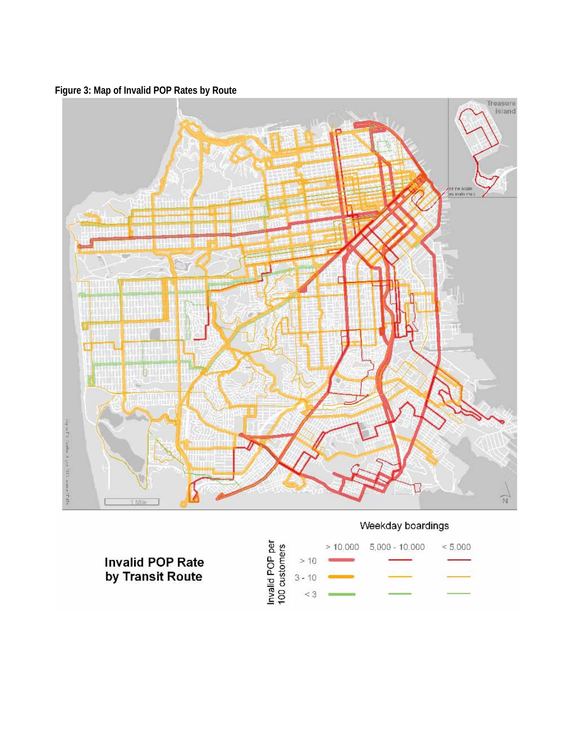<span id="page-9-0"></span>



## Weekday boardings

**Invalid POP Rate** by Transit Route

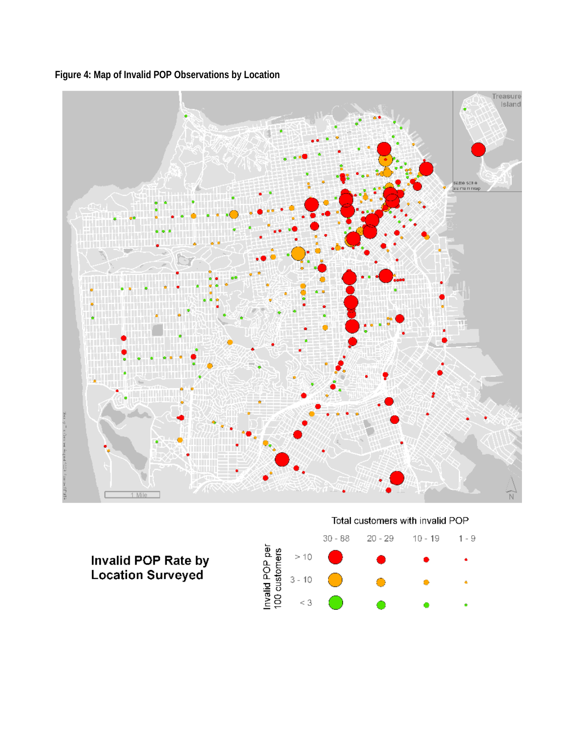<span id="page-10-0"></span>**Figure 4: Map of Invalid POP Observations by Location** 



# **Invalid POP Rate by**<br>Location Surveyed



Total customers with invalid POP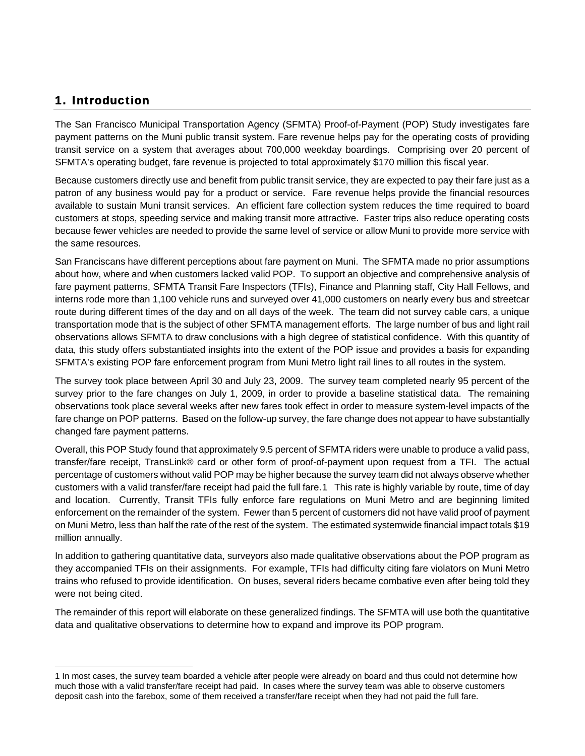## <span id="page-11-0"></span>1. Introduction

 $\overline{a}$ 

The San Francisco Municipal Transportation Agency (SFMTA) Proof-of-Payment (POP) Study investigates fare payment patterns on the Muni public transit system. Fare revenue helps pay for the operating costs of providing transit service on a system that averages about 700,000 weekday boardings. Comprising over 20 percent of SFMTA's operating budget, fare revenue is projected to total approximately \$170 million this fiscal year.

Because customers directly use and benefit from public transit service, they are expected to pay their fare just as a patron of any business would pay for a product or service. Fare revenue helps provide the financial resources available to sustain Muni transit services. An efficient fare collection system reduces the time required to board customers at stops, speeding service and making transit more attractive. Faster trips also reduce operating costs because fewer vehicles are needed to provide the same level of service or allow Muni to provide more service with the same resources.

San Franciscans have different perceptions about fare payment on Muni. The SFMTA made no prior assumptions about how, where and when customers lacked valid POP. To support an objective and comprehensive analysis of fare payment patterns, SFMTA Transit Fare Inspectors (TFIs), Finance and Planning staff, City Hall Fellows, and interns rode more than 1,100 vehicle runs and surveyed over 41,000 customers on nearly every bus and streetcar route during different times of the day and on all days of the week. The team did not survey cable cars, a unique transportation mode that is the subject of other SFMTA management efforts. The large number of bus and light rail observations allows SFMTA to draw conclusions with a high degree of statistical confidence. With this quantity of data, this study offers substantiated insights into the extent of the POP issue and provides a basis for expanding SFMTA's existing POP fare enforcement program from Muni Metro light rail lines to all routes in the system.

The survey took place between April 30 and July 23, 2009. The survey team completed nearly 95 percent of the survey prior to the fare changes on July 1, 2009, in order to provide a baseline statistical data. The remaining observations took place several weeks after new fares took effect in order to measure system-level impacts of the fare change on POP patterns. Based on the follow-up survey, the fare change does not appear to have substantially changed fare payment patterns.

Overall, this POP Study found that approximately 9.5 percent of SFMTA riders were unable to produce a valid pass, transfer/fare receipt, TransLink® card or other form of proof-of-payment upon request from a TFI. The actual percentage of customers without valid POP may be higher because the survey team did not always observe whether customers with a valid transfer/fare receipt had paid the full fare.[1](#page-11-1) This rate is highly variable by route, time of day and location. Currently, Transit TFIs fully enforce fare regulations on Muni Metro and are beginning limited enforcement on the remainder of the system. Fewer than 5 percent of customers did not have valid proof of payment on Muni Metro, less than half the rate of the rest of the system. The estimated systemwide financial impact totals \$19 million annually.

In addition to gathering quantitative data, surveyors also made qualitative observations about the POP program as they accompanied TFIs on their assignments. For example, TFIs had difficulty citing fare violators on Muni Metro trains who refused to provide identification. On buses, several riders became combative even after being told they were not being cited.

The remainder of this report will elaborate on these generalized findings. The SFMTA will use both the quantitative data and qualitative observations to determine how to expand and improve its POP program.

<span id="page-11-1"></span><sup>1</sup> In most cases, the survey team boarded a vehicle after people were already on board and thus could not determine how much those with a valid transfer/fare receipt had paid. In cases where the survey team was able to observe customers deposit cash into the farebox, some of them received a transfer/fare receipt when they had not paid the full fare.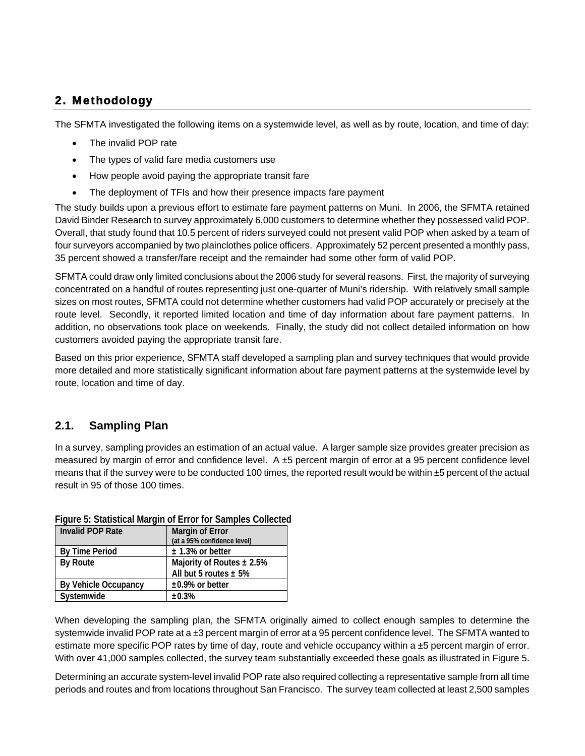## <span id="page-12-0"></span>2. Methodology

The SFMTA investigated the following items on a systemwide level, as well as by route, location, and time of day:

- The invalid POP rate
- The types of valid fare media customers use
- How people avoid paying the appropriate transit fare
- The deployment of TFIs and how their presence impacts fare payment

The study builds upon a previous effort to estimate fare payment patterns on Muni. In 2006, the SFMTA retained David Binder Research to survey approximately 6,000 customers to determine whether they possessed valid POP. Overall, that study found that 10.5 percent of riders surveyed could not present valid POP when asked by a team of four surveyors accompanied by two plainclothes police officers. Approximately 52 percent presented a monthly pass, 35 percent showed a transfer/fare receipt and the remainder had some other form of valid POP.

SFMTA could draw only limited conclusions about the 2006 study for several reasons. First, the majority of surveying concentrated on a handful of routes representing just one-quarter of Muni's ridership. With relatively small sample sizes on most routes, SFMTA could not determine whether customers had valid POP accurately or precisely at the route level. Secondly, it reported limited location and time of day information about fare payment patterns. In addition, no observations took place on weekends. Finally, the study did not collect detailed information on how customers avoided paying the appropriate transit fare.

Based on this prior experience, SFMTA staff developed a sampling plan and survey techniques that would provide more detailed and more statistically significant information about fare payment patterns at the systemwide level by route, location and time of day.

## <span id="page-12-1"></span>**2.1. Sampling Plan**

In a survey, sampling provides an estimation of an actual value. A larger sample size provides greater precision as measured by margin of error and confidence level. A ±5 percent margin of error at a 95 percent confidence level means that if the survey were to be conducted 100 times, the reported result would be within ±5 percent of the actual result in 95 of those 100 times.

| <b>Margin of Error</b>         |
|--------------------------------|
| (at a 95% confidence level)    |
| $± 1.3%$ or better             |
| Majority of Routes $\pm 2.5\%$ |
| All but 5 routes $\pm$ 5%      |
| $\pm 0.9\%$ or better          |
| ±0.3%                          |
|                                |

#### <span id="page-12-2"></span>**Figure 5: Statistical Margin of Error for Samples Collected**

When developing the sampling plan, the SFMTA originally aimed to collect enough samples to determine the systemwide invalid POP rate at a ±3 percent margin of error at a 95 percent confidence level. The SFMTA wanted to estimate more specific POP rates by time of day, route and vehicle occupancy within  $a \pm 5$  percent margin of error. With over 41,000 samples collected, the survey team substantially exceeded these goals as illustrated in [Figure 5.](#page-12-2)

Determining an accurate system-level invalid POP rate also required collecting a representative sample from all time periods and routes and from locations throughout San Francisco. The survey team collected at least 2,500 samples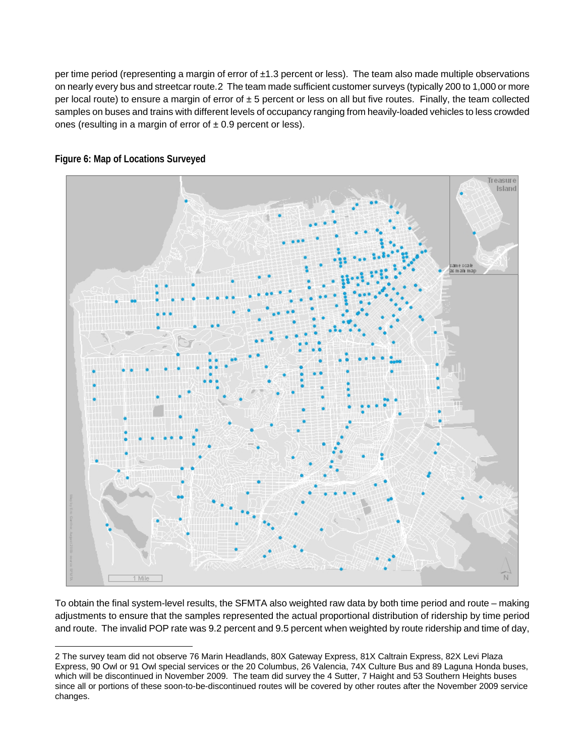per time period (representing a margin of error of ±1.3 percent or less). The team also made multiple observations on nearly every bus and streetcar route.[2](#page-13-1) The team made sufficient customer surveys (typically 200 to 1,000 or more per local route) to ensure a margin of error of  $\pm 5$  percent or less on all but five routes. Finally, the team collected samples on buses and trains with different levels of occupancy ranging from heavily-loaded vehicles to less crowded ones (resulting in a margin of error of  $\pm$  0.9 percent or less).



<span id="page-13-0"></span>**Figure 6: Map of Locations Surveyed** 

To obtain the final system-level results, the SFMTA also weighted raw data by both time period and route – making adjustments to ensure that the samples represented the actual proportional distribution of ridership by time period and route. The invalid POP rate was 9.2 percent and 9.5 percent when weighted by route ridership and time of day,

<span id="page-13-1"></span> $\overline{a}$ 2 The survey team did not observe 76 Marin Headlands, 80X Gateway Express, 81X Caltrain Express, 82X Levi Plaza Express, 90 Owl or 91 Owl special services or the 20 Columbus, 26 Valencia, 74X Culture Bus and 89 Laguna Honda buses, which will be discontinued in November 2009. The team did survey the 4 Sutter, 7 Haight and 53 Southern Heights buses since all or portions of these soon-to-be-discontinued routes will be covered by other routes after the November 2009 service changes.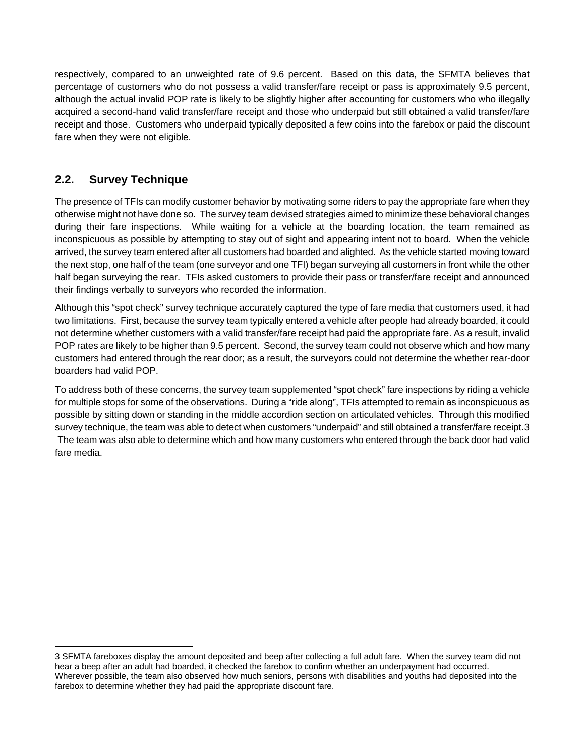respectively, compared to an unweighted rate of 9.6 percent. Based on this data, the SFMTA believes that percentage of customers who do not possess a valid transfer/fare receipt or pass is approximately 9.5 percent, although the actual invalid POP rate is likely to be slightly higher after accounting for customers who who illegally acquired a second-hand valid transfer/fare receipt and those who underpaid but still obtained a valid transfer/fare receipt and those. Customers who underpaid typically deposited a few coins into the farebox or paid the discount fare when they were not eligible.

## <span id="page-14-0"></span>**2.2. Survey Technique**

 $\overline{a}$ 

The presence of TFIs can modify customer behavior by motivating some riders to pay the appropriate fare when they otherwise might not have done so. The survey team devised strategies aimed to minimize these behavioral changes during their fare inspections. While waiting for a vehicle at the boarding location, the team remained as inconspicuous as possible by attempting to stay out of sight and appearing intent not to board. When the vehicle arrived, the survey team entered after all customers had boarded and alighted. As the vehicle started moving toward the next stop, one half of the team (one surveyor and one TFI) began surveying all customers in front while the other half began surveying the rear. TFIs asked customers to provide their pass or transfer/fare receipt and announced their findings verbally to surveyors who recorded the information.

Although this "spot check" survey technique accurately captured the type of fare media that customers used, it had two limitations. First, because the survey team typically entered a vehicle after people had already boarded, it could not determine whether customers with a valid transfer/fare receipt had paid the appropriate fare. As a result, invalid POP rates are likely to be higher than 9.5 percent. Second, the survey team could not observe which and how many customers had entered through the rear door; as a result, the surveyors could not determine the whether rear-door boarders had valid POP.

To address both of these concerns, the survey team supplemented "spot check" fare inspections by riding a vehicle for multiple stops for some of the observations. During a "ride along", TFIs attempted to remain as inconspicuous as possible by sitting down or standing in the middle accordion section on articulated vehicles. Through this modified survey technique, the team was able to detect when customers "underpaid" and still obtained a transfer/fare receipt.3 The team was also able to determine which and how many customers who entered through the back door had valid fare media.

<span id="page-14-1"></span><sup>3</sup> SFMTA fareboxes display the amount deposited and beep after collecting a full adult fare. When the survey team did not hear a beep after an adult had boarded, it checked the farebox to confirm whether an underpayment had occurred. Wherever possible, the team also observed how much seniors, persons with disabilities and youths had deposited into the farebox to determine whether they had paid the appropriate discount fare.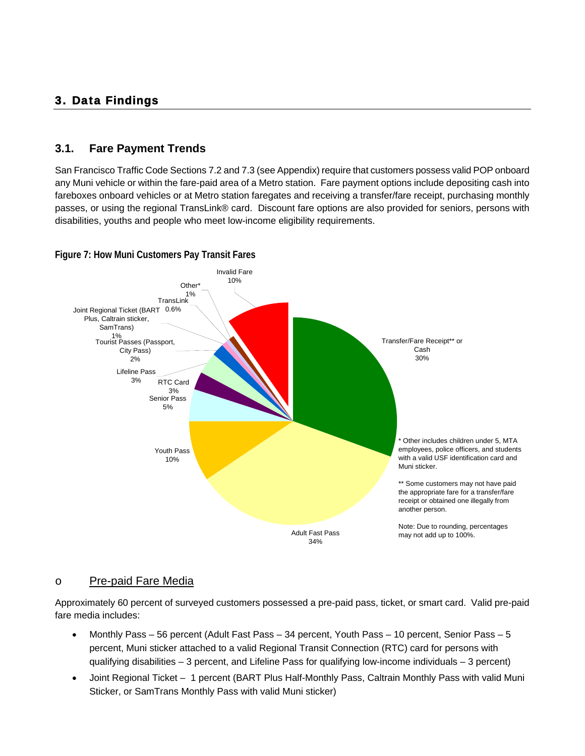## <span id="page-15-0"></span>3. Data Findings

#### <span id="page-15-1"></span>**3.1. Fare Payment Trends**

San Francisco Traffic Code Sections 7.2 and 7.3 (see Appendix) require that customers possess valid POP onboard any Muni vehicle or within the fare-paid area of a Metro station. Fare payment options include depositing cash into fareboxes onboard vehicles or at Metro station faregates and receiving a transfer/fare receipt, purchasing monthly passes, or using the regional TransLink® card. Discount fare options are also provided for seniors, persons with disabilities, youths and people who meet low-income eligibility requirements.



#### <span id="page-15-2"></span>**Figure 7: How Muni Customers Pay Transit Fares**

#### o Pre-paid Fare Media

Approximately 60 percent of surveyed customers possessed a pre-paid pass, ticket, or smart card. Valid pre-paid fare media includes:

- Monthly Pass 56 percent (Adult Fast Pass 34 percent, Youth Pass 10 percent, Senior Pass 5 percent, Muni sticker attached to a valid Regional Transit Connection (RTC) card for persons with qualifying disabilities – 3 percent, and Lifeline Pass for qualifying low-income individuals – 3 percent)
- Joint Regional Ticket 1 percent (BART Plus Half-Monthly Pass, Caltrain Monthly Pass with valid Muni Sticker, or SamTrans Monthly Pass with valid Muni sticker)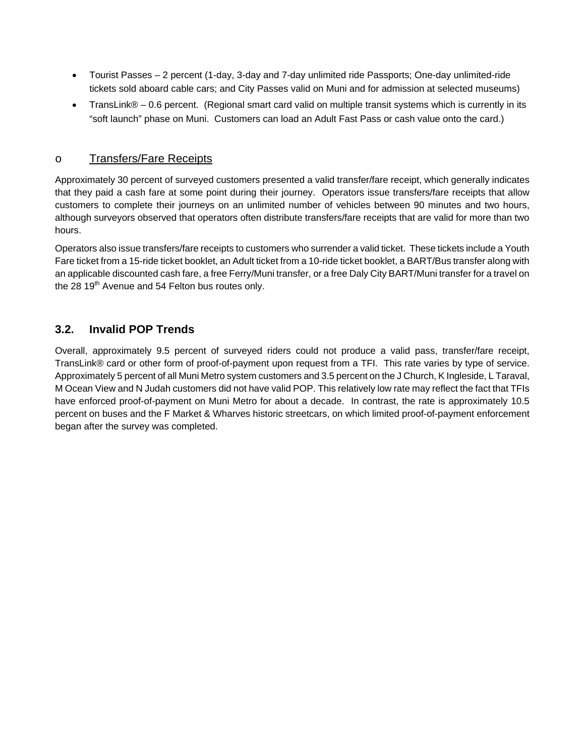- Tourist Passes 2 percent (1-day, 3-day and 7-day unlimited ride Passports; One-day unlimited-ride tickets sold aboard cable cars; and City Passes valid on Muni and for admission at selected museums)
- TransLink® 0.6 percent. (Regional smart card valid on multiple transit systems which is currently in its "soft launch" phase on Muni. Customers can load an Adult Fast Pass or cash value onto the card.)

#### o Transfers/Fare Receipts

Approximately 30 percent of surveyed customers presented a valid transfer/fare receipt, which generally indicates that they paid a cash fare at some point during their journey. Operators issue transfers/fare receipts that allow customers to complete their journeys on an unlimited number of vehicles between 90 minutes and two hours, although surveyors observed that operators often distribute transfers/fare receipts that are valid for more than two hours.

Operators also issue transfers/fare receipts to customers who surrender a valid ticket. These tickets include a Youth Fare ticket from a 15-ride ticket booklet, an Adult ticket from a 10-ride ticket booklet, a BART/Bus transfer along with an applicable discounted cash fare, a free Ferry/Muni transfer, or a free Daly City BART/Muni transfer for a travel on the 28  $19<sup>th</sup>$  Avenue and 54 Felton bus routes only.

## <span id="page-16-0"></span>**3.2. Invalid POP Trends**

Overall, approximately 9.5 percent of surveyed riders could not produce a valid pass, transfer/fare receipt, TransLink® card or other form of proof-of-payment upon request from a TFI. This rate varies by type of service. Approximately 5 percent of all Muni Metro system customers and 3.5 percent on the J Church, K Ingleside, L Taraval, M Ocean View and N Judah customers did not have valid POP. This relatively low rate may reflect the fact that TFIs have enforced proof-of-payment on Muni Metro for about a decade. In contrast, the rate is approximately 10.5 percent on buses and the F Market & Wharves historic streetcars, on which limited proof-of-payment enforcement began after the survey was completed.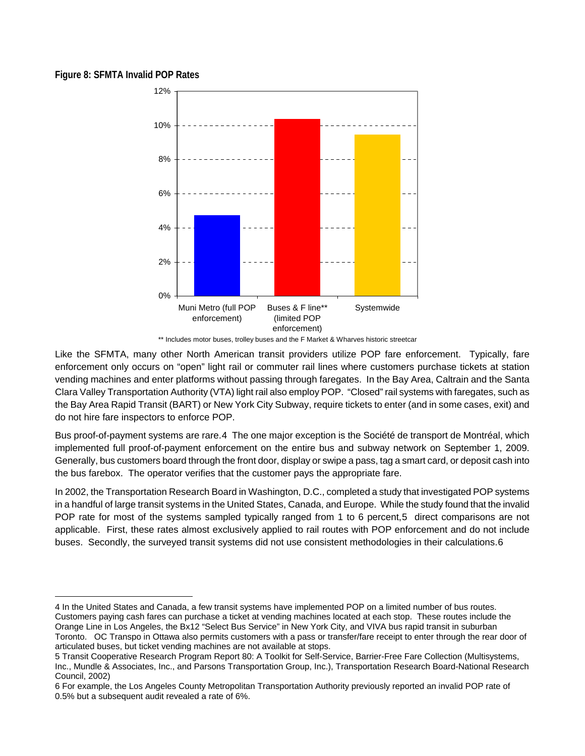#### <span id="page-17-0"></span>**Figure 8: SFMTA Invalid POP Rates**

 $\overline{a}$ 



\*\* Includes motor buses, trolley buses and the F Market & Wharves historic streetcar

Like the SFMTA, many other North American transit providers utilize POP fare enforcement. Typically, fare enforcement only occurs on "open" light rail or commuter rail lines where customers purchase tickets at station vending machines and enter platforms without passing through faregates. In the Bay Area, Caltrain and the Santa Clara Valley Transportation Authority (VTA) light rail also employ POP. "Closed" rail systems with faregates, such as the Bay Area Rapid Transit (BART) or New York City Subway, require tickets to enter (and in some cases, exit) and do not hire fare inspectors to enforce POP.

Bus proof-of-payment systems are rare.[4](#page-17-1) The one major exception is the Société de transport de Montréal, which implemented full proof-of-payment enforcement on the entire bus and subway network on September 1, 2009. Generally, bus customers board through the front door, display or swipe a pass, tag a smart card, or deposit cash into the bus farebox. The operator verifies that the customer pays the appropriate fare.

In 2002, the Transportation Research Board in Washington, D.C., completed a study that investigated POP systems in a handful of large transit systems in the United States, Canada, and Europe. While the study found that the invalid POP rate for most of the systems sampled typically ranged from 1 to 6 percent, [5](#page-17-2) direct comparisons are not applicable. First, these rates almost exclusively applied to rail routes with POP enforcement and do not include buses. Secondly, the surveyed transit systems did not use consistent methodologies in their calculations.[6](#page-17-3) 

<span id="page-17-1"></span><sup>4</sup> In the United States and Canada, a few transit systems have implemented POP on a limited number of bus routes. Customers paying cash fares can purchase a ticket at vending machines located at each stop. These routes include the Orange Line in Los Angeles, the Bx12 "Select Bus Service" in New York City, and VIVA bus rapid transit in suburban Toronto. OC Transpo in Ottawa also permits customers with a pass or transfer/fare receipt to enter through the rear door of articulated buses, but ticket vending machines are not available at stops.

<span id="page-17-2"></span><sup>5</sup> Transit Cooperative Research Program Report 80: A Toolkit for Self-Service, Barrier-Free Fare Collection (Multisystems, Inc., Mundle & Associates, Inc., and Parsons Transportation Group, Inc.), Transportation Research Board-National Research Council, 2002)

<span id="page-17-3"></span><sup>6</sup> For example, the Los Angeles County Metropolitan Transportation Authority previously reported an invalid POP rate of 0.5% but a subsequent audit revealed a rate of 6%.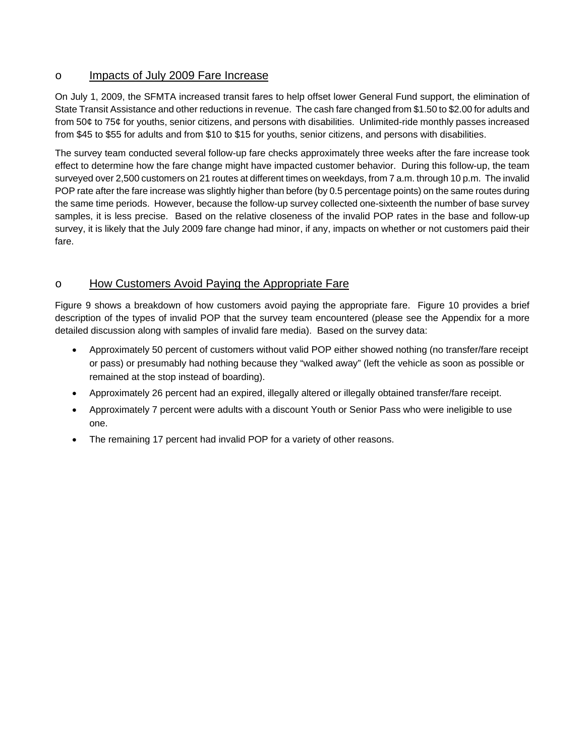#### o Impacts of July 2009 Fare Increase

On July 1, 2009, the SFMTA increased transit fares to help offset lower General Fund support, the elimination of State Transit Assistance and other reductions in revenue. The cash fare changed from \$1.50 to \$2.00 for adults and from 50¢ to 75¢ for youths, senior citizens, and persons with disabilities. Unlimited-ride monthly passes increased from \$45 to \$55 for adults and from \$10 to \$15 for youths, senior citizens, and persons with disabilities.

The survey team conducted several follow-up fare checks approximately three weeks after the fare increase took effect to determine how the fare change might have impacted customer behavior. During this follow-up, the team surveyed over 2,500 customers on 21 routes at different times on weekdays, from 7 a.m. through 10 p.m. The invalid POP rate after the fare increase was slightly higher than before (by 0.5 percentage points) on the same routes during the same time periods. However, because the follow-up survey collected one-sixteenth the number of base survey samples, it is less precise. Based on the relative closeness of the invalid POP rates in the base and follow-up survey, it is likely that the July 2009 fare change had minor, if any, impacts on whether or not customers paid their fare.

## o How Customers Avoid Paying the Appropriate Fare

[Figure 9](#page-19-0) shows a breakdown of how customers avoid paying the appropriate fare. [Figure 10](#page-19-1) provides a brief description of the types of invalid POP that the survey team encountered (please see the Appendix for a more detailed discussion along with samples of invalid fare media). Based on the survey data:

- Approximately 50 percent of customers without valid POP either showed nothing (no transfer/fare receipt or pass) or presumably had nothing because they "walked away" (left the vehicle as soon as possible or remained at the stop instead of boarding).
- Approximately 26 percent had an expired, illegally altered or illegally obtained transfer/fare receipt.
- Approximately 7 percent were adults with a discount Youth or Senior Pass who were ineligible to use one.
- The remaining 17 percent had invalid POP for a variety of other reasons.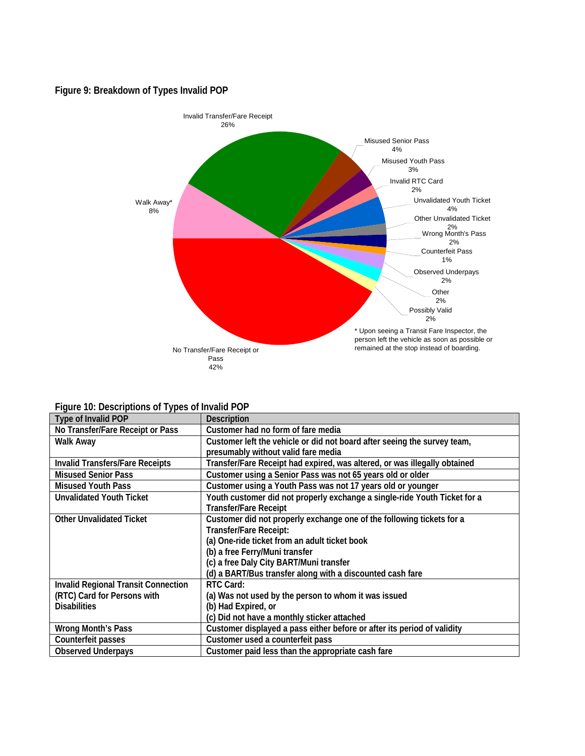#### <span id="page-19-0"></span>**Figure 9: Breakdown of Types Invalid POP**



#### **Figure 10: Descriptions of Types of Invalid POP**

<span id="page-19-1"></span>

| Type of Invalid POP                        | <b>Description</b>                                                        |
|--------------------------------------------|---------------------------------------------------------------------------|
| No Transfer/Fare Receipt or Pass           | Customer had no form of fare media                                        |
| Walk Away                                  | Customer left the vehicle or did not board after seeing the survey team,  |
|                                            | presumably without valid fare media                                       |
| <b>Invalid Transfers/Fare Receipts</b>     | Transfer/Fare Receipt had expired, was altered, or was illegally obtained |
| <b>Misused Senior Pass</b>                 | Customer using a Senior Pass was not 65 years old or older                |
| <b>Misused Youth Pass</b>                  | Customer using a Youth Pass was not 17 years old or younger               |
| <b>Unvalidated Youth Ticket</b>            | Youth customer did not properly exchange a single-ride Youth Ticket for a |
|                                            | <b>Transfer/Fare Receipt</b>                                              |
| <b>Other Unvalidated Ticket</b>            | Customer did not properly exchange one of the following tickets for a     |
|                                            | Transfer/Fare Receipt:                                                    |
|                                            | (a) One-ride ticket from an adult ticket book                             |
|                                            | (b) a free Ferry/Muni transfer                                            |
|                                            | (c) a free Daly City BART/Muni transfer                                   |
|                                            | (d) a BART/Bus transfer along with a discounted cash fare                 |
| <b>Invalid Regional Transit Connection</b> | RTC Card:                                                                 |
| (RTC) Card for Persons with                | (a) Was not used by the person to whom it was issued                      |
| <b>Disabilities</b>                        | (b) Had Expired, or                                                       |
|                                            | (c) Did not have a monthly sticker attached                               |
| <b>Wrong Month's Pass</b>                  | Customer displayed a pass either before or after its period of validity   |
| Counterfeit passes                         | Customer used a counterfeit pass                                          |
| <b>Observed Underpays</b>                  | Customer paid less than the appropriate cash fare                         |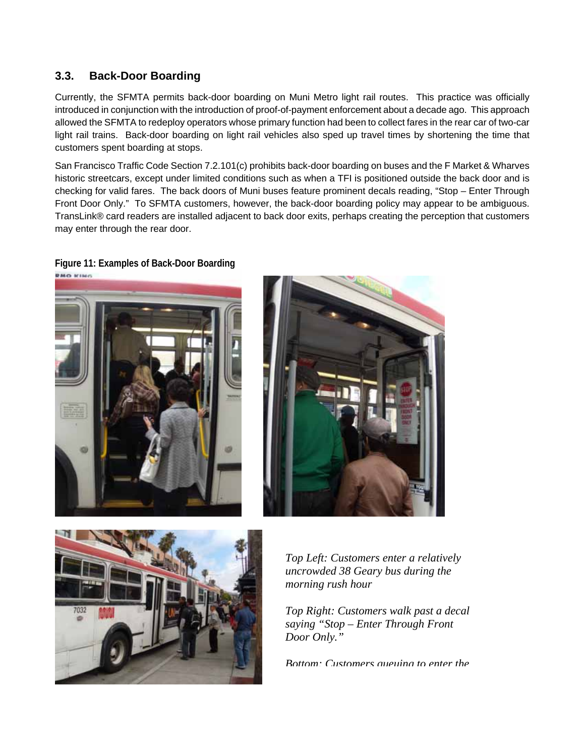### <span id="page-20-0"></span>**3.3. Back-Door Boarding**

Currently, the SFMTA permits back-door boarding on Muni Metro light rail routes. This practice was officially introduced in conjunction with the introduction of proof-of-payment enforcement about a decade ago. This approach allowed the SFMTA to redeploy operators whose primary function had been to collect fares in the rear car of two-car light rail trains. Back-door boarding on light rail vehicles also sped up travel times by shortening the time that customers spent boarding at stops.

San Francisco Traffic Code Section 7.2.101(c) prohibits back-door boarding on buses and the F Market & Wharves historic streetcars, except under limited conditions such as when a TFI is positioned outside the back door and is checking for valid fares. The back doors of Muni buses feature prominent decals reading, "Stop – Enter Through Front Door Only." To SFMTA customers, however, the back-door boarding policy may appear to be ambiguous. TransLink® card readers are installed adjacent to back door exits, perhaps creating the perception that customers may enter through the rear door.

#### <span id="page-20-1"></span>**Figure 11: Examples of Back-Door Boarding**







*Top Left: Customers enter a relatively uncrowded 38 Geary bus during the morning rush hour* 

*Top Right: Customers walk past a decal saying "Stop – Enter Through Front Door Only."* 

*Bottom: Customers queuing to enter the*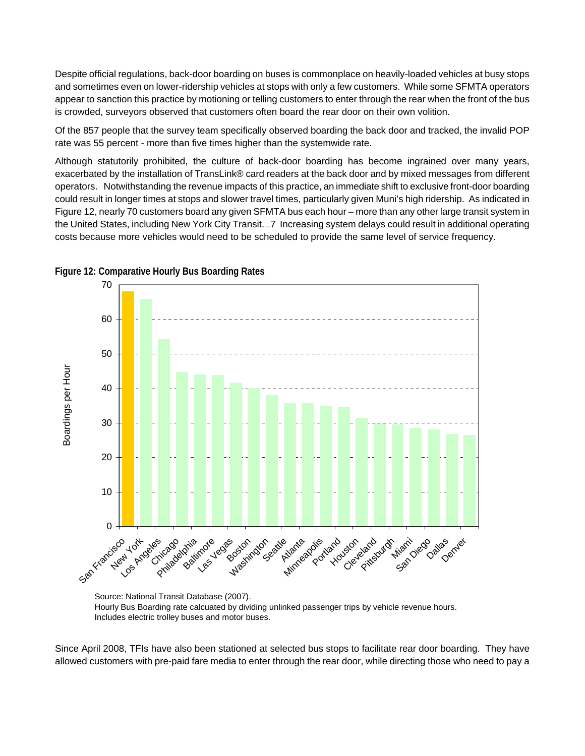Despite official regulations, back-door boarding on buses is commonplace on heavily-loaded vehicles at busy stops and sometimes even on lower-ridership vehicles at stops with only a few customers. While some SFMTA operators appear to sanction this practice by motioning or telling customers to enter through the rear when the front of the bus is crowded, surveyors observed that customers often board the rear door on their own volition.

Of the 857 people that the survey team specifically observed boarding the back door and tracked, the invalid POP rate was 55 percent - more than five times higher than the systemwide rate.

Although statutorily prohibited, the culture of back-door boarding has become ingrained over many years, exacerbated by the installation of TransLink® card readers at the back door and by mixed messages from different operators. Notwithstanding the revenue impacts of this practice, an immediate shift to exclusive front-door boarding could result in longer times at stops and slower travel times, particularly given Muni's high ridership. As indicated in [Figure 12,](#page-21-0) nearly 70 customers board any given SFMTA bus each hour – more than any other large transit system in the United States, including New York City Transit. 
ightarrow and system delays could result in additional operating costs because more vehicles would need to be scheduled to provide the same level of service frequency.



<span id="page-21-0"></span>

Source: National Transit Database (2007). Hourly Bus Boarding rate calcuated by dividing unlinked passenger trips by vehicle revenue hours. Includes electric trolley buses and motor buses.

Since April 2008, TFIs have also been stationed at selected bus stops to facilitate rear door boarding. They have allowed customers with pre-paid fare media to enter through the rear door, while directing those who need to pay a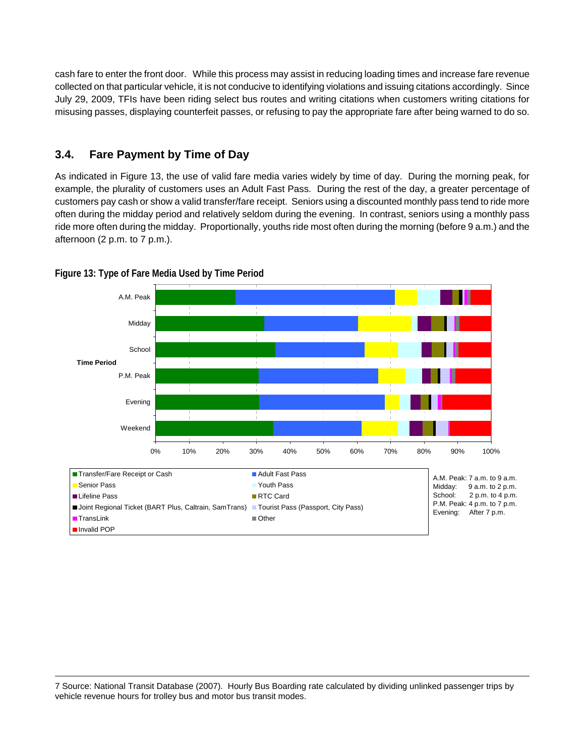cash fare to enter the front door. While this process may assist in reducing loading times and increase fare revenue collected on that particular vehicle, it is not conducive to identifying violations and issuing citations accordingly. Since July 29, 2009, TFIs have been riding select bus routes and writing citations when customers writing citations for misusing passes, displaying counterfeit passes, or refusing to pay the appropriate fare after being warned to do so.

## <span id="page-22-0"></span>**3.4. Fare Payment by Time of Day**

As indicated in [Figure 13](#page-22-1), the use of valid fare media varies widely by time of day. During the morning peak, for example, the plurality of customers uses an Adult Fast Pass. During the rest of the day, a greater percentage of customers pay cash or show a valid transfer/fare receipt. Seniors using a discounted monthly pass tend to ride more often during the midday period and relatively seldom during the evening. In contrast, seniors using a monthly pass ride more often during the midday. Proportionally, youths ride most often during the morning (before 9 a.m.) and the afternoon (2 p.m. to 7 p.m.).



<span id="page-22-1"></span>**Figure 13: Type of Fare Media Used by Time Period** 

 $\overline{a}$ 7 Source: National Transit Database (2007). Hourly Bus Boarding rate calculated by dividing unlinked passenger trips by vehicle revenue hours for trolley bus and motor bus transit modes.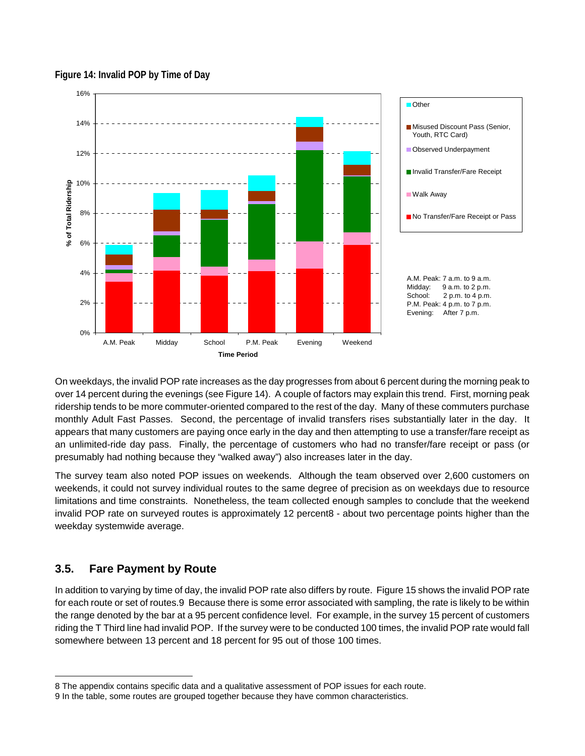#### <span id="page-23-1"></span>**Figure 14: Invalid POP by Time of Day**

<span id="page-23-2"></span>

On weekdays, the invalid POP rate increases as the day progresses from about 6 percent during the morning peak to over 14 percent during the evenings (see [Figure 14\)](#page-23-1). A couple of factors may explain this trend. First, morning peak ridership tends to be more commuter-oriented compared to the rest of the day. Many of these commuters purchase monthly Adult Fast Passes. Second, the percentage of invalid transfers rises substantially later in the day. It appears that many customers are paying once early in the day and then attempting to use a transfer/fare receipt as an unlimited-ride day pass. Finally, the percentage of customers who had no transfer/fare receipt or pass (or presumably had nothing because they "walked away") also increases later in the day.

The survey team also noted POP issues on weekends. Although the team observed over 2,600 customers on weekends, it could not survey individual routes to the same degree of precision as on weekdays due to resource limitations and time constraints. Nonetheless, the team collected enough samples to conclude that the weekend invalid POP rate on surveyed routes is approximately 12 percent8 - about two percentage points higher than the weekday systemwide average.

#### <span id="page-23-0"></span>**3.5. Fare Payment by Route**

 $\overline{a}$ 

In addition to varying by time of day, the invalid POP rate also differs by route. [Figure 15](#page-24-0) shows the invalid POP rate for each route or set of routes.9 Because there is some error associated with sampling, the rate is likely to be within the range denoted by the bar at a 95 percent confidence level. For example, in the survey 15 percent of customers riding the T Third line had invalid POP. If the survey were to be conducted 100 times, the invalid POP rate would fall somewhere between 13 percent and 18 percent for 95 out of those 100 times.

<sup>8</sup> The appendix contains specific data and a qualitative assessment of POP issues for each route.

<sup>9</sup> In the table, some routes are grouped together because they have common characteristics.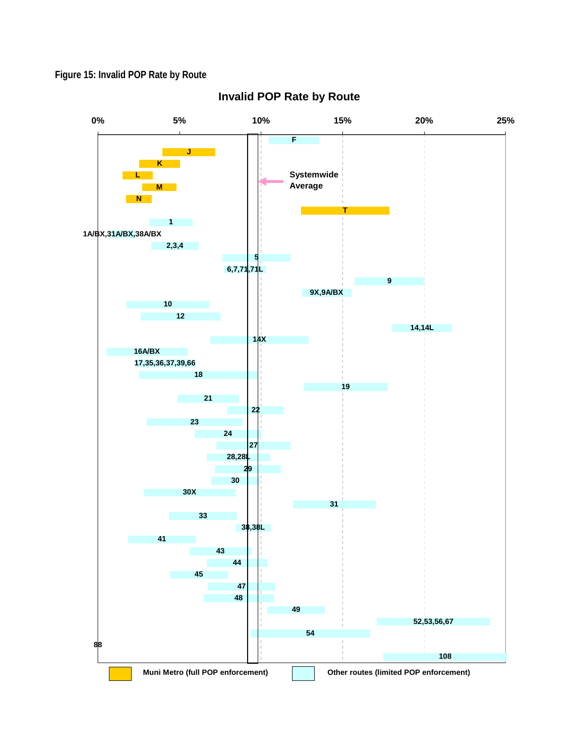## <span id="page-24-0"></span>**Figure 15: Invalid POP Rate by Route**



## **Invalid POP Rate by Route**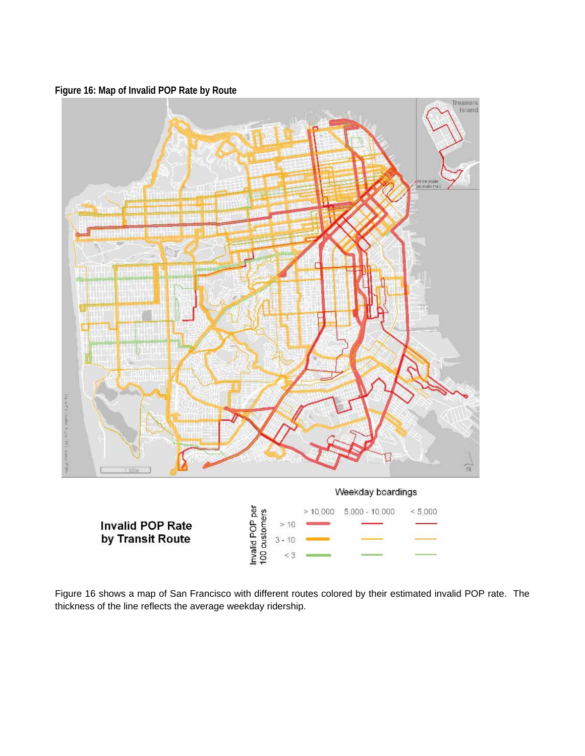<span id="page-25-0"></span>**Figure 16: Map of Invalid POP Rate by Route** 



[Figure 16](#page-25-0) shows a map of San Francisco with different routes colored by their estimated invalid POP rate. The thickness of the line reflects the average weekday ridership.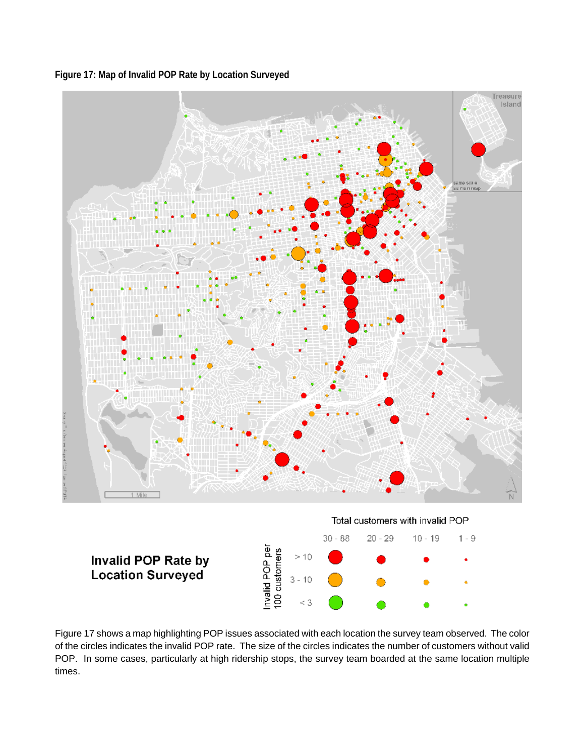**Figure 17: Map of Invalid POP Rate by Location Surveyed** 

<span id="page-26-0"></span>

[Figure 17](#page-26-0) shows a map highlighting POP issues associated with each location the survey team observed. The color of the circles indicates the invalid POP rate. The size of the circles indicates the number of customers without valid POP. In some cases, particularly at high ridership stops, the survey team boarded at the same location multiple times.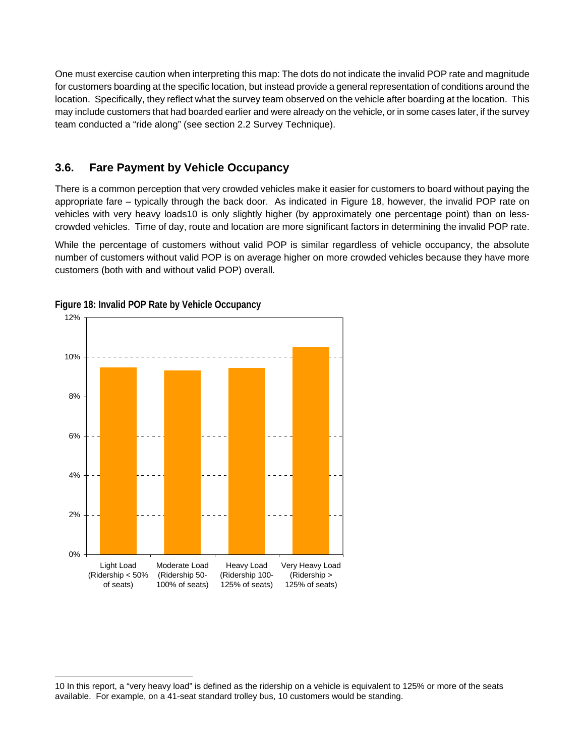One must exercise caution when interpreting this map: The dots do not indicate the invalid POP rate and magnitude for customers boarding at the specific location, but instead provide a general representation of conditions around the location. Specifically, they reflect what the survey team observed on the vehicle after boarding at the location. This may include customers that had boarded earlier and were already on the vehicle, or in some cases later, if the survey team conducted a "ride along" (see section [2.2 Survey Technique](#page-14-0)).

## <span id="page-27-0"></span>**3.6. Fare Payment by Vehicle Occupancy**

There is a common perception that very crowded vehicles make it easier for customers to board without paying the appropriate fare – typically through the back door. As indicated in [Figure 18,](#page-27-1) however, the invalid POP rate on vehicles with very heavy loads10 is only slightly higher (by approximately one percentage point) than on lesscrowded vehicles. Time of day, route and location are more significant factors in determining the invalid POP rate.

While the percentage of customers without valid POP is similar regardless of vehicle occupancy, the absolute number of customers without valid POP is on average higher on more crowded vehicles because they have more customers (both with and without valid POP) overall.



<span id="page-27-1"></span>**Figure 18: Invalid POP Rate by Vehicle Occupancy** 

 $\overline{a}$ 

<sup>10</sup> In this report, a "very heavy load" is defined as the ridership on a vehicle is equivalent to 125% or more of the seats available. For example, on a 41-seat standard trolley bus, 10 customers would be standing.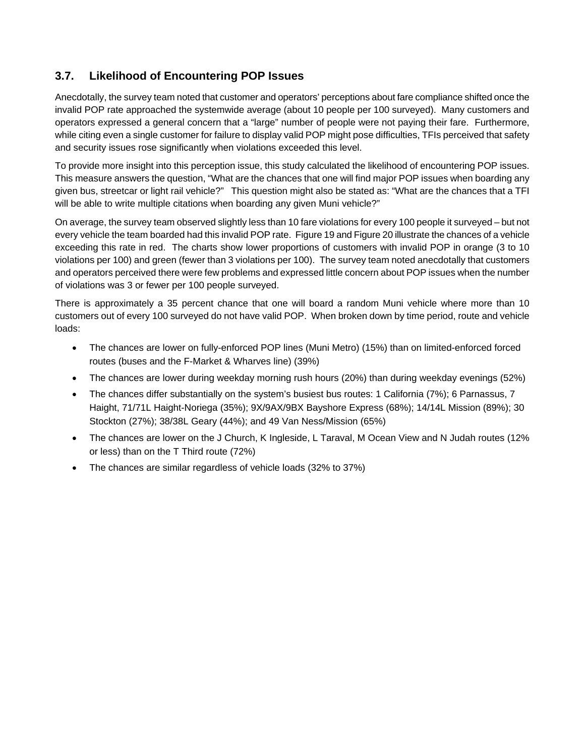## <span id="page-28-0"></span>**3.7. Likelihood of Encountering POP Issues**

Anecdotally, the survey team noted that customer and operators' perceptions about fare compliance shifted once the invalid POP rate approached the systemwide average (about 10 people per 100 surveyed). Many customers and operators expressed a general concern that a "large" number of people were not paying their fare. Furthermore, while citing even a single customer for failure to display valid POP might pose difficulties, TFIs perceived that safety and security issues rose significantly when violations exceeded this level.

To provide more insight into this perception issue, this study calculated the likelihood of encountering POP issues. This measure answers the question, "What are the chances that one will find major POP issues when boarding any given bus, streetcar or light rail vehicle?" This question might also be stated as: "What are the chances that a TFI will be able to write multiple citations when boarding any given Muni vehicle?"

On average, the survey team observed slightly less than 10 fare violations for every 100 people it surveyed – but not every vehicle the team boarded had this invalid POP rate. [Figure 19](#page-29-0) and [Figure 20](#page-30-0) illustrate the chances of a vehicle exceeding this rate in red. The charts show lower proportions of customers with invalid POP in orange (3 to 10 violations per 100) and green (fewer than 3 violations per 100). The survey team noted anecdotally that customers and operators perceived there were few problems and expressed little concern about POP issues when the number of violations was 3 or fewer per 100 people surveyed.

There is approximately a 35 percent chance that one will board a random Muni vehicle where more than 10 customers out of every 100 surveyed do not have valid POP. When broken down by time period, route and vehicle loads:

- The chances are lower on fully-enforced POP lines (Muni Metro) (15%) than on limited-enforced forced routes (buses and the F-Market & Wharves line) (39%)
- The chances are lower during weekday morning rush hours (20%) than during weekday evenings (52%)
- The chances differ substantially on the system's busiest bus routes: 1 California (7%); 6 Parnassus, 7 Haight, 71/71L Haight-Noriega (35%); 9X/9AX/9BX Bayshore Express (68%); 14/14L Mission (89%); 30 Stockton (27%); 38/38L Geary (44%); and 49 Van Ness/Mission (65%)
- The chances are lower on the J Church, K Ingleside, L Taraval, M Ocean View and N Judah routes (12% or less) than on the T Third route (72%)
- The chances are similar regardless of vehicle loads (32% to 37%)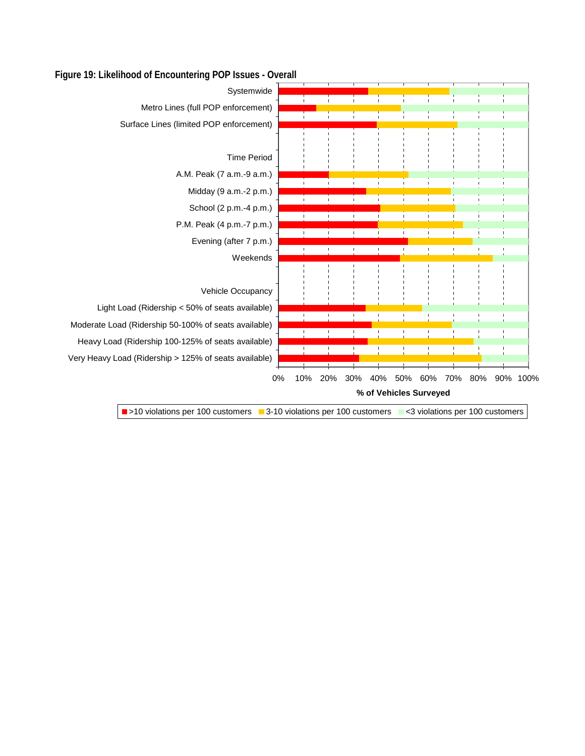

#### <span id="page-29-0"></span>**Figure 19: Likelihood of Encountering POP Issues - Overall**

■ >10 violations per 100 customers ■ 3-10 violations per 100 customers ■ <3 violations per 100 customers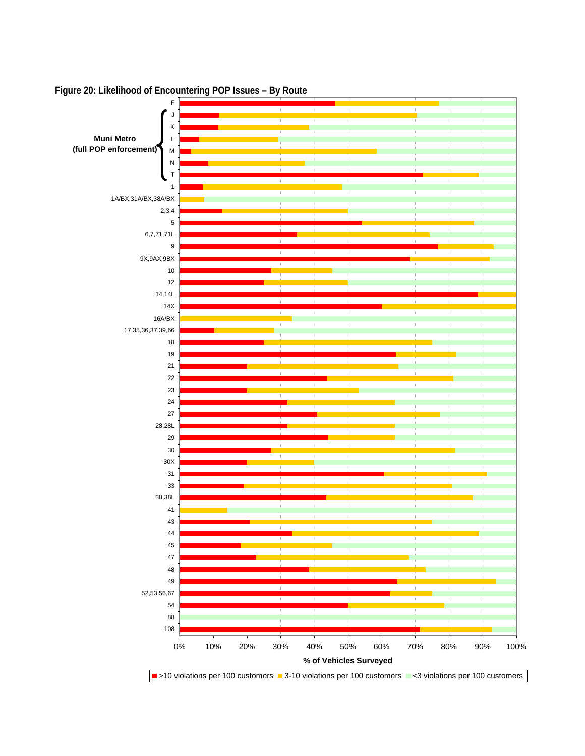

<span id="page-30-0"></span>**Figure 20: Likelihood of Encountering POP Issues – By Route**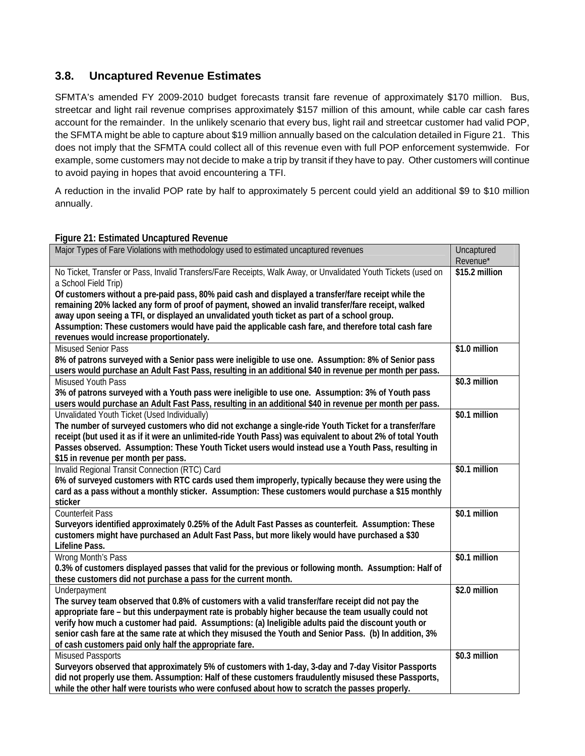### <span id="page-31-0"></span>**3.8. Uncaptured Revenue Estimates**

SFMTA's amended FY 2009-2010 budget forecasts transit fare revenue of approximately \$170 million. Bus, streetcar and light rail revenue comprises approximately \$157 million of this amount, while cable car cash fares account for the remainder. In the unlikely scenario that every bus, light rail and streetcar customer had valid POP, the SFMTA might be able to capture about \$19 million annually based on the calculation detailed in [Figure 21.](#page-31-1) This does not imply that the SFMTA could collect all of this revenue even with full POP enforcement systemwide. For example, some customers may not decide to make a trip by transit if they have to pay. Other customers will continue to avoid paying in hopes that avoid encountering a TFI.

A reduction in the invalid POP rate by half to approximately 5 percent could yield an additional \$9 to \$10 million annually.

#### **Figure 21: Estimated Uncaptured Revenue**

<span id="page-31-1"></span>

| Major Types of Fare Violations with methodology used to estimated uncaptured revenues                                                                                                                                                                                                                                                                                                                                                                                                                                                                                                                 | Uncaptured<br>Revenue* |
|-------------------------------------------------------------------------------------------------------------------------------------------------------------------------------------------------------------------------------------------------------------------------------------------------------------------------------------------------------------------------------------------------------------------------------------------------------------------------------------------------------------------------------------------------------------------------------------------------------|------------------------|
| No Ticket, Transfer or Pass, Invalid Transfers/Fare Receipts, Walk Away, or Unvalidated Youth Tickets (used on<br>a School Field Trip)<br>Of customers without a pre-paid pass, 80% paid cash and displayed a transfer/fare receipt while the<br>remaining 20% lacked any form of proof of payment, showed an invalid transfer/fare receipt, walked<br>away upon seeing a TFI, or displayed an unvalidated youth ticket as part of a school group.<br>Assumption: These customers would have paid the applicable cash fare, and therefore total cash fare<br>revenues would increase proportionately. | \$15.2 million         |
| <b>Misused Senior Pass</b><br>8% of patrons surveyed with a Senior pass were ineligible to use one. Assumption: 8% of Senior pass<br>users would purchase an Adult Fast Pass, resulting in an additional \$40 in revenue per month per pass.                                                                                                                                                                                                                                                                                                                                                          | \$1.0 million          |
| <b>Misused Youth Pass</b><br>3% of patrons surveyed with a Youth pass were ineligible to use one. Assumption: 3% of Youth pass<br>users would purchase an Adult Fast Pass, resulting in an additional \$40 in revenue per month per pass.                                                                                                                                                                                                                                                                                                                                                             | \$0.3 million          |
| Unvalidated Youth Ticket (Used Individually)<br>The number of surveyed customers who did not exchange a single-ride Youth Ticket for a transfer/fare<br>receipt (but used it as if it were an unlimited-ride Youth Pass) was equivalent to about 2% of total Youth<br>Passes observed. Assumption: These Youth Ticket users would instead use a Youth Pass, resulting in<br>\$15 in revenue per month per pass.                                                                                                                                                                                       | \$0.1 million          |
| Invalid Regional Transit Connection (RTC) Card<br>6% of surveyed customers with RTC cards used them improperly, typically because they were using the<br>card as a pass without a monthly sticker. Assumption: These customers would purchase a \$15 monthly<br>sticker                                                                                                                                                                                                                                                                                                                               | $$0.1$ million         |
| <b>Counterfeit Pass</b><br>Surveyors identified approximately 0.25% of the Adult Fast Passes as counterfeit. Assumption: These<br>customers might have purchased an Adult Fast Pass, but more likely would have purchased a \$30<br>Lifeline Pass.                                                                                                                                                                                                                                                                                                                                                    | \$0.1 million          |
| Wrong Month's Pass<br>0.3% of customers displayed passes that valid for the previous or following month. Assumption: Half of<br>these customers did not purchase a pass for the current month.                                                                                                                                                                                                                                                                                                                                                                                                        | \$0.1 million          |
| Underpayment<br>The survey team observed that 0.8% of customers with a valid transfer/fare receipt did not pay the<br>appropriate fare – but this underpayment rate is probably higher because the team usually could not<br>verify how much a customer had paid. Assumptions: (a) Ineligible adults paid the discount youth or<br>senior cash fare at the same rate at which they misused the Youth and Senior Pass. (b) In addition, 3%<br>of cash customers paid only half the appropriate fare.                                                                                                   | \$2.0 million          |
| <b>Misused Passports</b><br>Surveyors observed that approximately 5% of customers with 1-day, 3-day and 7-day Visitor Passports<br>did not properly use them. Assumption: Half of these customers fraudulently misused these Passports,<br>while the other half were tourists who were confused about how to scratch the passes properly.                                                                                                                                                                                                                                                             | \$0.3 million          |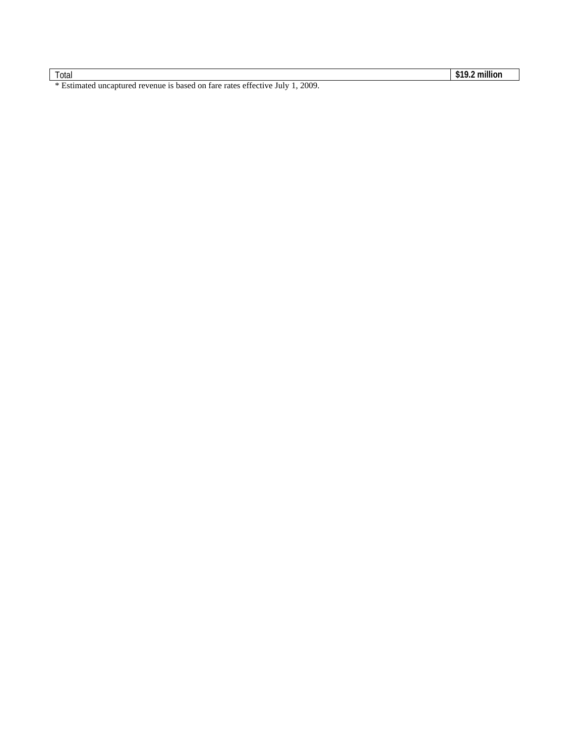Total **\$19.2 million** 

\* Estimated uncaptured revenue is based on fare rates effective July 1, 2009.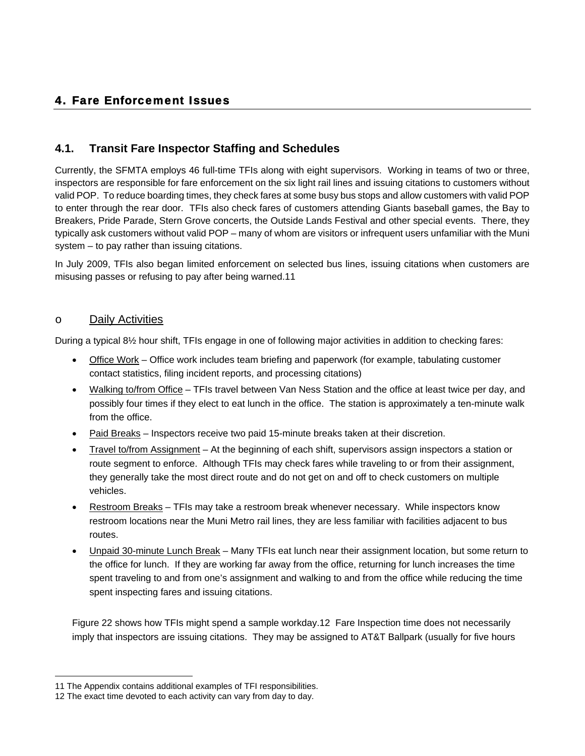## <span id="page-33-0"></span>4. Fare Enforcement Issues

## <span id="page-33-1"></span>**4.1. Transit Fare Inspector Staffing and Schedules**

Currently, the SFMTA employs 46 full-time TFIs along with eight supervisors. Working in teams of two or three, inspectors are responsible for fare enforcement on the six light rail lines and issuing citations to customers without valid POP. To reduce boarding times, they check fares at some busy bus stops and allow customers with valid POP to enter through the rear door. TFIs also check fares of customers attending Giants baseball games, the Bay to Breakers, Pride Parade, Stern Grove concerts, the Outside Lands Festival and other special events. There, they typically ask customers without valid POP – many of whom are visitors or infrequent users unfamiliar with the Muni system – to pay rather than issuing citations.

In July 2009, TFIs also began limited enforcement on selected bus lines, issuing citations when customers are misusing passes or refusing to pay after being warned.11

#### o Daily Activities

 $\overline{a}$ 

During a typical 8½ hour shift, TFIs engage in one of following major activities in addition to checking fares:

- Office Work Office work includes team briefing and paperwork (for example, tabulating customer contact statistics, filing incident reports, and processing citations)
- Walking to/from Office TFIs travel between Van Ness Station and the office at least twice per day, and possibly four times if they elect to eat lunch in the office. The station is approximately a ten-minute walk from the office.
- Paid Breaks Inspectors receive two paid 15-minute breaks taken at their discretion.
- Travel to/from Assignment At the beginning of each shift, supervisors assign inspectors a station or route segment to enforce. Although TFIs may check fares while traveling to or from their assignment, they generally take the most direct route and do not get on and off to check customers on multiple vehicles.
- Restroom Breaks TFIs may take a restroom break whenever necessary. While inspectors know restroom locations near the Muni Metro rail lines, they are less familiar with facilities adjacent to bus routes.
- Unpaid 30-minute Lunch Break Many TFIs eat lunch near their assignment location, but some return to the office for lunch. If they are working far away from the office, returning for lunch increases the time spent traveling to and from one's assignment and walking to and from the office while reducing the time spent inspecting fares and issuing citations.

[Figure 22](#page-34-0) shows how TFIs might spend a sample workday.12 Fare Inspection time does not necessarily imply that inspectors are issuing citations. They may be assigned to AT&T Ballpark (usually for five hours

<sup>11</sup> The Appendix contains additional examples of TFI responsibilities.

<sup>12</sup> The exact time devoted to each activity can vary from day to day.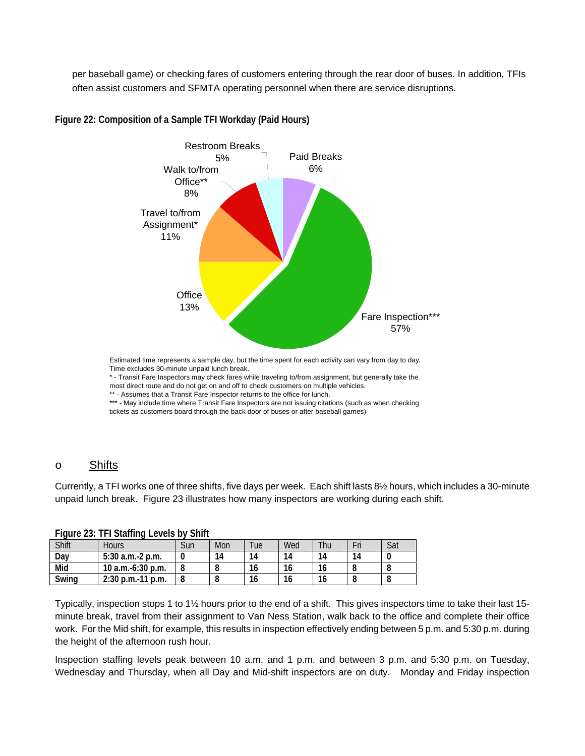per baseball game) or checking fares of customers entering through the rear door of buses. In addition, TFIs often assist customers and SFMTA operating personnel when there are service disruptions.



<span id="page-34-0"></span>**Figure 22: Composition of a Sample TFI Workday (Paid Hours)** 

Time excludes 30-minute unpaid lunch break.

\* - Transit Fare Inspectors may check fares while traveling to/from assignment, but generally take the most direct route and do not get on and off to check customers on multiple vehicles.

\*\* - Assumes that a Transit Fare Inspector returns to the office for lunch.

\*\*\* - May include time where Transit Fare Inspectors are not issuing citations (such as when checking tickets as customers board through the back door of buses or after baseball games)

#### o Shifts

Currently, a TFI works one of three shifts, five days per week. Each shift lasts 8½ hours, which includes a 30-minute unpaid lunch break. [Figure 23](#page-34-1) illustrates how many inspectors are working during each shift.

<span id="page-34-1"></span>

| <b>I IGUITE 20. IT I JULIIUS LEVEIS DY JIIII</b> |                     |     |     |        |     |     |     |     |
|--------------------------------------------------|---------------------|-----|-----|--------|-----|-----|-----|-----|
| Shift                                            | Hours               | Sun | Mon | $T$ ue | Wed | Thu | Fri | Sat |
| Dav                                              | $5:30$ a.m.-2 p.m.  |     | 14  | 14     | 14  | 14  | 14  |     |
| Mid                                              | 10 a.m.-6:30 p.m.   |     |     | 16     | 16  | 16  |     |     |
| Swing                                            | $2:30$ p.m.-11 p.m. |     |     | 16     | 16  | 16  |     |     |

**Figure 23: TFI Staffing Levels by Shift** 

Typically, inspection stops 1 to 1½ hours prior to the end of a shift. This gives inspectors time to take their last 15 minute break, travel from their assignment to Van Ness Station, walk back to the office and complete their office work. For the Mid shift, for example, this results in inspection effectively ending between 5 p.m. and 5:30 p.m. during the height of the afternoon rush hour.

Inspection staffing levels peak between 10 a.m. and 1 p.m. and between 3 p.m. and 5:30 p.m. on Tuesday, Wednesday and Thursday, when all Day and Mid-shift inspectors are on duty. Monday and Friday inspection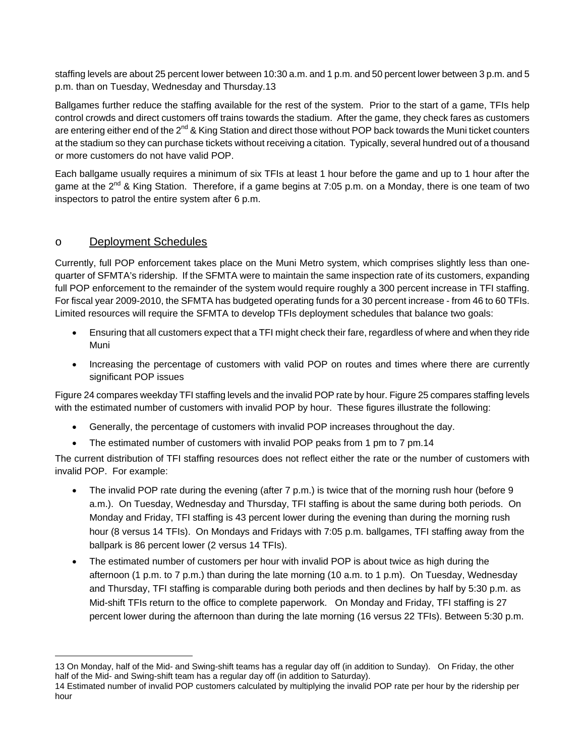staffing levels are about 25 percent lower between 10:30 a.m. and 1 p.m. and 50 percent lower between 3 p.m. and 5 p.m. than on Tuesday, Wednesday and Thursday.13

Ballgames further reduce the staffing available for the rest of the system. Prior to the start of a game, TFIs help control crowds and direct customers off trains towards the stadium. After the game, they check fares as customers are entering either end of the  $2^{nd}$  & King Station and direct those without POP back towards the Muni ticket counters at the stadium so they can purchase tickets without receiving a citation. Typically, several hundred out of a thousand or more customers do not have valid POP.

Each ballgame usually requires a minimum of six TFIs at least 1 hour before the game and up to 1 hour after the game at the  $2^{nd}$  & King Station. Therefore, if a game begins at 7:05 p.m. on a Monday, there is one team of two inspectors to patrol the entire system after 6 p.m.

#### o Deployment Schedules

Currently, full POP enforcement takes place on the Muni Metro system, which comprises slightly less than onequarter of SFMTA's ridership. If the SFMTA were to maintain the same inspection rate of its customers, expanding full POP enforcement to the remainder of the system would require roughly a 300 percent increase in TFI staffing. For fiscal year 2009-2010, the SFMTA has budgeted operating funds for a 30 percent increase - from 46 to 60 TFIs. Limited resources will require the SFMTA to develop TFIs deployment schedules that balance two goals:

- Ensuring that all customers expect that a TFI might check their fare, regardless of where and when they ride Muni
- Increasing the percentage of customers with valid POP on routes and times where there are currently significant POP issues

[Figure 24](#page-36-0) compares weekday TFI staffing levels and the invalid POP rate by hour. [Figure 25](#page-37-1) compares staffing levels with the estimated number of customers with invalid POP by hour. These figures illustrate the following:

- Generally, the percentage of customers with invalid POP increases throughout the day.
- The estimated number of customers with invalid POP peaks from 1 pm to 7 pm.14

The current distribution of TFI staffing resources does not reflect either the rate or the number of customers with invalid POP. For example:

- The invalid POP rate during the evening (after 7 p.m.) is twice that of the morning rush hour (before 9 a.m.). On Tuesday, Wednesday and Thursday, TFI staffing is about the same during both periods. On Monday and Friday, TFI staffing is 43 percent lower during the evening than during the morning rush hour (8 versus 14 TFIs). On Mondays and Fridays with 7:05 p.m. ballgames, TFI staffing away from the ballpark is 86 percent lower (2 versus 14 TFIs).
- The estimated number of customers per hour with invalid POP is about twice as high during the afternoon (1 p.m. to 7 p.m.) than during the late morning (10 a.m. to 1 p.m). On Tuesday, Wednesday and Thursday, TFI staffing is comparable during both periods and then declines by half by 5:30 p.m. as Mid-shift TFIs return to the office to complete paperwork. On Monday and Friday, TFI staffing is 27 percent lower during the afternoon than during the late morning (16 versus 22 TFIs). Between 5:30 p.m.

 $\overline{a}$ 13 On Monday, half of the Mid- and Swing-shift teams has a regular day off (in addition to Sunday). On Friday, the other half of the Mid- and Swing-shift team has a regular day off (in addition to Saturday).

<sup>14</sup> Estimated number of invalid POP customers calculated by multiplying the invalid POP rate per hour by the ridership per hour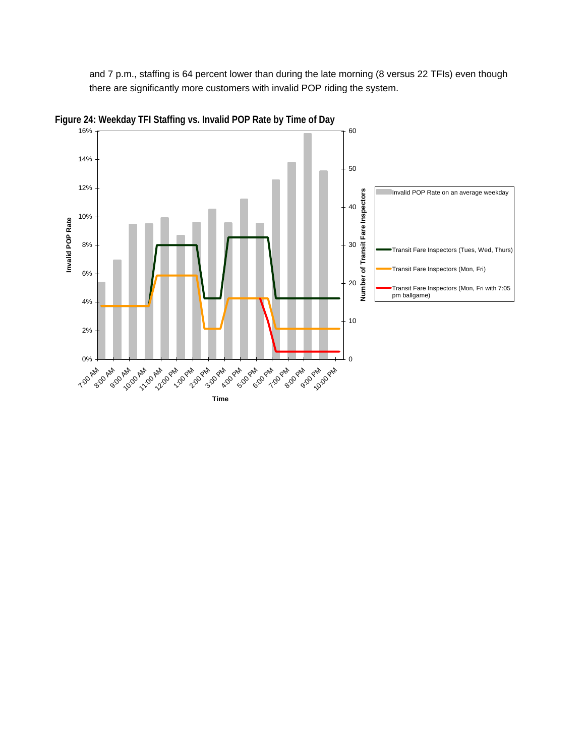and 7 p.m., staffing is 64 percent lower than during the late morning (8 versus 22 TFIs) even though there are significantly more customers with invalid POP riding the system.



**Figure 24: Weekday TFI Staffing vs. Invalid POP Rate by Time of Day** 

**Time**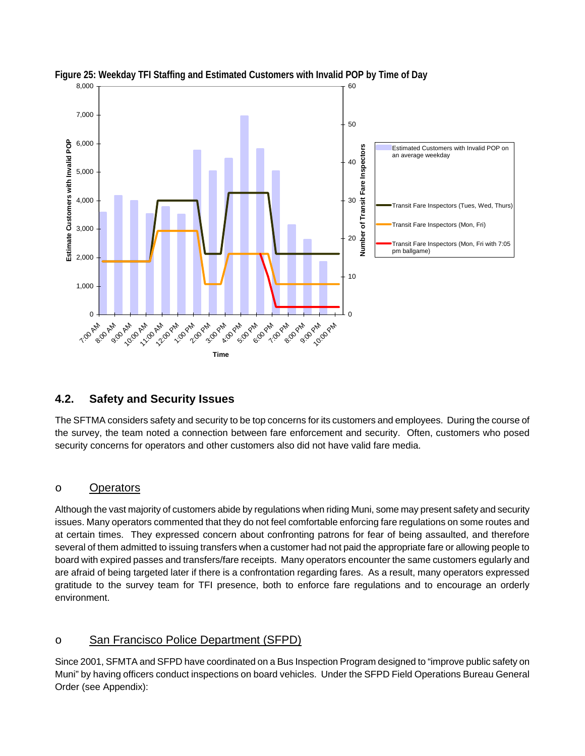

**Figure 25: Weekday TFI Staffing and Estimated Customers with Invalid POP by Time of Day** 

# **4.2. Safety and Security Issues**

The SFTMA considers safety and security to be top concerns for its customers and employees. During the course of the survey, the team noted a connection between fare enforcement and security. Often, customers who posed security concerns for operators and other customers also did not have valid fare media.

## o Operators

Although the vast majority of customers abide by regulations when riding Muni, some may present safety and security issues. Many operators commented that they do not feel comfortable enforcing fare regulations on some routes and at certain times. They expressed concern about confronting patrons for fear of being assaulted, and therefore several of them admitted to issuing transfers when a customer had not paid the appropriate fare or allowing people to board with expired passes and transfers/fare receipts. Many operators encounter the same customers egularly and are afraid of being targeted later if there is a confrontation regarding fares. As a result, many operators expressed gratitude to the survey team for TFI presence, both to enforce fare regulations and to encourage an orderly environment.

## o San Francisco Police Department (SFPD)

Since 2001, SFMTA and SFPD have coordinated on a Bus Inspection Program designed to "improve public safety on Muni" by having officers conduct inspections on board vehicles. Under the SFPD Field Operations Bureau General Order (see Appendix):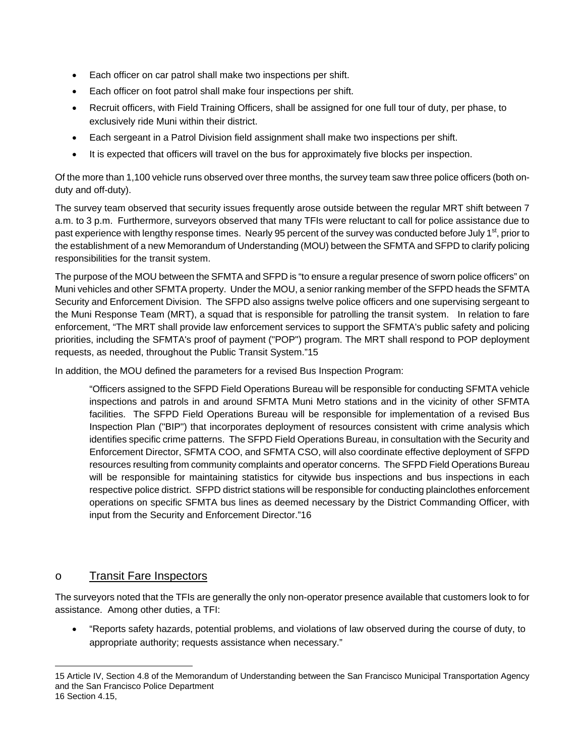- Each officer on car patrol shall make two inspections per shift.
- Each officer on foot patrol shall make four inspections per shift.
- Recruit officers, with Field Training Officers, shall be assigned for one full tour of duty, per phase, to exclusively ride Muni within their district.
- Each sergeant in a Patrol Division field assignment shall make two inspections per shift.
- It is expected that officers will travel on the bus for approximately five blocks per inspection.

Of the more than 1,100 vehicle runs observed over three months, the survey team saw three police officers (both onduty and off-duty).

The survey team observed that security issues frequently arose outside between the regular MRT shift between 7 a.m. to 3 p.m. Furthermore, surveyors observed that many TFIs were reluctant to call for police assistance due to past experience with lengthy response times. Nearly 95 percent of the survey was conducted before July 1<sup>st</sup>, prior to the establishment of a new Memorandum of Understanding (MOU) between the SFMTA and SFPD to clarify policing responsibilities for the transit system.

The purpose of the MOU between the SFMTA and SFPD is "to ensure a regular presence of sworn police officers" on Muni vehicles and other SFMTA property. Under the MOU, a senior ranking member of the SFPD heads the SFMTA Security and Enforcement Division. The SFPD also assigns twelve police officers and one supervising sergeant to the Muni Response Team (MRT), a squad that is responsible for patrolling the transit system. In relation to fare enforcement, "The MRT shall provide law enforcement services to support the SFMTA's public safety and policing priorities, including the SFMTA's proof of payment ("POP") program. The MRT shall respond to POP deployment requests, as needed, throughout the Public Transit System."15

In addition, the MOU defined the parameters for a revised Bus Inspection Program:

"Officers assigned to the SFPD Field Operations Bureau will be responsible for conducting SFMTA vehicle inspections and patrols in and around SFMTA Muni Metro stations and in the vicinity of other SFMTA facilities. The SFPD Field Operations Bureau will be responsible for implementation of a revised Bus Inspection Plan ("BIP") that incorporates deployment of resources consistent with crime analysis which identifies specific crime patterns. The SFPD Field Operations Bureau, in consultation with the Security and Enforcement Director, SFMTA COO, and SFMTA CSO, will also coordinate effective deployment of SFPD resources resulting from community complaints and operator concerns. The SFPD Field Operations Bureau will be responsible for maintaining statistics for citywide bus inspections and bus inspections in each respective police district. SFPD district stations will be responsible for conducting plainclothes enforcement operations on specific SFMTA bus lines as deemed necessary by the District Commanding Officer, with input from the Security and Enforcement Director."16

## o Transit Fare Inspectors

The surveyors noted that the TFIs are generally the only non-operator presence available that customers look to for assistance. Among other duties, a TFI:

 "Reports safety hazards, potential problems, and violations of law observed during the course of duty, to appropriate authority; requests assistance when necessary."

 $\overline{a}$ 15 Article IV, Section 4.8 of the Memorandum of Understanding between the San Francisco Municipal Transportation Agency and the San Francisco Police Department 16 Section 4.15,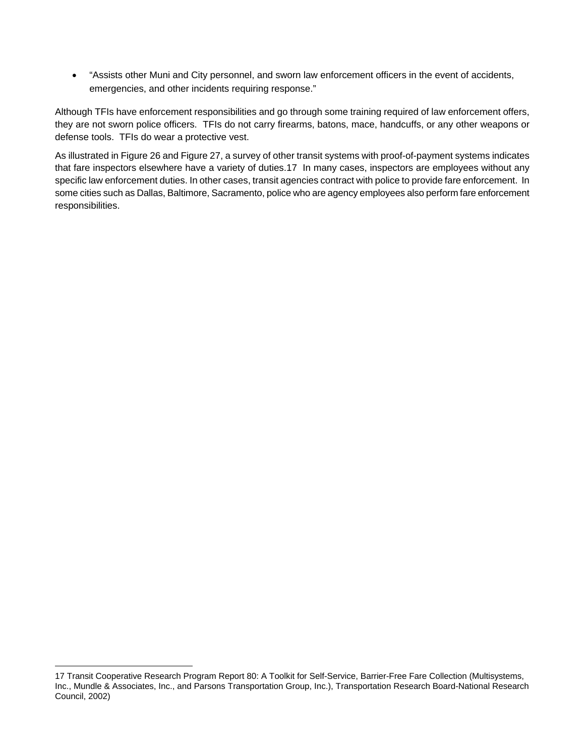"Assists other Muni and City personnel, and sworn law enforcement officers in the event of accidents, emergencies, and other incidents requiring response."

Although TFIs have enforcement responsibilities and go through some training required of law enforcement offers, they are not sworn police officers. TFIs do not carry firearms, batons, mace, handcuffs, or any other weapons or defense tools. TFIs do wear a protective vest.

As illustrated in [Figure 26](#page-40-0) and [Figure 27,](#page-41-0) a survey of other transit systems with proof-of-payment systems indicates that fare inspectors elsewhere have a variety of duties.17 In many cases, inspectors are employees without any specific law enforcement duties. In other cases, transit agencies contract with police to provide fare enforcement. In some cities such as Dallas, Baltimore, Sacramento, police who are agency employees also perform fare enforcement responsibilities.

 $\overline{a}$ 

<sup>17</sup> Transit Cooperative Research Program Report 80: A Toolkit for Self-Service, Barrier-Free Fare Collection (Multisystems, Inc., Mundle & Associates, Inc., and Parsons Transportation Group, Inc.), Transportation Research Board-National Research Council, 2002)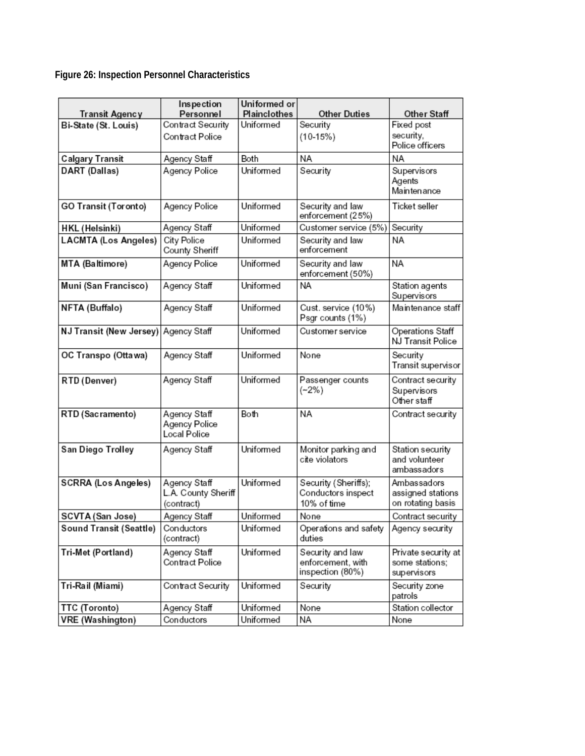<span id="page-40-0"></span>**Figure 26: Inspection Personnel Characteristics** 

|                                        | Inspection<br>Personnel                           | Uniformed or<br>Plainclothes | <b>Other Duties</b>                                       | Other Staff                                           |
|----------------------------------------|---------------------------------------------------|------------------------------|-----------------------------------------------------------|-------------------------------------------------------|
| Transit Agency<br>Bi-State (St. Louis) | Contract Security                                 | Uniformed                    | Security                                                  | Fixed post                                            |
|                                        | Contract Police                                   |                              | $(10-15%)$                                                | security,<br>Police officers                          |
| <b>Calgary Transit</b>                 | Agency Staff                                      | Both                         | NA                                                        | NA                                                    |
| DART (Dallas)                          | Agency Police                                     | Uniformed                    | Security                                                  | Supervisors<br>Agents<br>Maintenance                  |
| <b>GO Transit (Toronto)</b>            | Agency Police                                     | Uniformed                    | Security and law<br>enforcement (25%)                     | Ticket seller                                         |
| <b>HKL</b> (Helsinki)                  | Agency Staff                                      | Uniformed                    | Customer service (5%)                                     | Security                                              |
| <b>LACMTA (Los Angeles)</b>            | City Police<br>County Sheriff                     | Uniformed                    | Security and law<br>enforcement                           | NA                                                    |
| MTA (Baltimore)                        | Agency Police                                     | Uniformed                    | Security and law<br>enforcement (50%)                     | ΝA                                                    |
| Muni (San Francisco)                   | Agency Staff                                      | Uniformed                    | NA                                                        | Station agents<br>Supervisors                         |
| NFTA (Buffalo)                         | Agency Staff                                      | Uniformed                    | Cust. service (10%)<br>Psgr counts (1%)                   | Maintenance staff                                     |
| NJ Transit (New Jersey)                | Agency Staff                                      | Uniformed                    | Customer service                                          | <b>Operations Staff</b><br>NJ Transit Police          |
| OC Transpo (Ottawa)                    | Agency Staff                                      | Uniformed                    | None                                                      | Security<br>Transit supervisor                        |
| RTD (Denver)                           | Agency Staff                                      | Uniformed                    | Passenger counts<br>$(-2%)$                               | Contract security<br>Supervisors<br>Other staff       |
| RTD (Sacramento)                       | Agency Staff<br>Agency Police<br>Local Police     | Both                         | NA                                                        | Contract security                                     |
| San Diego Trolley                      | Agency Staff                                      | Uniformed                    | Monitor parking and<br>cite violators                     | Station security<br>and volunteer<br>ambassadors      |
| <b>SCRRA (Los Angeles)</b>             | Agency Staff<br>L.A. County Sheriff<br>(contract) | Uniformed                    | Security (Sheriffs);<br>Conductors inspect<br>10% of time | Ambassadors<br>assigned stations<br>on rotating basis |
| SCVTA (San Jose)                       | Agency Staff                                      | Uniformed                    | None                                                      | Contract security                                     |
| Sound Transit (Seattle)                | Conductors<br>(contract)                          | Uniformed                    | Operations and safety<br>duties                           | Agency security                                       |
| Tri-Met (Portland)                     | Agency Staff<br>Contract Police                   | Uniformed                    | Security and law<br>enforcement, with<br>inspection (80%) | Private security at<br>some stations;<br>supervisors  |
| Tri-Rail (Miami)                       | Contract Security                                 | Uniformed                    | Security                                                  | Security zone<br>patrols                              |
| TTC (Toronto)                          | Agency Staff                                      | Uniformed                    | None                                                      | Station collector                                     |
| <b>VRE</b> (Washington)                | Conductors                                        | Uniformed                    | ΝA                                                        | None                                                  |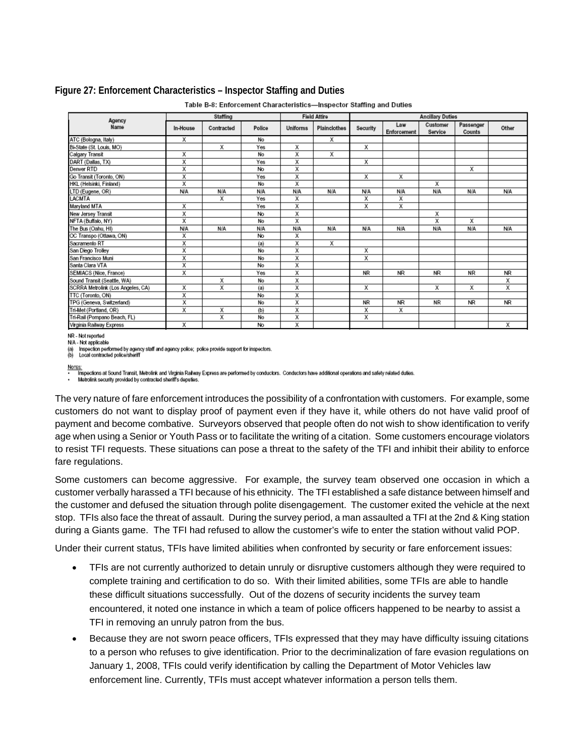#### <span id="page-41-0"></span>**Figure 27: Enforcement Characteristics – Inspector Staffing and Duties**

| Agency                                     |            | Staffing   |            |          | <b>Field Attire</b><br><b>Ancillary Duties</b> |            |                    |                     |                     |            |
|--------------------------------------------|------------|------------|------------|----------|------------------------------------------------|------------|--------------------|---------------------|---------------------|------------|
| Name                                       | In-House   | Contracted | Police     | Uniforms | Plainclothes                                   | Security   | Law<br>Enforcement | Customer<br>Service | Passenger<br>Counts | Other      |
| ATC (Bologna, Italy)                       | Х          |            | No         |          | Х                                              |            |                    |                     |                     |            |
| Bi-State (St. Louis, MO)                   |            | х          | Yes        | Χ        |                                                | Х          |                    |                     |                     |            |
| Calgary Transit                            | Χ          |            | No         | X        | Χ                                              |            |                    |                     |                     |            |
| DART (Dallas, TX)                          | Х          |            | Yes        | χ        |                                                | х          |                    |                     |                     |            |
| Denver <sub>RTD</sub>                      | Χ          |            | No         | Χ        |                                                |            |                    |                     | Х                   |            |
| Go Transit (Toronto, ON)                   | Χ          |            | Yes        | χ        |                                                | х          | χ                  |                     |                     |            |
| HKL (Helsinki, Finland)                    | Χ          |            | No         | X        |                                                |            |                    | X                   |                     |            |
| LTD (Eugene, OR)<br>LACMTA<br>Maryland MTA | <b>N/A</b> | N/A        | N/A        | N/A      | N/A                                            | <b>N/A</b> | N/A                | N/A                 | N/A                 | N/A        |
|                                            |            | х          | Yes        | х        |                                                | X          | χ                  |                     |                     |            |
|                                            | Χ          |            | Yes        | Χ        |                                                | Χ          | Χ                  |                     |                     |            |
| New Jersey Transit<br>NFTA (Buffalo, NY)   | Χ          |            | No         | χ        |                                                |            |                    | Χ                   |                     |            |
|                                            | Χ          |            | No         | Χ        |                                                |            |                    | Χ                   | X                   |            |
| The Bus (Oahu, HI)                         | <b>N/A</b> | N/A        | <b>N/A</b> | N/A      | N/A                                            | <b>N/A</b> | N/A                | N/A                 | N/A                 | <b>N/A</b> |
| OC Transpo (Ottawa, ON)                    | Χ          |            | No         | Χ        |                                                |            |                    |                     |                     |            |
| Sacramento RT                              | Χ          |            | (a)        | X        | X                                              |            |                    |                     |                     |            |
| San Diego Trolley                          | Χ          |            | No         | χ        |                                                | Х          |                    |                     |                     |            |
| San Francisco Muni                         | Χ          |            | No         | χ        |                                                | Χ          |                    |                     |                     |            |
| Santa Clara VTA                            | X          |            | No         | χ        |                                                |            |                    |                     |                     |            |
| SEMIACS (Nice, France)                     | Χ          |            | Yes        | χ        |                                                | <b>NR</b>  | <b>NR</b>          | <b>NR</b>           | <b>NR</b>           | <b>NR</b>  |
| Sound Transit (Seattle, WA)                |            | Χ          | No         | χ        |                                                |            |                    |                     |                     | X          |
| SCRRA Metrolink (Los Angeles, CA)          | Χ          | Χ          | (a)        | χ        |                                                | х          |                    | X                   | Х                   | X          |
| TTC (Toronto, ON)                          | Χ          |            | No         | χ        |                                                |            |                    |                     |                     |            |
| TPG (Geneva, Switzerland)                  | χ          |            | No         | χ        |                                                | <b>NR</b>  | <b>NR</b>          | <b>NR</b>           | <b>NR</b>           | <b>NR</b>  |
| Tri-Met (Portland, OR)                     | Χ          | Χ          | (b)        | χ        |                                                | Χ          | Х                  |                     |                     |            |
| Tri-Rail (Pompano Beach, FL)               |            | Χ          | No         | χ        |                                                | Χ          |                    |                     |                     |            |
| Virginia Railway Express                   | Х          |            | No         | X        |                                                |            |                    |                     |                     | X          |

Table B-8: Enforcement Characteristics-Inspector Staffing and Duties

NR - Not reported N/A - Not applicable

(a) Inspection performed by agency staff and agency police; police provide support for inspectors.<br>(b) Local contracted police/sheriff

NOTES:

<u>...</u><br>Inspections at Sound Transit, Metrolink and Virginia Railway Express are performed by conductors. Conductors have additional operations and safety related duties.

Metrolink security provided by contracted sheriff's deputies.

The very nature of fare enforcement introduces the possibility of a confrontation with customers. For example, some customers do not want to display proof of payment even if they have it, while others do not have valid proof of payment and become combative. Surveyors observed that people often do not wish to show identification to verify age when using a Senior or Youth Pass or to facilitate the writing of a citation. Some customers encourage violators to resist TFI requests. These situations can pose a threat to the safety of the TFI and inhibit their ability to enforce fare regulations.

Some customers can become aggressive. For example, the survey team observed one occasion in which a customer verbally harassed a TFI because of his ethnicity. The TFI established a safe distance between himself and the customer and defused the situation through polite disengagement. The customer exited the vehicle at the next stop. TFIs also face the threat of assault. During the survey period, a man assaulted a TFI at the 2nd & King station during a Giants game. The TFI had refused to allow the customer's wife to enter the station without valid POP.

Under their current status, TFIs have limited abilities when confronted by security or fare enforcement issues:

- TFIs are not currently authorized to detain unruly or disruptive customers although they were required to complete training and certification to do so. With their limited abilities, some TFIs are able to handle these difficult situations successfully. Out of the dozens of security incidents the survey team encountered, it noted one instance in which a team of police officers happened to be nearby to assist a TFI in removing an unruly patron from the bus.
- Because they are not sworn peace officers, TFIs expressed that they may have difficulty issuing citations to a person who refuses to give identification. Prior to the decriminalization of fare evasion regulations on January 1, 2008, TFIs could verify identification by calling the Department of Motor Vehicles law enforcement line. Currently, TFIs must accept whatever information a person tells them.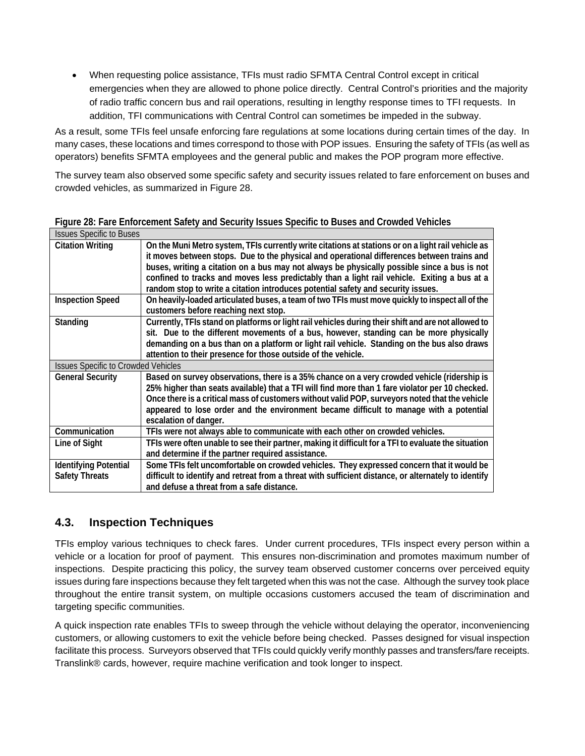When requesting police assistance, TFIs must radio SFMTA Central Control except in critical emergencies when they are allowed to phone police directly. Central Control's priorities and the majority of radio traffic concern bus and rail operations, resulting in lengthy response times to TFI requests. In addition, TFI communications with Central Control can sometimes be impeded in the subway.

As a result, some TFIs feel unsafe enforcing fare regulations at some locations during certain times of the day. In many cases, these locations and times correspond to those with POP issues. Ensuring the safety of TFIs (as well as operators) benefits SFMTA employees and the general public and makes the POP program more effective.

The survey team also observed some specific safety and security issues related to fare enforcement on buses and crowded vehicles, as summarized in [Figure 28.](#page-42-0)

| Figure 28: Fare Enforcement Safety and Security Issues Specific to Buses and Crowded Vehicles |
|-----------------------------------------------------------------------------------------------|
|-----------------------------------------------------------------------------------------------|

<span id="page-42-0"></span>

| <b>Issues Specific to Buses</b>            |                                                                                                                                         |
|--------------------------------------------|-----------------------------------------------------------------------------------------------------------------------------------------|
| <b>Citation Writing</b>                    | On the Muni Metro system, TFIs currently write citations at stations or on a light rail vehicle as                                      |
|                                            | it moves between stops. Due to the physical and operational differences between trains and                                              |
|                                            | buses, writing a citation on a bus may not always be physically possible since a bus is not                                             |
|                                            | confined to tracks and moves less predictably than a light rail vehicle. Exiting a bus at a                                             |
|                                            | random stop to write a citation introduces potential safety and security issues.                                                        |
| <b>Inspection Speed</b>                    | On heavily-loaded articulated buses, a team of two TFIs must move quickly to inspect all of the<br>customers before reaching next stop. |
| Standing                                   | Currently, TFIs stand on platforms or light rail vehicles during their shift and are not allowed to                                     |
|                                            | sit. Due to the different movements of a bus, however, standing can be more physically                                                  |
|                                            | demanding on a bus than on a platform or light rail vehicle. Standing on the bus also draws                                             |
|                                            | attention to their presence for those outside of the vehicle.                                                                           |
| <b>Issues Specific to Crowded Vehicles</b> |                                                                                                                                         |
| <b>General Security</b>                    | Based on survey observations, there is a 35% chance on a very crowded vehicle (ridership is                                             |
|                                            | 25% higher than seats available) that a TFI will find more than 1 fare violator per 10 checked.                                         |
|                                            | Once there is a critical mass of customers without valid POP, surveyors noted that the vehicle                                          |
|                                            | appeared to lose order and the environment became difficult to manage with a potential                                                  |
|                                            | escalation of danger.                                                                                                                   |
| Communication                              | TFIs were not always able to communicate with each other on crowded vehicles.                                                           |
| Line of Sight                              | TFIs were often unable to see their partner, making it difficult for a TFI to evaluate the situation                                    |
|                                            | and determine if the partner required assistance.                                                                                       |
| <b>Identifying Potential</b>               | Some TFIs felt uncomfortable on crowded vehicles. They expressed concern that it would be                                               |
| <b>Safety Threats</b>                      | difficult to identify and retreat from a threat with sufficient distance, or alternately to identify                                    |
|                                            | and defuse a threat from a safe distance.                                                                                               |
|                                            |                                                                                                                                         |

# **4.3. Inspection Techniques**

TFIs employ various techniques to check fares. Under current procedures, TFIs inspect every person within a vehicle or a location for proof of payment. This ensures non-discrimination and promotes maximum number of inspections. Despite practicing this policy, the survey team observed customer concerns over perceived equity issues during fare inspections because they felt targeted when this was not the case. Although the survey took place throughout the entire transit system, on multiple occasions customers accused the team of discrimination and targeting specific communities.

A quick inspection rate enables TFIs to sweep through the vehicle without delaying the operator, inconveniencing customers, or allowing customers to exit the vehicle before being checked. Passes designed for visual inspection facilitate this process. Surveyors observed that TFIs could quickly verify monthly passes and transfers/fare receipts. Translink® cards, however, require machine verification and took longer to inspect.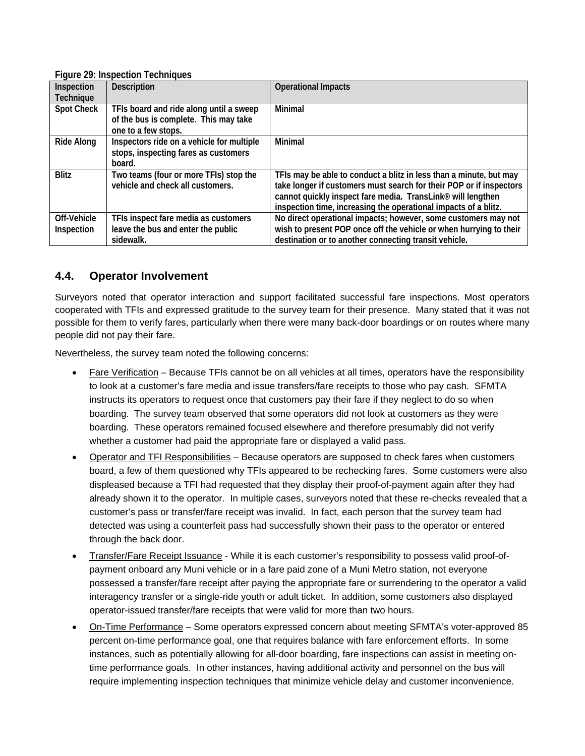|                   | i iyurc z zi inspection rechniyucs        |                                                                     |
|-------------------|-------------------------------------------|---------------------------------------------------------------------|
| Inspection        | <b>Description</b>                        | <b>Operational Impacts</b>                                          |
| Technique         |                                           |                                                                     |
| <b>Spot Check</b> | TFIs board and ride along until a sweep   | Minimal                                                             |
|                   | of the bus is complete. This may take     |                                                                     |
|                   | one to a few stops.                       |                                                                     |
| Ride Along        | Inspectors ride on a vehicle for multiple | <b>Minimal</b>                                                      |
|                   | stops, inspecting fares as customers      |                                                                     |
|                   | board.                                    |                                                                     |
| <b>Blitz</b>      | Two teams (four or more TFIs) stop the    | TFIs may be able to conduct a blitz in less than a minute, but may  |
|                   | vehicle and check all customers.          | take longer if customers must search for their POP or if inspectors |
|                   |                                           | cannot quickly inspect fare media. TransLink® will lengthen         |
|                   |                                           | inspection time, increasing the operational impacts of a blitz.     |
| Off-Vehicle       | TFIs inspect fare media as customers      | No direct operational impacts; however, some customers may not      |
| Inspection        | leave the bus and enter the public        | wish to present POP once off the vehicle or when hurrying to their  |
|                   | sidewalk.                                 | destination or to another connecting transit vehicle.               |

#### **Figure 29: Inspection Techniques**

## **4.4. Operator Involvement**

Surveyors noted that operator interaction and support facilitated successful fare inspections. Most operators cooperated with TFIs and expressed gratitude to the survey team for their presence. Many stated that it was not possible for them to verify fares, particularly when there were many back-door boardings or on routes where many people did not pay their fare.

Nevertheless, the survey team noted the following concerns:

- Fare Verification Because TFIs cannot be on all vehicles at all times, operators have the responsibility to look at a customer's fare media and issue transfers/fare receipts to those who pay cash. SFMTA instructs its operators to request once that customers pay their fare if they neglect to do so when boarding. The survey team observed that some operators did not look at customers as they were boarding. These operators remained focused elsewhere and therefore presumably did not verify whether a customer had paid the appropriate fare or displayed a valid pass.
- Operator and TFI Responsibilities Because operators are supposed to check fares when customers board, a few of them questioned why TFIs appeared to be rechecking fares. Some customers were also displeased because a TFI had requested that they display their proof-of-payment again after they had already shown it to the operator. In multiple cases, surveyors noted that these re-checks revealed that a customer's pass or transfer/fare receipt was invalid. In fact, each person that the survey team had detected was using a counterfeit pass had successfully shown their pass to the operator or entered through the back door.
- Transfer/Fare Receipt Issuance While it is each customer's responsibility to possess valid proof-ofpayment onboard any Muni vehicle or in a fare paid zone of a Muni Metro station, not everyone possessed a transfer/fare receipt after paying the appropriate fare or surrendering to the operator a valid interagency transfer or a single-ride youth or adult ticket. In addition, some customers also displayed operator-issued transfer/fare receipts that were valid for more than two hours.
- On-Time Performance Some operators expressed concern about meeting SFMTA's voter-approved 85 percent on-time performance goal, one that requires balance with fare enforcement efforts. In some instances, such as potentially allowing for all-door boarding, fare inspections can assist in meeting ontime performance goals. In other instances, having additional activity and personnel on the bus will require implementing inspection techniques that minimize vehicle delay and customer inconvenience.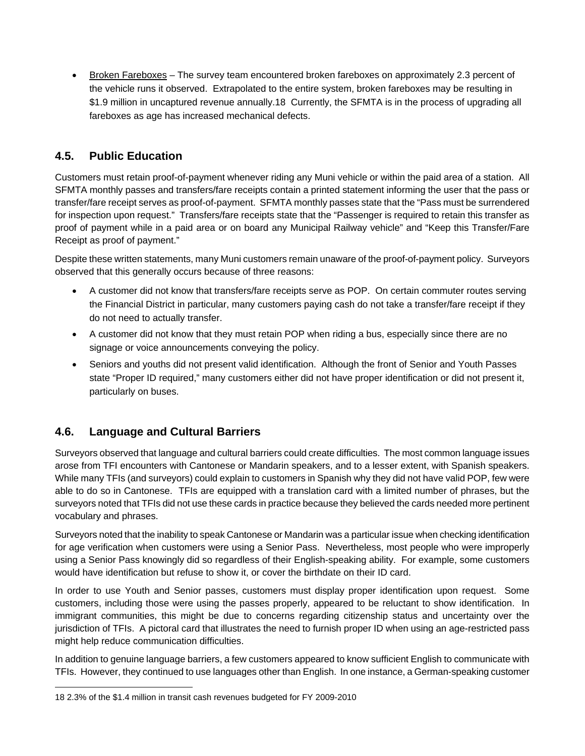Broken Fareboxes – The survey team encountered broken fareboxes on approximately 2.3 percent of the vehicle runs it observed. Extrapolated to the entire system, broken fareboxes may be resulting in \$1.9 million in uncaptured revenue annually.18 Currently, the SFMTA is in the process of upgrading all fareboxes as age has increased mechanical defects.

# **4.5. Public Education**

Customers must retain proof-of-payment whenever riding any Muni vehicle or within the paid area of a station. All SFMTA monthly passes and transfers/fare receipts contain a printed statement informing the user that the pass or transfer/fare receipt serves as proof-of-payment. SFMTA monthly passes state that the "Pass must be surrendered for inspection upon request." Transfers/fare receipts state that the "Passenger is required to retain this transfer as proof of payment while in a paid area or on board any Municipal Railway vehicle" and "Keep this Transfer/Fare Receipt as proof of payment."

Despite these written statements, many Muni customers remain unaware of the proof-of-payment policy. Surveyors observed that this generally occurs because of three reasons:

- A customer did not know that transfers/fare receipts serve as POP. On certain commuter routes serving the Financial District in particular, many customers paying cash do not take a transfer/fare receipt if they do not need to actually transfer.
- A customer did not know that they must retain POP when riding a bus, especially since there are no signage or voice announcements conveying the policy.
- Seniors and youths did not present valid identification. Although the front of Senior and Youth Passes state "Proper ID required," many customers either did not have proper identification or did not present it, particularly on buses.

# **4.6. Language and Cultural Barriers**

Surveyors observed that language and cultural barriers could create difficulties. The most common language issues arose from TFI encounters with Cantonese or Mandarin speakers, and to a lesser extent, with Spanish speakers. While many TFIs (and surveyors) could explain to customers in Spanish why they did not have valid POP, few were able to do so in Cantonese. TFIs are equipped with a translation card with a limited number of phrases, but the surveyors noted that TFIs did not use these cards in practice because they believed the cards needed more pertinent vocabulary and phrases.

Surveyors noted that the inability to speak Cantonese or Mandarin was a particular issue when checking identification for age verification when customers were using a Senior Pass. Nevertheless, most people who were improperly using a Senior Pass knowingly did so regardless of their English-speaking ability. For example, some customers would have identification but refuse to show it, or cover the birthdate on their ID card.

In order to use Youth and Senior passes, customers must display proper identification upon request. Some customers, including those were using the passes properly, appeared to be reluctant to show identification. In immigrant communities, this might be due to concerns regarding citizenship status and uncertainty over the jurisdiction of TFIs. A pictoral card that illustrates the need to furnish proper ID when using an age-restricted pass might help reduce communication difficulties.

In addition to genuine language barriers, a few customers appeared to know sufficient English to communicate with TFIs. However, they continued to use languages other than English. In one instance, a German-speaking customer

 $\overline{a}$ 18 2.3% of the \$1.4 million in transit cash revenues budgeted for FY 2009-2010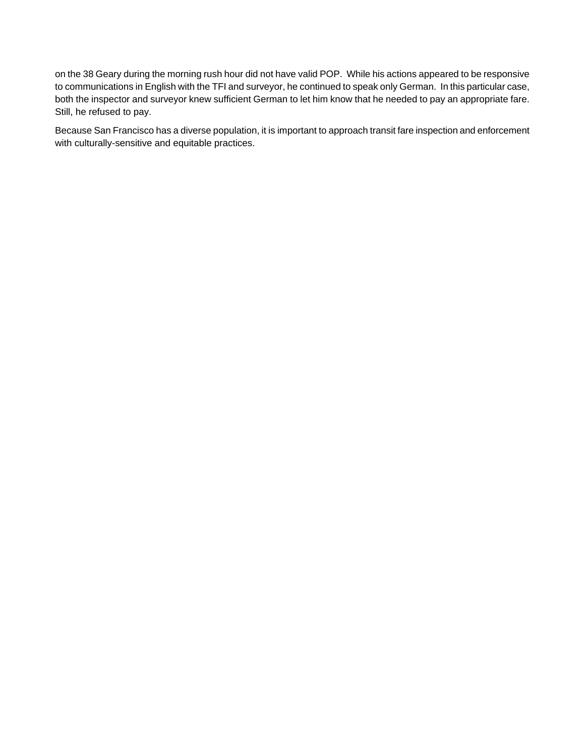on the 38 Geary during the morning rush hour did not have valid POP. While his actions appeared to be responsive to communications in English with the TFI and surveyor, he continued to speak only German. In this particular case, both the inspector and surveyor knew sufficient German to let him know that he needed to pay an appropriate fare. Still, he refused to pay.

Because San Francisco has a diverse population, it is important to approach transit fare inspection and enforcement with culturally-sensitive and equitable practices.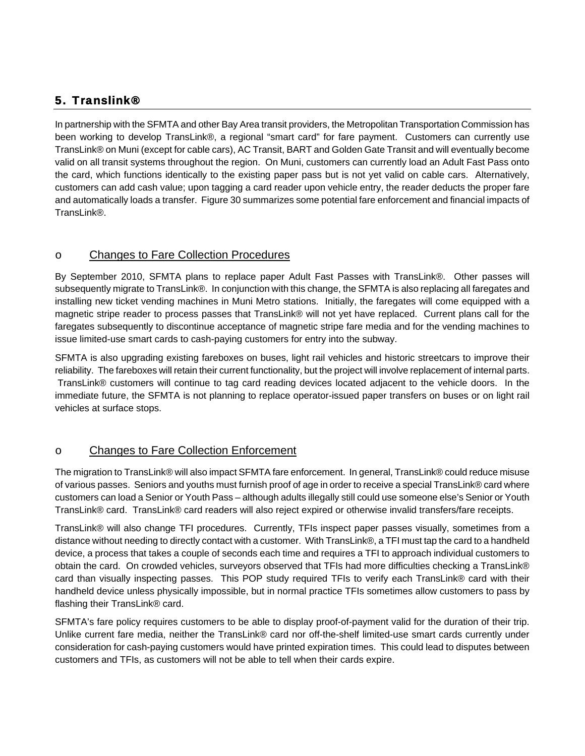# 5. Translink®

In partnership with the SFMTA and other Bay Area transit providers, the Metropolitan Transportation Commission has been working to develop TransLink®, a regional "smart card" for fare payment. Customers can currently use TransLink® on Muni (except for cable cars), AC Transit, BART and Golden Gate Transit and will eventually become valid on all transit systems throughout the region. On Muni, customers can currently load an Adult Fast Pass onto the card, which functions identically to the existing paper pass but is not yet valid on cable cars. Alternatively, customers can add cash value; upon tagging a card reader upon vehicle entry, the reader deducts the proper fare and automatically loads a transfer. [Figure 30](#page-47-0) summarizes some potential fare enforcement and financial impacts of TransLink®

## o Changes to Fare Collection Procedures

By September 2010, SFMTA plans to replace paper Adult Fast Passes with TransLink®. Other passes will subsequently migrate to TransLink®. In conjunction with this change, the SFMTA is also replacing all faregates and installing new ticket vending machines in Muni Metro stations. Initially, the faregates will come equipped with a magnetic stripe reader to process passes that TransLink® will not yet have replaced. Current plans call for the faregates subsequently to discontinue acceptance of magnetic stripe fare media and for the vending machines to issue limited-use smart cards to cash-paying customers for entry into the subway.

SFMTA is also upgrading existing fareboxes on buses, light rail vehicles and historic streetcars to improve their reliability. The fareboxes will retain their current functionality, but the project will involve replacement of internal parts. TransLink® customers will continue to tag card reading devices located adjacent to the vehicle doors. In the immediate future, the SFMTA is not planning to replace operator-issued paper transfers on buses or on light rail vehicles at surface stops.

## o Changes to Fare Collection Enforcement

The migration to TransLink® will also impact SFMTA fare enforcement. In general, TransLink® could reduce misuse of various passes. Seniors and youths must furnish proof of age in order to receive a special TransLink® card where customers can load a Senior or Youth Pass – although adults illegally still could use someone else's Senior or Youth TransLink® card. TransLink® card readers will also reject expired or otherwise invalid transfers/fare receipts.

TransLink® will also change TFI procedures. Currently, TFIs inspect paper passes visually, sometimes from a distance without needing to directly contact with a customer. With TransLink®, a TFI must tap the card to a handheld device, a process that takes a couple of seconds each time and requires a TFI to approach individual customers to obtain the card. On crowded vehicles, surveyors observed that TFIs had more difficulties checking a TransLink® card than visually inspecting passes. This POP study required TFIs to verify each TransLink® card with their handheld device unless physically impossible, but in normal practice TFIs sometimes allow customers to pass by flashing their TransLink® card.

SFMTA's fare policy requires customers to be able to display proof-of-payment valid for the duration of their trip. Unlike current fare media, neither the TransLink® card nor off-the-shelf limited-use smart cards currently under consideration for cash-paying customers would have printed expiration times. This could lead to disputes between customers and TFIs, as customers will not be able to tell when their cards expire.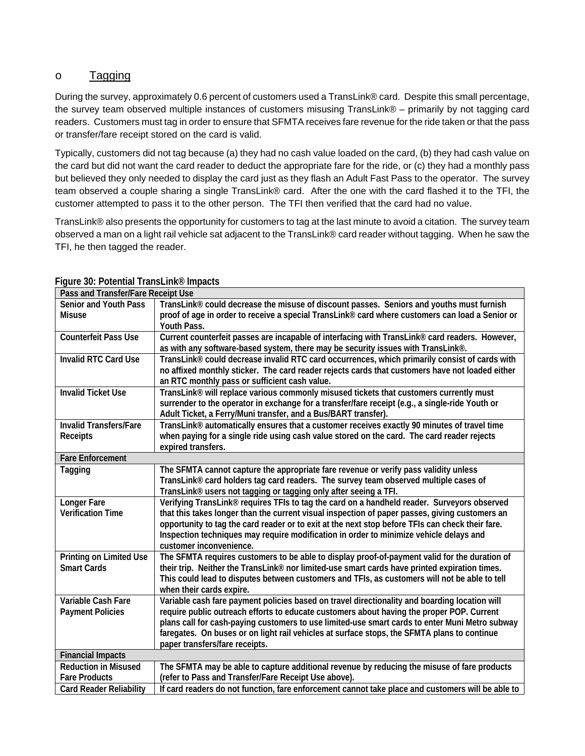## o Tagging

During the survey, approximately 0.6 percent of customers used a TransLink® card. Despite this small percentage, the survey team observed multiple instances of customers misusing TransLink® – primarily by not tagging card readers. Customers must tag in order to ensure that SFMTA receives fare revenue for the ride taken or that the pass or transfer/fare receipt stored on the card is valid.

Typically, customers did not tag because (a) they had no cash value loaded on the card, (b) they had cash value on the card but did not want the card reader to deduct the appropriate fare for the ride, or (c) they had a monthly pass but believed they only needed to display the card just as they flash an Adult Fast Pass to the operator. The survey team observed a couple sharing a single TransLink® card. After the one with the card flashed it to the TFI, the customer attempted to pass it to the other person. The TFI then verified that the card had no value.

TransLink® also presents the opportunity for customers to tag at the last minute to avoid a citation. The survey team observed a man on a light rail vehicle sat adjacent to the TransLink® card reader without tagging. When he saw the TFI, he then tagged the reader.

| Pass and Transfer/Fare Receipt Use |                                                                                                                           |
|------------------------------------|---------------------------------------------------------------------------------------------------------------------------|
| <b>Senior and Youth Pass</b>       | TransLink® could decrease the misuse of discount passes. Seniors and youths must furnish                                  |
| <b>Misuse</b>                      | proof of age in order to receive a special TransLink® card where customers can load a Senior or                           |
|                                    | Youth Pass.                                                                                                               |
| <b>Counterfeit Pass Use</b>        | Current counterfeit passes are incapable of interfacing with TransLink® card readers. However,                            |
|                                    | as with any software-based system, there may be security issues with TransLink®.                                          |
| <b>Invalid RTC Card Use</b>        | TransLink® could decrease invalid RTC card occurrences, which primarily consist of cards with                             |
|                                    | no affixed monthly sticker. The card reader rejects cards that customers have not loaded either                           |
|                                    | an RTC monthly pass or sufficient cash value.                                                                             |
| <b>Invalid Ticket Use</b>          | TransLink® will replace various commonly misused tickets that customers currently must                                    |
|                                    | surrender to the operator in exchange for a transfer/fare receipt (e.g., a single-ride Youth or                           |
|                                    | Adult Ticket, a Ferry/Muni transfer, and a Bus/BART transfer).                                                            |
| <b>Invalid Transfers/Fare</b>      | TransLink® automatically ensures that a customer receives exactly 90 minutes of travel time                               |
| Receipts                           | when paying for a single ride using cash value stored on the card. The card reader rejects                                |
|                                    | expired transfers.                                                                                                        |
| <b>Fare Enforcement</b>            |                                                                                                                           |
| Tagging                            | The SFMTA cannot capture the appropriate fare revenue or verify pass validity unless                                      |
|                                    | TransLink® card holders tag card readers. The survey team observed multiple cases of                                      |
|                                    | TransLink <sup>®</sup> users not tagging or tagging only after seeing a TFI.                                              |
| Longer Fare                        | Verifying TransLink® requires TFIs to tag the card on a handheld reader. Surveyors observed                               |
| <b>Verification Time</b>           | that this takes longer than the current visual inspection of paper passes, giving customers an                            |
|                                    | opportunity to tag the card reader or to exit at the next stop before TFIs can check their fare.                          |
|                                    | Inspection techniques may require modification in order to minimize vehicle delays and                                    |
|                                    | customer inconvenience.                                                                                                   |
| Printing on Limited Use            | The SFMTA requires customers to be able to display proof-of-payment valid for the duration of                             |
| <b>Smart Cards</b>                 | their trip. Neither the TransLink® nor limited-use smart cards have printed expiration times.                             |
|                                    | This could lead to disputes between customers and TFIs, as customers will not be able to tell                             |
| Variable Cash Fare                 | when their cards expire.<br>Variable cash fare payment policies based on travel directionality and boarding location will |
| <b>Payment Policies</b>            | require public outreach efforts to educate customers about having the proper POP. Current                                 |
|                                    | plans call for cash-paying customers to use limited-use smart cards to enter Muni Metro subway                            |
|                                    | faregates. On buses or on light rail vehicles at surface stops, the SFMTA plans to continue                               |
|                                    | paper transfers/fare receipts.                                                                                            |
| <b>Financial Impacts</b>           |                                                                                                                           |
| <b>Reduction in Misused</b>        | The SFMTA may be able to capture additional revenue by reducing the misuse of fare products                               |
| <b>Fare Products</b>               | (refer to Pass and Transfer/Fare Receipt Use above).                                                                      |
| <b>Card Reader Reliability</b>     | If card readers do not function, fare enforcement cannot take place and customers will be able to                         |
|                                    |                                                                                                                           |

#### <span id="page-47-0"></span>**Figure 30: Potential TransLink® Impacts**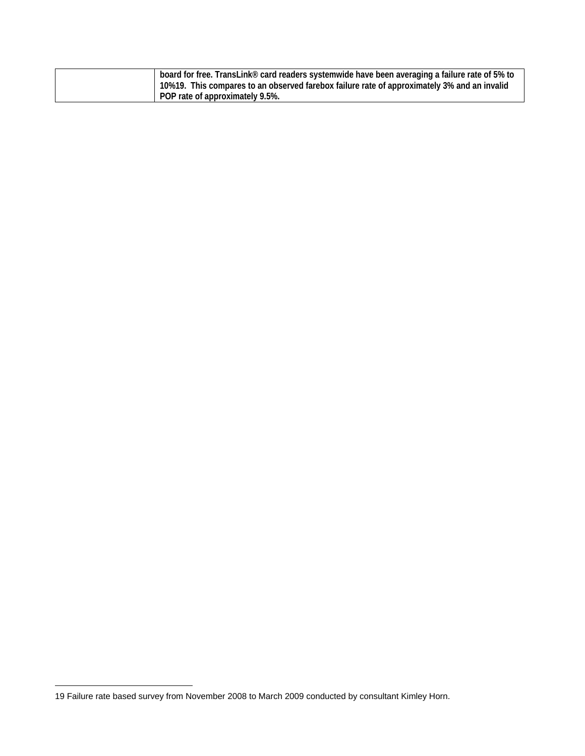|                                 | board for free. TransLink® card readers systemwide have been averaging a failure rate of 5% to |
|---------------------------------|------------------------------------------------------------------------------------------------|
|                                 | 10%19. This compares to an observed farebox failure rate of approximately 3% and an invalid    |
| POP rate of approximately 9.5%. |                                                                                                |

 $\overline{a}$ 

<sup>19</sup> Failure rate based survey from November 2008 to March 2009 conducted by consultant Kimley Horn.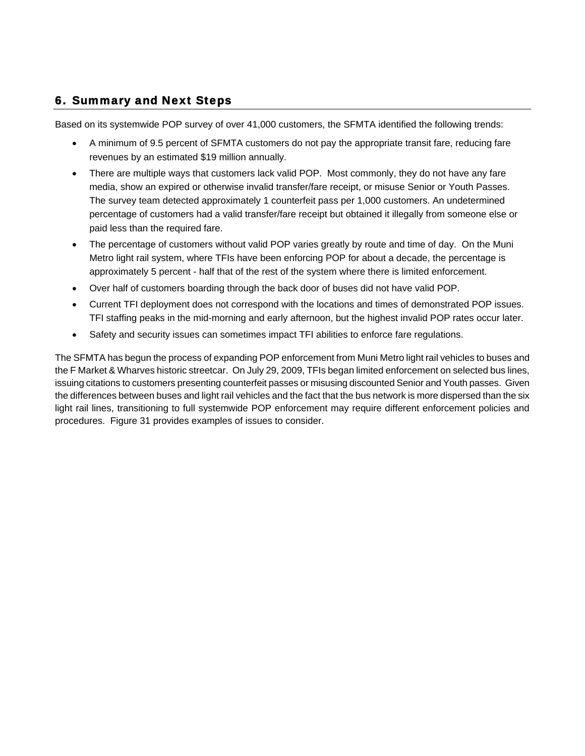# 6. Summary and Next Steps

Based on its systemwide POP survey of over 41,000 customers, the SFMTA identified the following trends:

- A minimum of 9.5 percent of SFMTA customers do not pay the appropriate transit fare, reducing fare revenues by an estimated \$19 million annually.
- There are multiple ways that customers lack valid POP. Most commonly, they do not have any fare media, show an expired or otherwise invalid transfer/fare receipt, or misuse Senior or Youth Passes. The survey team detected approximately 1 counterfeit pass per 1,000 customers. An undetermined percentage of customers had a valid transfer/fare receipt but obtained it illegally from someone else or paid less than the required fare.
- The percentage of customers without valid POP varies greatly by route and time of day. On the Muni Metro light rail system, where TFIs have been enforcing POP for about a decade, the percentage is approximately 5 percent - half that of the rest of the system where there is limited enforcement.
- Over half of customers boarding through the back door of buses did not have valid POP.
- Current TFI deployment does not correspond with the locations and times of demonstrated POP issues. TFI staffing peaks in the mid-morning and early afternoon, but the highest invalid POP rates occur later.
- Safety and security issues can sometimes impact TFI abilities to enforce fare regulations.

The SFMTA has begun the process of expanding POP enforcement from Muni Metro light rail vehicles to buses and the F Market & Wharves historic streetcar. On July 29, 2009, TFIs began limited enforcement on selected bus lines, issuing citations to customers presenting counterfeit passes or misusing discounted Senior and Youth passes. Given the differences between buses and light rail vehicles and the fact that the bus network is more dispersed than the six light rail lines, transitioning to full systemwide POP enforcement may require different enforcement policies and procedures. [Figure 31](#page-50-0) provides examples of issues to consider.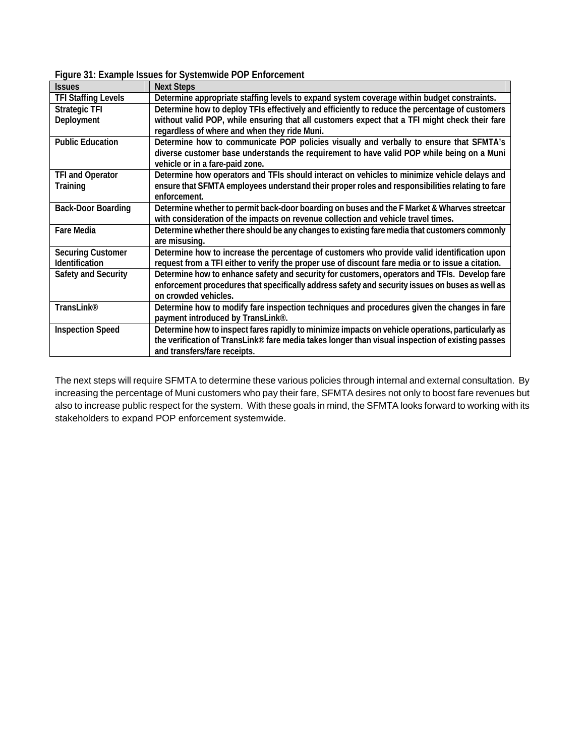| Figure 31: Example Issues for Systemwide POP Enforcement |
|----------------------------------------------------------|
|----------------------------------------------------------|

<span id="page-50-0"></span>

| <b>Issues</b>              | <b>Next Steps</b>                                                                                 |
|----------------------------|---------------------------------------------------------------------------------------------------|
| <b>TFI Staffing Levels</b> | Determine appropriate staffing levels to expand system coverage within budget constraints.        |
| <b>Strategic TFI</b>       | Determine how to deploy TFIs effectively and efficiently to reduce the percentage of customers    |
| Deployment                 | without valid POP, while ensuring that all customers expect that a TFI might check their fare     |
|                            | regardless of where and when they ride Muni.                                                      |
| <b>Public Education</b>    | Determine how to communicate POP policies visually and verbally to ensure that SFMTA's            |
|                            | diverse customer base understands the requirement to have valid POP while being on a Muni         |
|                            | vehicle or in a fare-paid zone.                                                                   |
| <b>TFI and Operator</b>    | Determine how operators and TFIs should interact on vehicles to minimize vehicle delays and       |
| Training                   | ensure that SFMTA employees understand their proper roles and responsibilities relating to fare   |
|                            | enforcement.                                                                                      |
| <b>Back-Door Boarding</b>  | Determine whether to permit back-door boarding on buses and the F Market & Wharves streetcar      |
|                            | with consideration of the impacts on revenue collection and vehicle travel times.                 |
| <b>Fare Media</b>          | Determine whether there should be any changes to existing fare media that customers commonly      |
|                            | are misusing.                                                                                     |
| <b>Securing Customer</b>   | Determine how to increase the percentage of customers who provide valid identification upon       |
| <b>Identification</b>      | request from a TFI either to verify the proper use of discount fare media or to issue a citation. |
| Safety and Security        | Determine how to enhance safety and security for customers, operators and TFIs. Develop fare      |
|                            | enforcement procedures that specifically address safety and security issues on buses as well as   |
|                            | on crowded vehicles.                                                                              |
| TransLink <sup>®</sup>     | Determine how to modify fare inspection techniques and procedures given the changes in fare       |
|                            | payment introduced by TransLink®.                                                                 |
| <b>Inspection Speed</b>    | Determine how to inspect fares rapidly to minimize impacts on vehicle operations, particularly as |
|                            | the verification of TransLink® fare media takes longer than visual inspection of existing passes  |
|                            | and transfers/fare receipts.                                                                      |

The next steps will require SFMTA to determine these various policies through internal and external consultation. By increasing the percentage of Muni customers who pay their fare, SFMTA desires not only to boost fare revenues but also to increase public respect for the system. With these goals in mind, the SFMTA looks forward to working with its stakeholders to expand POP enforcement systemwide.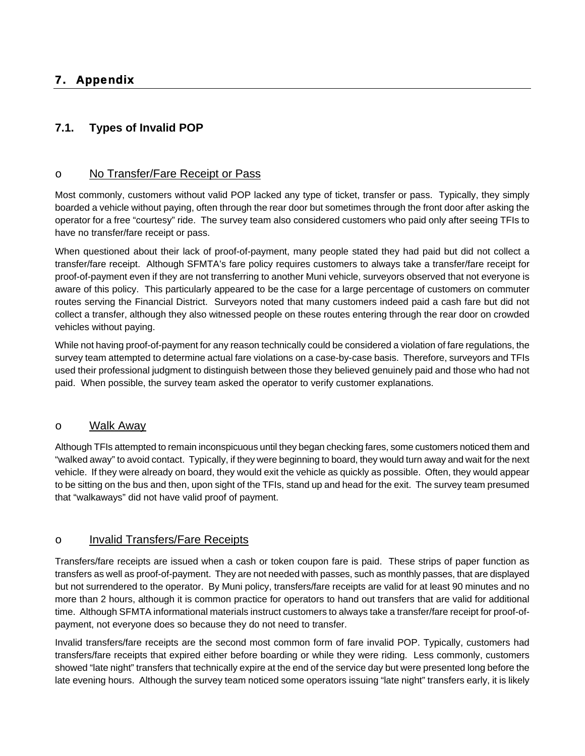# **7.1. Types of Invalid POP**

## o No Transfer/Fare Receipt or Pass

Most commonly, customers without valid POP lacked any type of ticket, transfer or pass. Typically, they simply boarded a vehicle without paying, often through the rear door but sometimes through the front door after asking the operator for a free "courtesy" ride. The survey team also considered customers who paid only after seeing TFIs to have no transfer/fare receipt or pass.

When questioned about their lack of proof-of-payment, many people stated they had paid but did not collect a transfer/fare receipt. Although SFMTA's fare policy requires customers to always take a transfer/fare receipt for proof-of-payment even if they are not transferring to another Muni vehicle, surveyors observed that not everyone is aware of this policy. This particularly appeared to be the case for a large percentage of customers on commuter routes serving the Financial District. Surveyors noted that many customers indeed paid a cash fare but did not collect a transfer, although they also witnessed people on these routes entering through the rear door on crowded vehicles without paying.

While not having proof-of-payment for any reason technically could be considered a violation of fare regulations, the survey team attempted to determine actual fare violations on a case-by-case basis. Therefore, surveyors and TFIs used their professional judgment to distinguish between those they believed genuinely paid and those who had not paid. When possible, the survey team asked the operator to verify customer explanations.

#### o Walk Away

Although TFIs attempted to remain inconspicuous until they began checking fares, some customers noticed them and "walked away" to avoid contact. Typically, if they were beginning to board, they would turn away and wait for the next vehicle. If they were already on board, they would exit the vehicle as quickly as possible. Often, they would appear to be sitting on the bus and then, upon sight of the TFIs, stand up and head for the exit. The survey team presumed that "walkaways" did not have valid proof of payment.

## o Invalid Transfers/Fare Receipts

Transfers/fare receipts are issued when a cash or token coupon fare is paid. These strips of paper function as transfers as well as proof-of-payment. They are not needed with passes, such as monthly passes, that are displayed but not surrendered to the operator. By Muni policy, transfers/fare receipts are valid for at least 90 minutes and no more than 2 hours, although it is common practice for operators to hand out transfers that are valid for additional time. Although SFMTA informational materials instruct customers to always take a transfer/fare receipt for proof-ofpayment, not everyone does so because they do not need to transfer.

Invalid transfers/fare receipts are the second most common form of fare invalid POP. Typically, customers had transfers/fare receipts that expired either before boarding or while they were riding. Less commonly, customers showed "late night" transfers that technically expire at the end of the service day but were presented long before the late evening hours. Although the survey team noticed some operators issuing "late night" transfers early, it is likely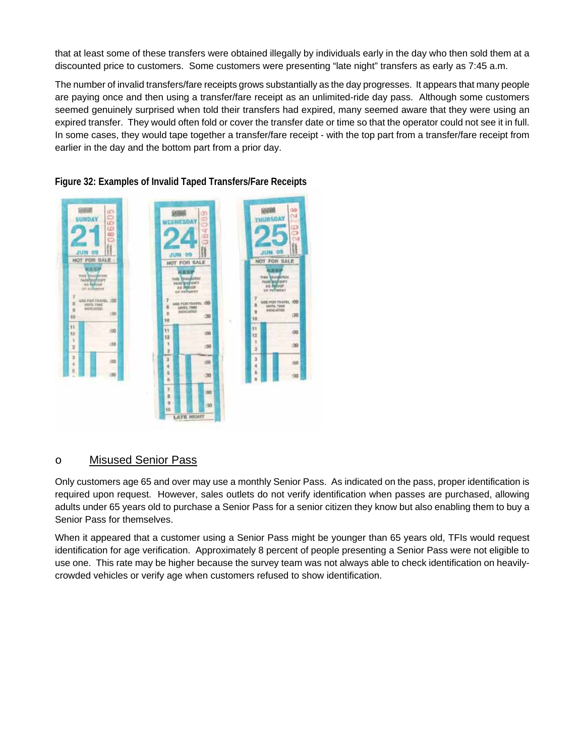that at least some of these transfers were obtained illegally by individuals early in the day who then sold them at a discounted price to customers. Some customers were presenting "late night" transfers as early as 7:45 a.m.

The number of invalid transfers/fare receipts grows substantially as the day progresses. It appears that many people are paying once and then using a transfer/fare receipt as an unlimited-ride day pass. Although some customers seemed genuinely surprised when told their transfers had expired, many seemed aware that they were using an expired transfer. They would often fold or cover the transfer date or time so that the operator could not see it in full. In some cases, they would tape together a transfer/fare receipt - with the top part from a transfer/fare receipt from earlier in the day and the bottom part from a prior day.



## **Figure 32: Examples of Invalid Taped Transfers/Fare Receipts**

## o Misused Senior Pass

Only customers age 65 and over may use a monthly Senior Pass. As indicated on the pass, proper identification is required upon request. However, sales outlets do not verify identification when passes are purchased, allowing adults under 65 years old to purchase a Senior Pass for a senior citizen they know but also enabling them to buy a Senior Pass for themselves.

When it appeared that a customer using a Senior Pass might be younger than 65 years old, TFIs would request identification for age verification. Approximately 8 percent of people presenting a Senior Pass were not eligible to use one. This rate may be higher because the survey team was not always able to check identification on heavilycrowded vehicles or verify age when customers refused to show identification.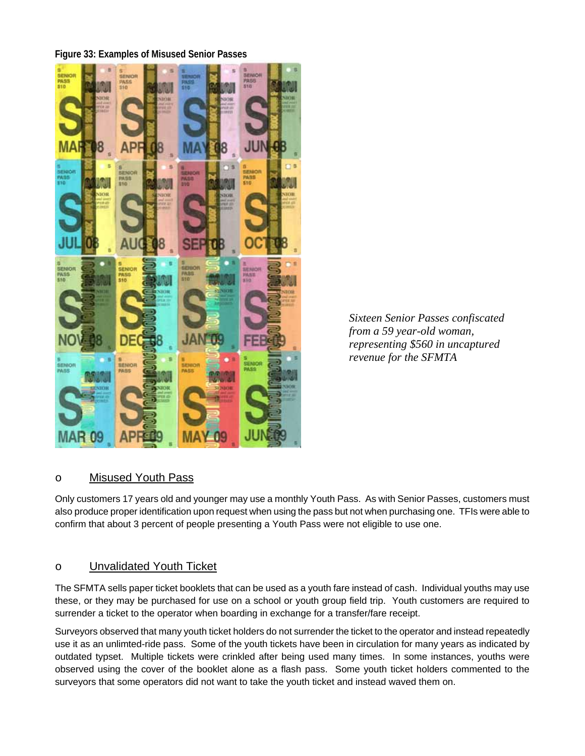## **Figure 33: Examples of Misused Senior Passes**



*Sixteen Senior Passes confiscated from a 59 year-old woman, representing \$560 in uncaptured revenue for the SFMTA* 

## o Misused Youth Pass

Only customers 17 years old and younger may use a monthly Youth Pass. As with Senior Passes, customers must also produce proper identification upon request when using the pass but not when purchasing one. TFIs were able to confirm that about 3 percent of people presenting a Youth Pass were not eligible to use one.

## o Unvalidated Youth Ticket

The SFMTA sells paper ticket booklets that can be used as a youth fare instead of cash. Individual youths may use these, or they may be purchased for use on a school or youth group field trip. Youth customers are required to surrender a ticket to the operator when boarding in exchange for a transfer/fare receipt.

Surveyors observed that many youth ticket holders do not surrender the ticket to the operator and instead repeatedly use it as an unlimted-ride pass. Some of the youth tickets have been in circulation for many years as indicated by outdated typset. Multiple tickets were crinkled after being used many times. In some instances, youths were observed using the cover of the booklet alone as a flash pass. Some youth ticket holders commented to the surveyors that some operators did not want to take the youth ticket and instead waved them on.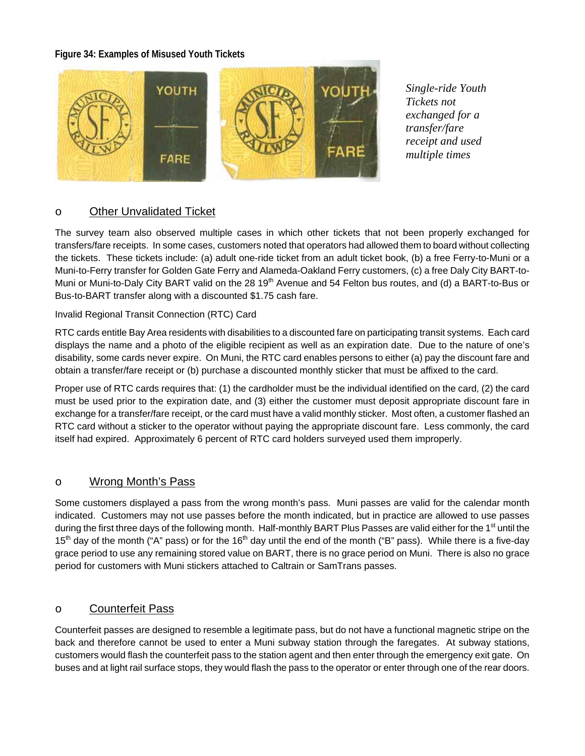#### **Figure 34: Examples of Misused Youth Tickets**



*Single-ride Youth Tickets not exchanged for a transfer/fare receipt and used multiple times*

## o Other Unvalidated Ticket

The survey team also observed multiple cases in which other tickets that not been properly exchanged for transfers/fare receipts. In some cases, customers noted that operators had allowed them to board without collecting the tickets. These tickets include: (a) adult one-ride ticket from an adult ticket book, (b) a free Ferry-to-Muni or a Muni-to-Ferry transfer for Golden Gate Ferry and Alameda-Oakland Ferry customers, (c) a free Daly City BART-to-Muni or Muni-to-Daly City BART valid on the 28 19<sup>th</sup> Avenue and 54 Felton bus routes, and (d) a BART-to-Bus or Bus-to-BART transfer along with a discounted \$1.75 cash fare.

#### Invalid Regional Transit Connection (RTC) Card

RTC cards entitle Bay Area residents with disabilities to a discounted fare on participating transit systems. Each card displays the name and a photo of the eligible recipient as well as an expiration date. Due to the nature of one's disability, some cards never expire. On Muni, the RTC card enables persons to either (a) pay the discount fare and obtain a transfer/fare receipt or (b) purchase a discounted monthly sticker that must be affixed to the card.

Proper use of RTC cards requires that: (1) the cardholder must be the individual identified on the card, (2) the card must be used prior to the expiration date, and (3) either the customer must deposit appropriate discount fare in exchange for a transfer/fare receipt, or the card must have a valid monthly sticker. Most often, a customer flashed an RTC card without a sticker to the operator without paying the appropriate discount fare. Less commonly, the card itself had expired. Approximately 6 percent of RTC card holders surveyed used them improperly.

## o Wrong Month's Pass

Some customers displayed a pass from the wrong month's pass. Muni passes are valid for the calendar month indicated. Customers may not use passes before the month indicated, but in practice are allowed to use passes during the first three days of the following month. Half-monthly BART Plus Passes are valid either for the 1<sup>st</sup> until the 15<sup>th</sup> day of the month ("A" pass) or for the 16<sup>th</sup> day until the end of the month ("B" pass). While there is a five-day grace period to use any remaining stored value on BART, there is no grace period on Muni. There is also no grace period for customers with Muni stickers attached to Caltrain or SamTrans passes.

## o Counterfeit Pass

Counterfeit passes are designed to resemble a legitimate pass, but do not have a functional magnetic stripe on the back and therefore cannot be used to enter a Muni subway station through the faregates. At subway stations, customers would flash the counterfeit pass to the station agent and then enter through the emergency exit gate. On buses and at light rail surface stops, they would flash the pass to the operator or enter through one of the rear doors.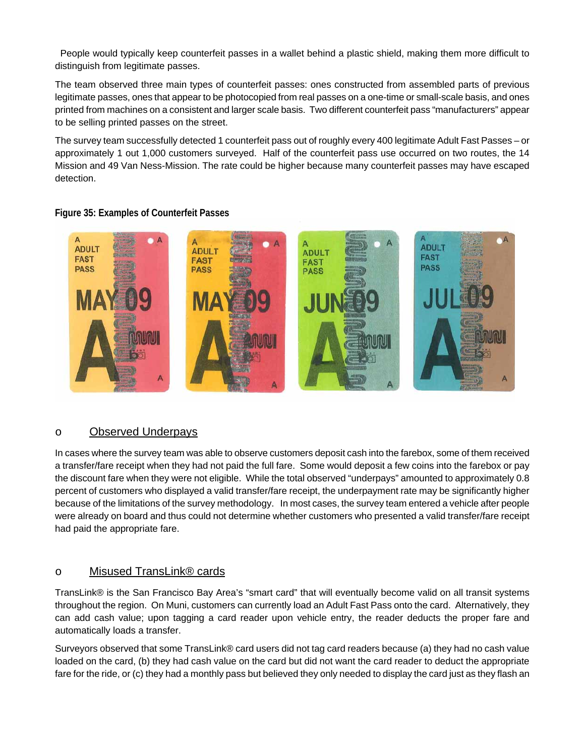People would typically keep counterfeit passes in a wallet behind a plastic shield, making them more difficult to distinguish from legitimate passes.

The team observed three main types of counterfeit passes: ones constructed from assembled parts of previous legitimate passes, ones that appear to be photocopied from real passes on a one-time or small-scale basis, and ones printed from machines on a consistent and larger scale basis. Two different counterfeit pass "manufacturers" appear to be selling printed passes on the street.

The survey team successfully detected 1 counterfeit pass out of roughly every 400 legitimate Adult Fast Passes – or approximately 1 out 1,000 customers surveyed. Half of the counterfeit pass use occurred on two routes, the 14 Mission and 49 Van Ness-Mission. The rate could be higher because many counterfeit passes may have escaped detection.



## **Figure 35: Examples of Counterfeit Passes**

## o Observed Underpays

In cases where the survey team was able to observe customers deposit cash into the farebox, some of them received a transfer/fare receipt when they had not paid the full fare. Some would deposit a few coins into the farebox or pay the discount fare when they were not eligible. While the total observed "underpays" amounted to approximately 0.8 percent of customers who displayed a valid transfer/fare receipt, the underpayment rate may be significantly higher because of the limitations of the survey methodology. In most cases, the survey team entered a vehicle after people were already on board and thus could not determine whether customers who presented a valid transfer/fare receipt had paid the appropriate fare.

## o Misused TransLink® cards

TransLink® is the San Francisco Bay Area's "smart card" that will eventually become valid on all transit systems throughout the region. On Muni, customers can currently load an Adult Fast Pass onto the card. Alternatively, they can add cash value; upon tagging a card reader upon vehicle entry, the reader deducts the proper fare and automatically loads a transfer.

Surveyors observed that some TransLink® card users did not tag card readers because (a) they had no cash value loaded on the card, (b) they had cash value on the card but did not want the card reader to deduct the appropriate fare for the ride, or (c) they had a monthly pass but believed they only needed to display the card just as they flash an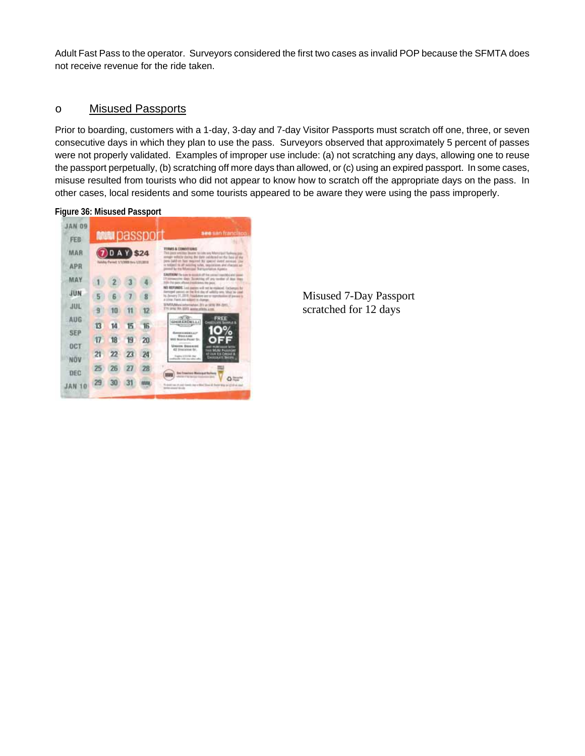Adult Fast Pass to the operator. Surveyors considered the first two cases as invalid POP because the SFMTA does not receive revenue for the ride taken.

#### o Misused Passports

Prior to boarding, customers with a 1-day, 3-day and 7-day Visitor Passports must scratch off one, three, or seven consecutive days in which they plan to use the pass. Surveyors observed that approximately 5 percent of passes were not properly validated. Examples of improper use include: (a) not scratching any days, allowing one to reuse the passport perpetually, (b) scratching off more days than allowed, or (c) using an expired passport. In some cases, misuse resulted from tourists who did not appear to know how to scratch off the appropriate days on the pass. In other cases, local residents and some tourists appeared to be aware they were using the pass improperly.

#### **Figure 36: Misused Passport**



Misused 7-Day Passport scratched for 12 days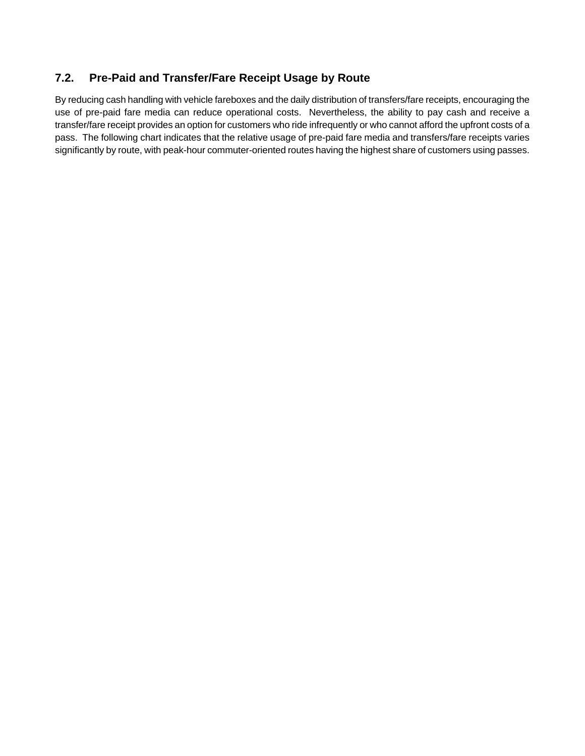# **7.2. Pre-Paid and Transfer/Fare Receipt Usage by Route**

By reducing cash handling with vehicle fareboxes and the daily distribution of transfers/fare receipts, encouraging the use of pre-paid fare media can reduce operational costs. Nevertheless, the ability to pay cash and receive a transfer/fare receipt provides an option for customers who ride infrequently or who cannot afford the upfront costs of a pass. The following chart indicates that the relative usage of pre-paid fare media and transfers/fare receipts varies significantly by route, with peak-hour commuter-oriented routes having the highest share of customers using passes.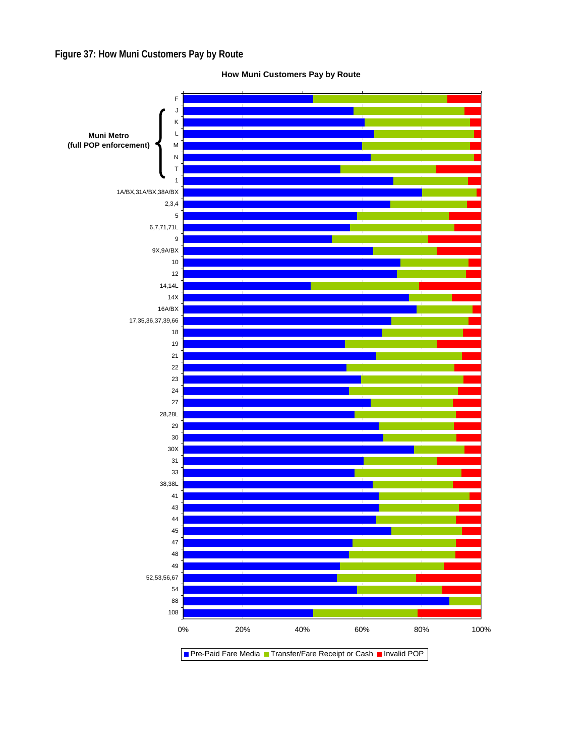**Figure 37: How Muni Customers Pay by Route** 



**How Muni Customers Pay by Route**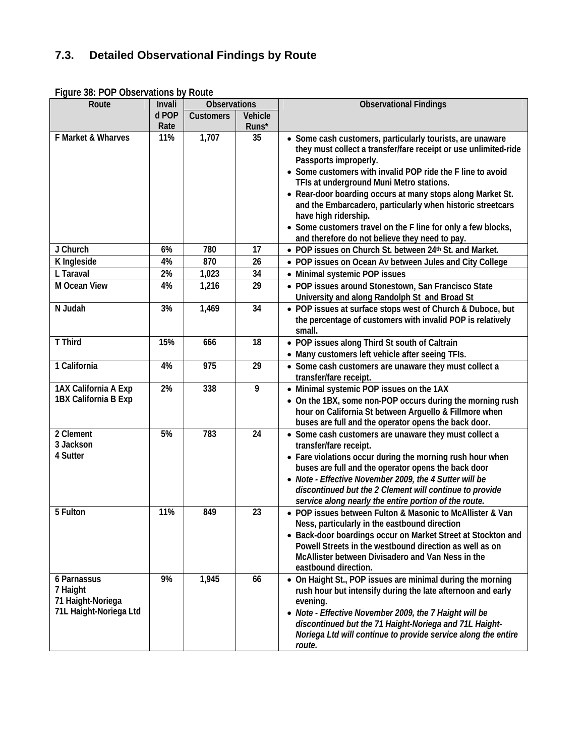# **7.3. Detailed Observational Findings by Route**

| Route                                                                  | Invali | <b>Observations</b> |         | <b>Observational Findings</b>                                                                                                                                                                                                                                                                                                                                                                                                                                                                                                         |
|------------------------------------------------------------------------|--------|---------------------|---------|---------------------------------------------------------------------------------------------------------------------------------------------------------------------------------------------------------------------------------------------------------------------------------------------------------------------------------------------------------------------------------------------------------------------------------------------------------------------------------------------------------------------------------------|
|                                                                        | d POP  | <b>Customers</b>    | Vehicle |                                                                                                                                                                                                                                                                                                                                                                                                                                                                                                                                       |
|                                                                        | Rate   |                     | Runs*   |                                                                                                                                                                                                                                                                                                                                                                                                                                                                                                                                       |
| F Market & Wharves                                                     | 11%    | 1,707               | 35      | • Some cash customers, particularly tourists, are unaware<br>they must collect a transfer/fare receipt or use unlimited-ride<br>Passports improperly.<br>• Some customers with invalid POP ride the F line to avoid<br>TFIs at underground Muni Metro stations.<br>• Rear-door boarding occurs at many stops along Market St.<br>and the Embarcadero, particularly when historic streetcars<br>have high ridership.<br>• Some customers travel on the F line for only a few blocks,<br>and therefore do not believe they need to pay. |
| J Church                                                               | 6%     | 780                 | 17      | • POP issues on Church St. between 24th St. and Market.                                                                                                                                                                                                                                                                                                                                                                                                                                                                               |
| K Ingleside                                                            | 4%     | 870                 | 26      | • POP issues on Ocean Av between Jules and City College                                                                                                                                                                                                                                                                                                                                                                                                                                                                               |
| L Taraval                                                              | 2%     | 1,023               | 34      | • Minimal systemic POP issues                                                                                                                                                                                                                                                                                                                                                                                                                                                                                                         |
| M Ocean View                                                           | 4%     | 1,216               | 29      | • POP issues around Stonestown, San Francisco State<br>University and along Randolph St and Broad St                                                                                                                                                                                                                                                                                                                                                                                                                                  |
| N Judah                                                                | 3%     | 1,469               | 34      | • POP issues at surface stops west of Church & Duboce, but<br>the percentage of customers with invalid POP is relatively<br>small.                                                                                                                                                                                                                                                                                                                                                                                                    |
| <b>T</b> Third                                                         | 15%    | 666                 | 18      | • POP issues along Third St south of Caltrain                                                                                                                                                                                                                                                                                                                                                                                                                                                                                         |
|                                                                        |        |                     |         | • Many customers left vehicle after seeing TFIs.                                                                                                                                                                                                                                                                                                                                                                                                                                                                                      |
| 1 California                                                           | 4%     | 975                 | 29      | • Some cash customers are unaware they must collect a<br>transfer/fare receipt.                                                                                                                                                                                                                                                                                                                                                                                                                                                       |
| 1AX California A Exp<br>1BX California B Exp                           | 2%     | 338                 | 9       | • Minimal systemic POP issues on the 1AX<br>• On the 1BX, some non-POP occurs during the morning rush<br>hour on California St between Arguello & Fillmore when<br>buses are full and the operator opens the back door.                                                                                                                                                                                                                                                                                                               |
| 2 Clement<br>3 Jackson<br>4 Sutter                                     | 5%     | 783                 | 24      | • Some cash customers are unaware they must collect a<br>transfer/fare receipt.<br>• Fare violations occur during the morning rush hour when<br>buses are full and the operator opens the back door<br>• Note - Effective November 2009, the 4 Sutter will be<br>discontinued but the 2 Clement will continue to provide<br>service along nearly the entire portion of the route.                                                                                                                                                     |
| 5 Fulton                                                               | 11%    | 849                 | 23      | • POP issues between Fulton & Masonic to McAllister & Van<br>Ness, particularly in the eastbound direction<br>• Back-door boardings occur on Market Street at Stockton and<br>Powell Streets in the westbound direction as well as on<br>McAllister between Divisadero and Van Ness in the<br>eastbound direction.                                                                                                                                                                                                                    |
| 6 Parnassus<br>7 Haight<br>71 Haight-Noriega<br>71L Haight-Noriega Ltd | 9%     | 1,945               | 66      | • On Haight St., POP issues are minimal during the morning<br>rush hour but intensify during the late afternoon and early<br>evening.<br>• Note - Effective November 2009, the 7 Haight will be<br>discontinued but the 71 Haight-Noriega and 71L Haight-<br>Noriega Ltd will continue to provide service along the entire<br>route.                                                                                                                                                                                                  |

**Figure 38: POP Observations by Route**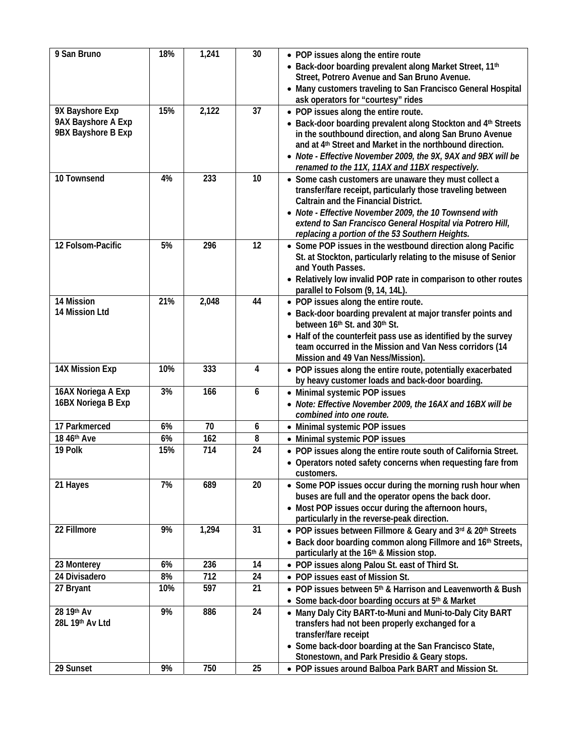| 9 San Bruno                                                 | 18% | 1,241 | 30 | • POP issues along the entire route<br>• Back-door boarding prevalent along Market Street, 11th<br>Street, Potrero Avenue and San Bruno Avenue.<br>• Many customers traveling to San Francisco General Hospital<br>ask operators for "courtesy" rides                                                                                                         |
|-------------------------------------------------------------|-----|-------|----|---------------------------------------------------------------------------------------------------------------------------------------------------------------------------------------------------------------------------------------------------------------------------------------------------------------------------------------------------------------|
| 9X Bayshore Exp<br>9AX Bayshore A Exp<br>9BX Bayshore B Exp | 15% | 2,122 | 37 | • POP issues along the entire route.<br>• Back-door boarding prevalent along Stockton and 4th Streets<br>in the southbound direction, and along San Bruno Avenue<br>and at 4 <sup>th</sup> Street and Market in the northbound direction.<br>• Note - Effective November 2009, the 9X, 9AX and 9BX will be<br>renamed to the 11X, 11AX and 11BX respectively. |
| 10 Townsend                                                 | 4%  | 233   | 10 | • Some cash customers are unaware they must collect a<br>transfer/fare receipt, particularly those traveling between<br>Caltrain and the Financial District.<br>• Note - Effective November 2009, the 10 Townsend with<br>extend to San Francisco General Hospital via Potrero Hill,<br>replacing a portion of the 53 Southern Heights.                       |
| 12 Folsom-Pacific                                           | 5%  | 296   | 12 | • Some POP issues in the westbound direction along Pacific<br>St. at Stockton, particularly relating to the misuse of Senior<br>and Youth Passes.<br>• Relatively low invalid POP rate in comparison to other routes<br>parallel to Folsom (9, 14, 14L).                                                                                                      |
| 14 Mission<br>14 Mission Ltd                                | 21% | 2,048 | 44 | • POP issues along the entire route.<br>• Back-door boarding prevalent at major transfer points and<br>between 16th St. and 30th St.<br>• Half of the counterfeit pass use as identified by the survey<br>team occurred in the Mission and Van Ness corridors (14<br>Mission and 49 Van Ness/Mission).                                                        |
| 14X Mission Exp                                             | 10% | 333   | 4  | • POP issues along the entire route, potentially exacerbated<br>by heavy customer loads and back-door boarding.                                                                                                                                                                                                                                               |
| 16AX Noriega A Exp<br>16BX Noriega B Exp                    | 3%  | 166   | 6  | • Minimal systemic POP issues<br>• Note: Effective November 2009, the 16AX and 16BX will be<br>combined into one route.                                                                                                                                                                                                                                       |
| 17 Parkmerced                                               | 6%  | 70    | 6  | • Minimal systemic POP issues                                                                                                                                                                                                                                                                                                                                 |
| 18 46th Ave                                                 | 6%  | 162   | 8  | • Minimal systemic POP issues                                                                                                                                                                                                                                                                                                                                 |
| 19 Polk                                                     | 15% | 714   | 24 | • POP issues along the entire route south of California Street.<br>• Operators noted safety concerns when requesting fare from<br>customers.                                                                                                                                                                                                                  |
| 21 Hayes                                                    | 7%  | 689   | 20 | • Some POP issues occur during the morning rush hour when<br>buses are full and the operator opens the back door.<br>• Most POP issues occur during the afternoon hours,<br>particularly in the reverse-peak direction.                                                                                                                                       |
| 22 Fillmore                                                 | 9%  | 1,294 | 31 | • POP issues between Fillmore & Geary and 3rd & 20th Streets<br>• Back door boarding common along Fillmore and 16th Streets,<br>particularly at the 16th & Mission stop.                                                                                                                                                                                      |
| 23 Monterey                                                 | 6%  | 236   | 14 | • POP issues along Palou St. east of Third St.                                                                                                                                                                                                                                                                                                                |
| 24 Divisadero                                               | 8%  | 712   | 24 | • POP issues east of Mission St.                                                                                                                                                                                                                                                                                                                              |
| 27 Bryant                                                   | 10% | 597   | 21 | • POP issues between 5 <sup>th</sup> & Harrison and Leavenworth & Bush<br>• Some back-door boarding occurs at 5th & Market                                                                                                                                                                                                                                    |
| 28 19th Av<br>28L 19th Av Ltd                               | 9%  | 886   | 24 | • Many Daly City BART-to-Muni and Muni-to-Daly City BART<br>transfers had not been properly exchanged for a<br>transfer/fare receipt<br>• Some back-door boarding at the San Francisco State,<br>Stonestown, and Park Presidio & Geary stops.                                                                                                                 |
| 29 Sunset                                                   | 9%  | 750   | 25 | • POP issues around Balboa Park BART and Mission St.                                                                                                                                                                                                                                                                                                          |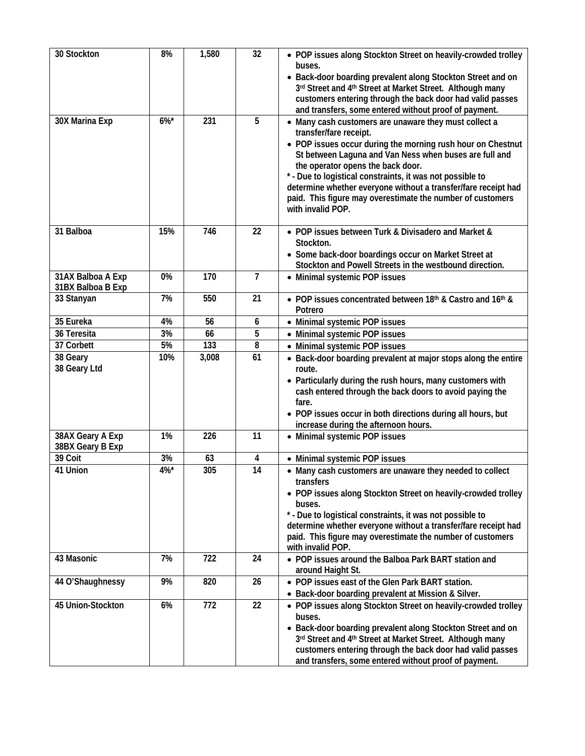| 30 Stockton                            | 8%      | 1,580 | 32                      | • POP issues along Stockton Street on heavily-crowded trolley<br>buses.<br>• Back-door boarding prevalent along Stockton Street and on<br>3rd Street and 4th Street at Market Street. Although many<br>customers entering through the back door had valid passes<br>and transfers, some entered without proof of payment.                                                                                                                                       |
|----------------------------------------|---------|-------|-------------------------|-----------------------------------------------------------------------------------------------------------------------------------------------------------------------------------------------------------------------------------------------------------------------------------------------------------------------------------------------------------------------------------------------------------------------------------------------------------------|
| 30X Marina Exp                         | $6\%$ * | 231   | 5                       | • Many cash customers are unaware they must collect a<br>transfer/fare receipt.<br>• POP issues occur during the morning rush hour on Chestnut<br>St between Laguna and Van Ness when buses are full and<br>the operator opens the back door.<br>* - Due to logistical constraints, it was not possible to<br>determine whether everyone without a transfer/fare receipt had<br>paid. This figure may overestimate the number of customers<br>with invalid POP. |
| 31 Balboa                              | 15%     | 746   | 22                      | • POP issues between Turk & Divisadero and Market &<br>Stockton.<br>• Some back-door boardings occur on Market Street at<br>Stockton and Powell Streets in the westbound direction.                                                                                                                                                                                                                                                                             |
| 31AX Balboa A Exp<br>31BX Balboa B Exp | 0%      | 170   | $\overline{7}$          | • Minimal systemic POP issues                                                                                                                                                                                                                                                                                                                                                                                                                                   |
| 33 Stanyan                             | 7%      | 550   | 21                      | • POP issues concentrated between 18th & Castro and 16th &<br>Potrero                                                                                                                                                                                                                                                                                                                                                                                           |
| 35 Eureka                              | 4%      | 56    | 6                       | • Minimal systemic POP issues                                                                                                                                                                                                                                                                                                                                                                                                                                   |
| 36 Teresita                            | 3%      | 66    | 5                       | • Minimal systemic POP issues                                                                                                                                                                                                                                                                                                                                                                                                                                   |
| 37 Corbett                             | 5%      | 133   | 8                       | • Minimal systemic POP issues                                                                                                                                                                                                                                                                                                                                                                                                                                   |
| 38 Geary<br>38 Geary Ltd               | 10%     | 3,008 | 61                      | • Back-door boarding prevalent at major stops along the entire<br>route.<br>• Particularly during the rush hours, many customers with<br>cash entered through the back doors to avoid paying the<br>fare.<br>• POP issues occur in both directions during all hours, but<br>increase during the afternoon hours.                                                                                                                                                |
| 38AX Geary A Exp<br>38BX Geary B Exp   | 1%      | 226   | 11                      | • Minimal systemic POP issues                                                                                                                                                                                                                                                                                                                                                                                                                                   |
| 39 Coit                                | 3%      | 63    | $\overline{\mathbf{4}}$ | • Minimal systemic POP issues                                                                                                                                                                                                                                                                                                                                                                                                                                   |
| 41 Union                               | 4%      | 305   | 14                      | • Many cash customers are unaware they needed to collect<br>transfers<br>• POP issues along Stockton Street on heavily-crowded trolley<br>buses.<br>* - Due to logistical constraints, it was not possible to<br>determine whether everyone without a transfer/fare receipt had<br>paid. This figure may overestimate the number of customers<br>with invalid POP.                                                                                              |
| 43 Masonic                             | 7%      | 722   | 24                      | • POP issues around the Balboa Park BART station and<br>around Haight St.                                                                                                                                                                                                                                                                                                                                                                                       |
| 44 O'Shaughnessy                       | 9%      | 820   | 26                      | • POP issues east of the Glen Park BART station.<br>• Back-door boarding prevalent at Mission & Silver.                                                                                                                                                                                                                                                                                                                                                         |
| 45 Union-Stockton                      | 6%      | 772   | 22                      | • POP issues along Stockton Street on heavily-crowded trolley<br>buses.<br>• Back-door boarding prevalent along Stockton Street and on<br>3rd Street and 4th Street at Market Street. Although many<br>customers entering through the back door had valid passes<br>and transfers, some entered without proof of payment.                                                                                                                                       |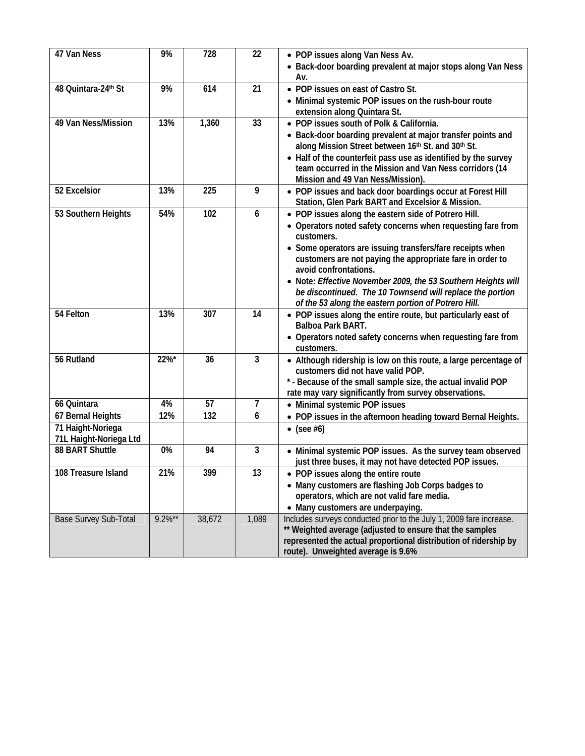| 47 Van Ness            | 9%        | 728    | 22    | • POP issues along Van Ness Av.<br>• Back-door boarding prevalent at major stops along Van Ness                                                                |
|------------------------|-----------|--------|-------|----------------------------------------------------------------------------------------------------------------------------------------------------------------|
|                        |           |        |       | Av.                                                                                                                                                            |
| 48 Quintara-24th St    | 9%        | 614    | 21    | • POP issues on east of Castro St.                                                                                                                             |
|                        |           |        |       | • Minimal systemic POP issues on the rush-bour route<br>extension along Quintara St.                                                                           |
| 49 Van Ness/Mission    | 13%       | 1,360  | 33    | • POP issues south of Polk & California.                                                                                                                       |
|                        |           |        |       | • Back-door boarding prevalent at major transfer points and<br>along Mission Street between 16th St. and 30th St.                                              |
|                        |           |        |       | • Half of the counterfeit pass use as identified by the survey<br>team occurred in the Mission and Van Ness corridors (14<br>Mission and 49 Van Ness/Mission). |
| 52 Excelsior           | 13%       | 225    | 9     | • POP issues and back door boardings occur at Forest Hill<br>Station, Glen Park BART and Excelsior & Mission.                                                  |
| 53 Southern Heights    | 54%       | 102    | 6     | • POP issues along the eastern side of Potrero Hill.                                                                                                           |
|                        |           |        |       | • Operators noted safety concerns when requesting fare from<br>customers.                                                                                      |
|                        |           |        |       | • Some operators are issuing transfers/fare receipts when                                                                                                      |
|                        |           |        |       | customers are not paying the appropriate fare in order to                                                                                                      |
|                        |           |        |       | avoid confrontations.                                                                                                                                          |
|                        |           |        |       | • Note: Effective November 2009, the 53 Southern Heights will                                                                                                  |
|                        |           |        |       | be discontinued. The 10 Townsend will replace the portion                                                                                                      |
| 54 Felton              | 13%       | 307    | 14    | of the 53 along the eastern portion of Potrero Hill.                                                                                                           |
|                        |           |        |       | • POP issues along the entire route, but particularly east of<br>Balboa Park BART.                                                                             |
|                        |           |        |       | • Operators noted safety concerns when requesting fare from<br>customers.                                                                                      |
| 56 Rutland             | 22%*      | 36     | 3     | • Although ridership is low on this route, a large percentage of                                                                                               |
|                        |           |        |       | customers did not have valid POP.                                                                                                                              |
|                        |           |        |       | * - Because of the small sample size, the actual invalid POP                                                                                                   |
| 66 Quintara            | 4%        | 57     | 7     | rate may vary significantly from survey observations.<br>• Minimal systemic POP issues                                                                         |
| 67 Bernal Heights      | 12%       | 132    | 6     | • POP issues in the afternoon heading toward Bernal Heights.                                                                                                   |
| 71 Haight-Noriega      |           |        |       | $\bullet$ (see #6)                                                                                                                                             |
| 71L Haight-Noriega Ltd |           |        |       |                                                                                                                                                                |
| 88 BART Shuttle        | 0%        | 94     | 3     | • Minimal systemic POP issues. As the survey team observed                                                                                                     |
| 108 Treasure Island    | 21%       | 399    | 13    | just three buses, it may not have detected POP issues.                                                                                                         |
|                        |           |        |       | • POP issues along the entire route<br>• Many customers are flashing Job Corps badges to                                                                       |
|                        |           |        |       | operators, which are not valid fare media.                                                                                                                     |
|                        |           |        |       | • Many customers are underpaying.                                                                                                                              |
| Base Survey Sub-Total  | $9.2%$ ** | 38,672 | 1,089 | Includes surveys conducted prior to the July 1, 2009 fare increase.                                                                                            |
|                        |           |        |       | ** Weighted average (adjusted to ensure that the samples                                                                                                       |
|                        |           |        |       | represented the actual proportional distribution of ridership by                                                                                               |
|                        |           |        |       | route). Unweighted average is 9.6%                                                                                                                             |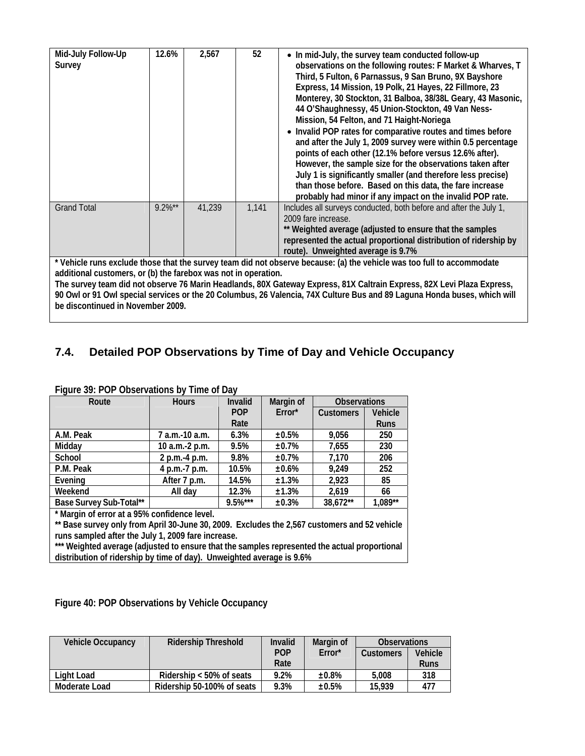| Mid-July Follow-Up<br>Survey                                                                                                                                                                                                                       | 12.6%     | 2,567  | 52    | • In mid-July, the survey team conducted follow-up<br>observations on the following routes: F Market & Wharves, T<br>Third, 5 Fulton, 6 Parnassus, 9 San Bruno, 9X Bayshore<br>Express, 14 Mission, 19 Polk, 21 Hayes, 22 Fillmore, 23<br>Monterey, 30 Stockton, 31 Balboa, 38/38L Geary, 43 Masonic,<br>44 O'Shaughnessy, 45 Union-Stockton, 49 Van Ness-<br>Mission, 54 Felton, and 71 Haight-Noriega<br>• Invalid POP rates for comparative routes and times before<br>and after the July 1, 2009 survey were within 0.5 percentage<br>points of each other (12.1% before versus 12.6% after).<br>However, the sample size for the observations taken after<br>July 1 is significantly smaller (and therefore less precise)<br>than those before. Based on this data, the fare increase<br>probably had minor if any impact on the invalid POP rate. |  |  |
|----------------------------------------------------------------------------------------------------------------------------------------------------------------------------------------------------------------------------------------------------|-----------|--------|-------|---------------------------------------------------------------------------------------------------------------------------------------------------------------------------------------------------------------------------------------------------------------------------------------------------------------------------------------------------------------------------------------------------------------------------------------------------------------------------------------------------------------------------------------------------------------------------------------------------------------------------------------------------------------------------------------------------------------------------------------------------------------------------------------------------------------------------------------------------------|--|--|
| <b>Grand Total</b>                                                                                                                                                                                                                                 | $9.2\%**$ | 41,239 | 1,141 | Includes all surveys conducted, both before and after the July 1,<br>2009 fare increase.<br>** Weighted average (adjusted to ensure that the samples<br>represented the actual proportional distribution of ridership by<br>route). Unweighted average is 9.7%                                                                                                                                                                                                                                                                                                                                                                                                                                                                                                                                                                                          |  |  |
|                                                                                                                                                                                                                                                    |           |        |       | * Vehicle runs exclude those that the survey team did not observe because: (a) the vehicle was too full to accommodate                                                                                                                                                                                                                                                                                                                                                                                                                                                                                                                                                                                                                                                                                                                                  |  |  |
| additional customers, or (b) the farebox was not in operation.                                                                                                                                                                                     |           |        |       |                                                                                                                                                                                                                                                                                                                                                                                                                                                                                                                                                                                                                                                                                                                                                                                                                                                         |  |  |
|                                                                                                                                                                                                                                                    |           |        |       |                                                                                                                                                                                                                                                                                                                                                                                                                                                                                                                                                                                                                                                                                                                                                                                                                                                         |  |  |
| The survey team did not observe 76 Marin Headlands, 80X Gateway Express, 81X Caltrain Express, 82X Levi Plaza Express,<br>90 Owl or 91 Owl special services or the 20 Columbus, 26 Valencia, 74X Culture Bus and 89 Laguna Honda buses, which will |           |        |       |                                                                                                                                                                                                                                                                                                                                                                                                                                                                                                                                                                                                                                                                                                                                                                                                                                                         |  |  |
|                                                                                                                                                                                                                                                    |           |        |       |                                                                                                                                                                                                                                                                                                                                                                                                                                                                                                                                                                                                                                                                                                                                                                                                                                                         |  |  |
| be discontinued in November 2009.                                                                                                                                                                                                                  |           |        |       |                                                                                                                                                                                                                                                                                                                                                                                                                                                                                                                                                                                                                                                                                                                                                                                                                                                         |  |  |

# **7.4. Detailed POP Observations by Time of Day and Vehicle Occupancy**

| Route                   | <b>Hours</b>   | Invalid    | Margin of | <b>Observations</b> |             |
|-------------------------|----------------|------------|-----------|---------------------|-------------|
|                         |                | <b>POP</b> | Error*    | <b>Customers</b>    | Vehicle     |
|                         |                | Rate       |           |                     | <b>Runs</b> |
| A.M. Peak               | 7 a.m.-10 a.m. | 6.3%       | ±0.5%     | 9,056               | 250         |
| Midday                  | 10 a.m.-2 p.m. | 9.5%       | ±0.7%     | 7,655               | 230         |
| School                  | 2 p.m.-4 p.m.  | 9.8%       | ±0.7%     | 7,170               | 206         |
| P.M. Peak               | 4 p.m.-7 p.m.  | 10.5%      | ±0.6%     | 9,249               | 252         |
| Evening                 | After 7 p.m.   | 14.5%      | ±1.3%     | 2,923               | 85          |
| Weekend                 | All day        | 12.3%      | ±1.3%     | 2,619               | 66          |
| Base Survey Sub-Total** |                | $9.5%***$  | ±0.3%     | 38,672**            | 1,089**     |
|                         |                |            |           |                     |             |

#### **Figure 39: POP Observations by Time of Day**

**\* Margin of error at a 95% confidence level.** 

**\*\* Base survey only from April 30-June 30, 2009. Excludes the 2,567 customers and 52 vehicle runs sampled after the July 1, 2009 fare increase.** 

\*\*\* Weighted average (adjusted to ensure that the samples represented the actual proportional **distribution of ridership by time of day). Unweighted average is 9.6%** 

| Figure 40: POP Observations by Vehicle Occupancy |  |
|--------------------------------------------------|--|
|--------------------------------------------------|--|

| Vehicle Occupancy | <b>Ridership Threshold</b> | Invalid    | Margin of | <b>Observations</b> |             |
|-------------------|----------------------------|------------|-----------|---------------------|-------------|
|                   |                            | <b>POP</b> | Error*    | Customers           | Vehicle     |
|                   |                            | Rate       |           |                     | <b>Runs</b> |
| Light Load        | Ridership $<$ 50% of seats | 9.2%       | $±0.8\%$  | 5.008               | 318         |
| Moderate Load     | Ridership 50-100% of seats | 9.3%       | $±0.5\%$  | 15.939              | 477         |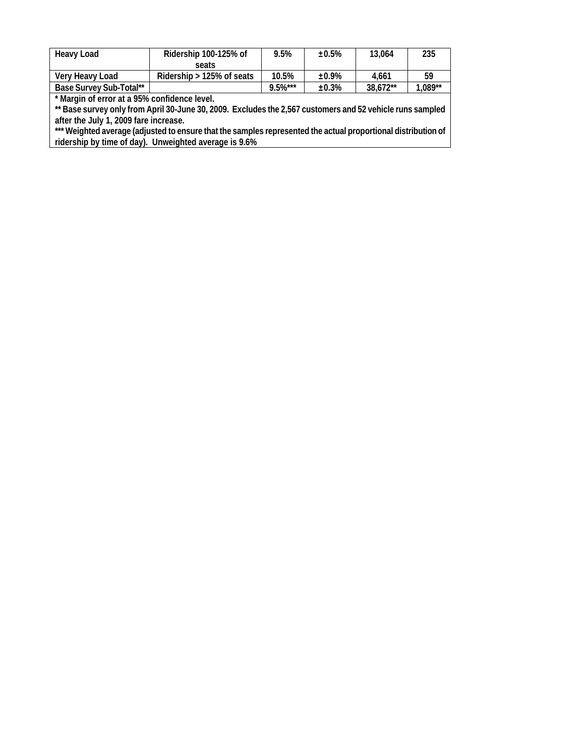| <b>Heavy Load</b>       | Ridership 100-125% of        | 9.5%        | ±0.5% | 13.064   | 235       |
|-------------------------|------------------------------|-------------|-------|----------|-----------|
|                         | seats                        |             |       |          |           |
| Very Heavy Load         | Ridership $> 125\%$ of seats | 10.5%       | ±0.9% | 4.661    | 59        |
| Base Survey Sub-Total** |                              | $9.5\%$ *** | ±0.3% | 38.672** | $1.089**$ |

**\* Margin of error at a 95% confidence level.** 

**\*\* Base survey only from April 30-June 30, 2009. Excludes the 2,567 customers and 52 vehicle runs sampled after the July 1, 2009 fare increase.** 

**\*\*\* Weighted average (adjusted to ensure that the samples represented the actual proportional distribution of ridership by time of day). Unweighted average is 9.6%**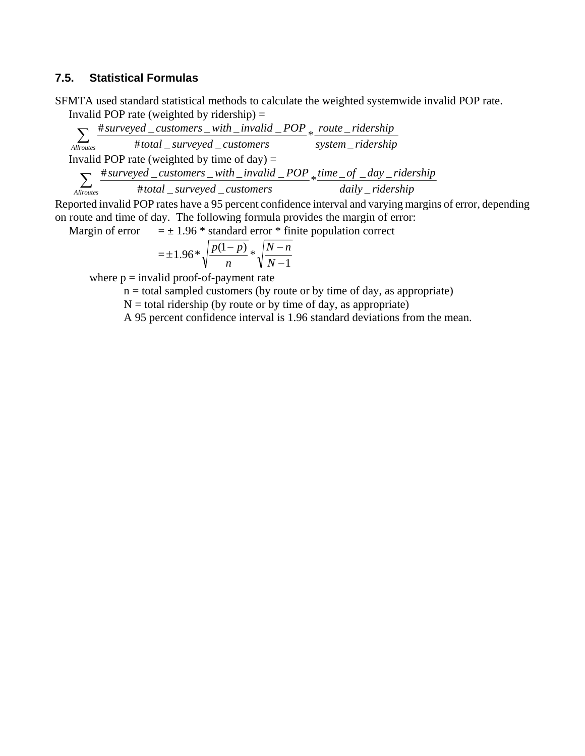#### **7.5. Statistical Formulas**

SFMTA used standard statistical methods to calculate the weighted systemwide invalid POP rate. Invalid POP rate (weighted by ridership)  $=$ 

*system ridership route ridership total surveyed customers surveyed customers with invalid POP* Allroutes #total \_surveyed \_customers system \_  $*$  <u>route</u>  $\sum_{\text{trouters}}$   $\frac{\text{\# surveyed}\_\text{cuts}}{\text{\# total}\_\text{surveyed}\_\text{cuts}}$ Invalid POP rate (weighted by time of day)  $=$ *daily ridership*  $time\_of\_day\_ridership$ *total surveyed customers surveyed customers with invalid POP*  $\overline{A_{\text{llroutes}}}$  #total \_surveyed \_customers daily \_  $*\frac{time\_of\_day}{time\_to\_xx}$  $\sum_{\text{trouters}}$   $\frac{\text{\# surveyed}\_\text{cuts}}{\text{\# total}\_\text{surveyed}\_\text{cuts}}$ 

Reported invalid POP rates have a 95 percent confidence interval and varying margins of error, depending on route and time of day. The following formula provides the margin of error:

Margin of error  $= \pm 1.96$  \* standard error \* finite population correct

$$
= \pm 1.96 * \sqrt{\frac{p(1-p)}{n}} * \sqrt{\frac{N-n}{N-1}}
$$

where  $p =$  invalid proof-of-payment rate

 $n =$  total sampled customers (by route or by time of day, as appropriate)

 $N =$  total ridership (by route or by time of day, as appropriate)

A 95 percent confidence interval is 1.96 standard deviations from the mean.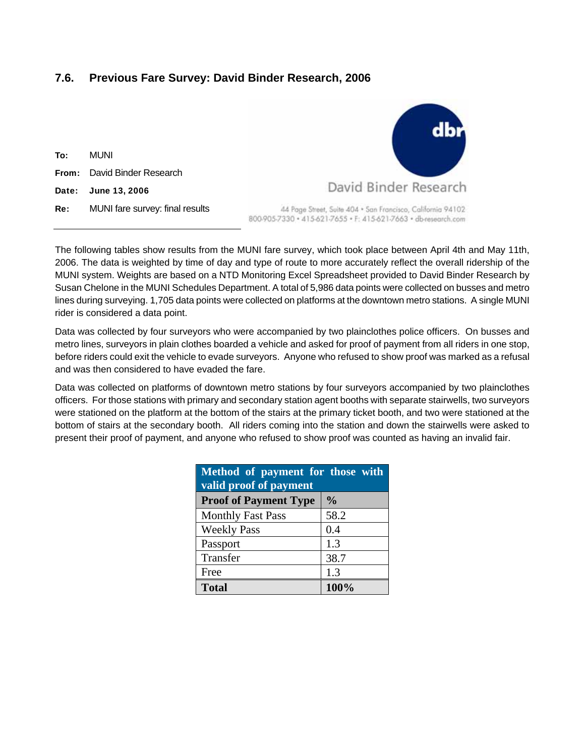## **7.6. Previous Fare Survey: David Binder Research, 2006**

To: MUNI From: David Binder Research Date: June 13, 2006 Re: MUNI fare survey: final results



44 Page Street, Suite 404 · San Francisco, California 94102 800-905-7330 · 415-621-7655 · F: 415-621-7663 · dbresearch.com

The following tables show results from the MUNI fare survey, which took place between April 4th and May 11th, 2006. The data is weighted by time of day and type of route to more accurately reflect the overall ridership of the MUNI system. Weights are based on a NTD Monitoring Excel Spreadsheet provided to David Binder Research by Susan Chelone in the MUNI Schedules Department. A total of 5,986 data points were collected on busses and metro lines during surveying. 1,705 data points were collected on platforms at the downtown metro stations. A single MUNI rider is considered a data point.

Data was collected by four surveyors who were accompanied by two plainclothes police officers. On busses and metro lines, surveyors in plain clothes boarded a vehicle and asked for proof of payment from all riders in one stop, before riders could exit the vehicle to evade surveyors. Anyone who refused to show proof was marked as a refusal and was then considered to have evaded the fare.

Data was collected on platforms of downtown metro stations by four surveyors accompanied by two plainclothes officers. For those stations with primary and secondary station agent booths with separate stairwells, two surveyors were stationed on the platform at the bottom of the stairs at the primary ticket booth, and two were stationed at the bottom of stairs at the secondary booth. All riders coming into the station and down the stairwells were asked to present their proof of payment, and anyone who refused to show proof was counted as having an invalid fair.

| Method of payment for those with<br>valid proof of payment |               |  |  |  |  |
|------------------------------------------------------------|---------------|--|--|--|--|
| <b>Proof of Payment Type</b>                               | $\frac{0}{0}$ |  |  |  |  |
| <b>Monthly Fast Pass</b>                                   | 58.2          |  |  |  |  |
| <b>Weekly Pass</b>                                         | 0.4           |  |  |  |  |
| Passport                                                   | 1.3           |  |  |  |  |
| Transfer                                                   | 38.7          |  |  |  |  |
| Free                                                       | 1.3           |  |  |  |  |
| <b>Total</b>                                               | 100%          |  |  |  |  |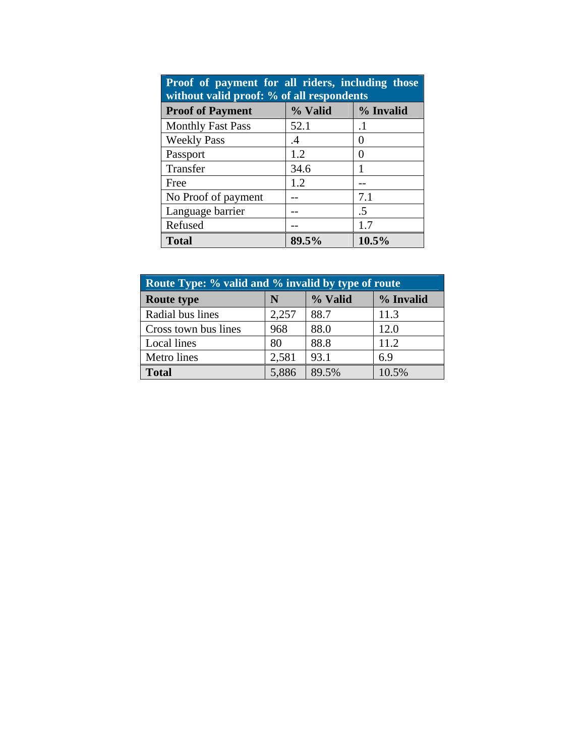| Proof of payment for all riders, including those<br>without valid proof: % of all respondents |           |               |  |  |  |
|-----------------------------------------------------------------------------------------------|-----------|---------------|--|--|--|
| <b>Proof of Payment</b>                                                                       | % Valid   | % Invalid     |  |  |  |
| <b>Monthly Fast Pass</b>                                                                      | 52.1      | $\cdot$ 1     |  |  |  |
| <b>Weekly Pass</b>                                                                            | $\cdot$ 4 | $\mathcal{O}$ |  |  |  |
| Passport                                                                                      | 1.2       | 0             |  |  |  |
| Transfer                                                                                      | 34.6      |               |  |  |  |
| Free                                                                                          | 1.2       |               |  |  |  |
| No Proof of payment                                                                           |           | 7.1           |  |  |  |
| Language barrier                                                                              |           | .5            |  |  |  |
| Refused                                                                                       |           | 1.7           |  |  |  |
| <b>Total</b>                                                                                  | 89.5%     | 10.5%         |  |  |  |

| Route Type: % valid and % invalid by type of route |       |         |           |  |  |  |
|----------------------------------------------------|-------|---------|-----------|--|--|--|
| <b>Route type</b>                                  | N     | % Valid | % Invalid |  |  |  |
| Radial bus lines                                   | 2,257 | 88.7    | 11.3      |  |  |  |
| Cross town bus lines                               | 968   | 88.0    | 12.0      |  |  |  |
| Local lines                                        | 80    | 88.8    | 11.2      |  |  |  |
| Metro lines                                        | 2,581 | 93.1    | 6.9       |  |  |  |
| <b>Total</b>                                       | 5,886 | 89.5%   | 10.5%     |  |  |  |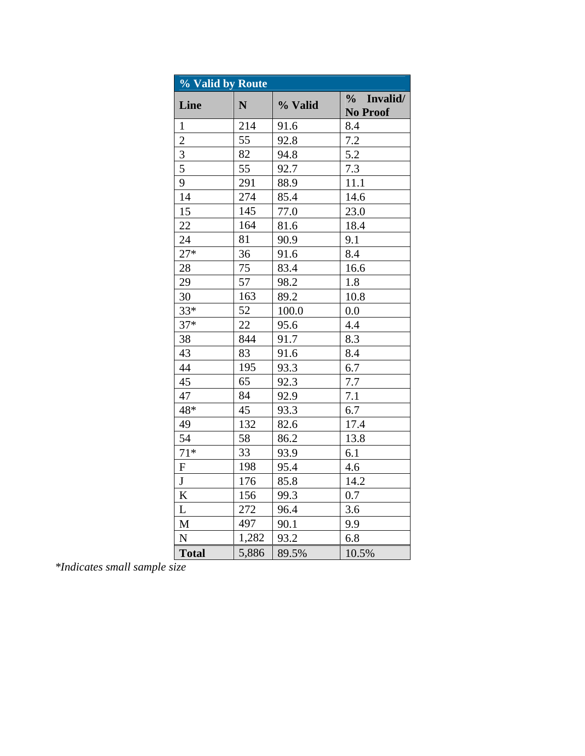| % Valid by Route |             |         |                                              |  |  |
|------------------|-------------|---------|----------------------------------------------|--|--|
| Line             | $\mathbf N$ | % Valid | Invalid/<br>$\frac{0}{0}$<br><b>No Proof</b> |  |  |
| $\mathbf{1}$     | 214         | 91.6    | 8.4                                          |  |  |
| $\overline{2}$   | 55          | 92.8    | 7.2                                          |  |  |
| $\overline{3}$   | 82          | 94.8    | 5.2                                          |  |  |
| $\overline{5}$   | 55          | 92.7    | 7.3                                          |  |  |
| 9                | 291         | 88.9    | 11.1                                         |  |  |
| 14               | 274         | 85.4    | 14.6                                         |  |  |
| 15               | 145         | 77.0    | 23.0                                         |  |  |
| 22               | 164         | 81.6    | 18.4                                         |  |  |
| 24               | 81          | 90.9    | 9.1                                          |  |  |
| $27*$            | 36          | 91.6    | 8.4                                          |  |  |
| 28               | 75          | 83.4    | 16.6                                         |  |  |
| 29               | 57          | 98.2    | 1.8                                          |  |  |
| 30               | 163         | 89.2    | 10.8                                         |  |  |
| $33*$            | 52          | 100.0   | 0.0                                          |  |  |
| $37*$            | 22          | 95.6    | 4.4                                          |  |  |
| 38               | 844         | 91.7    | 8.3                                          |  |  |
| 43               | 83          | 91.6    | 8.4                                          |  |  |
| 44               | 195         | 93.3    | 6.7                                          |  |  |
| 45               | 65          | 92.3    | 7.7                                          |  |  |
| 47               | 84          | 92.9    | 7.1                                          |  |  |
| 48*              | 45          | 93.3    | 6.7                                          |  |  |
| 49               | 132         | 82.6    | 17.4                                         |  |  |
| 54               | 58          | 86.2    | 13.8                                         |  |  |
| $71*$            | 33          | 93.9    | 6.1                                          |  |  |
| ${\bf F}$        | 198         | 95.4    | 4.6                                          |  |  |
| J                | 176         | 85.8    | 14.2                                         |  |  |
| K                | 156         | 99.3    | 0.7                                          |  |  |
| L                | 272         | 96.4    | 3.6                                          |  |  |
| $\mathbf{M}$     | 497         | 90.1    | 9.9                                          |  |  |
| ${\bf N}$        | 1,282       | 93.2    | 6.8                                          |  |  |
| <b>Total</b>     | 5,886       | 89.5%   | 10.5%                                        |  |  |

*\*Indicates small sample size*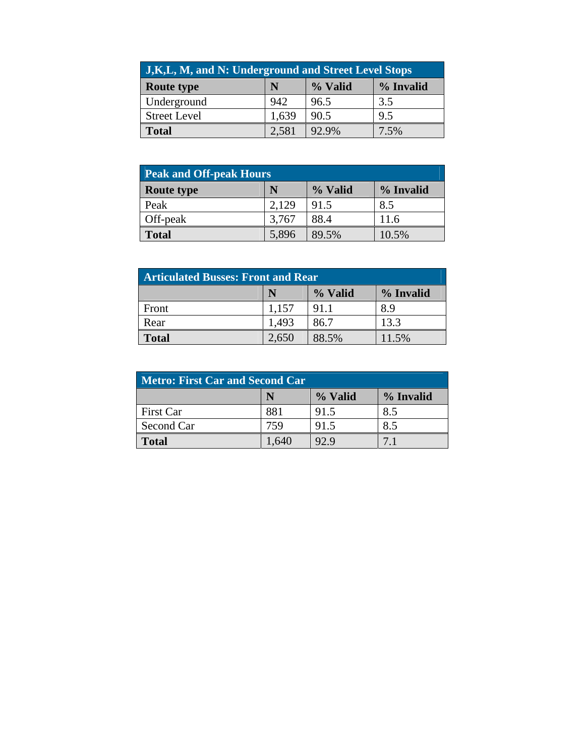| <b>J,K,L, M, and N: Underground and Street Level Stops</b> |       |         |           |  |  |
|------------------------------------------------------------|-------|---------|-----------|--|--|
| <b>Route type</b>                                          | N     | % Valid | % Invalid |  |  |
| Underground                                                | 942   | 96.5    | 3.5       |  |  |
| <b>Street Level</b>                                        | 1,639 | 90.5    | 9.5       |  |  |
| <b>Total</b>                                               | 2,581 | 92.9%   | 7.5%      |  |  |

| <b>Peak and Off-peak Hours</b> |       |         |           |  |  |  |
|--------------------------------|-------|---------|-----------|--|--|--|
| <b>Route type</b>              | N     | % Valid | % Invalid |  |  |  |
| Peak                           | 2,129 | 91.5    | 8.5       |  |  |  |
| Off-peak                       | 3,767 | 88.4    | 11.6      |  |  |  |
| <b>Total</b>                   | 5,896 | 89.5%   | 10.5%     |  |  |  |

| <b>Articulated Busses: Front and Rear</b> |       |         |           |  |  |
|-------------------------------------------|-------|---------|-----------|--|--|
|                                           | N     | % Valid | % Invalid |  |  |
| Front                                     | 1,157 | 91.1    | 8.9       |  |  |
| Rear                                      | 1,493 | 86.7    | 13.3      |  |  |
| <b>Total</b>                              | 2,650 | 88.5%   | 11.5%     |  |  |

| <b>Metro: First Car and Second Car</b> |      |         |           |  |  |
|----------------------------------------|------|---------|-----------|--|--|
|                                        | N    | % Valid | % Invalid |  |  |
| First Car                              | 881  | 91.5    | 8.5       |  |  |
| Second Car                             | 759  | 91.5    | 8.5       |  |  |
| <b>Total</b>                           | .640 | 92.9    |           |  |  |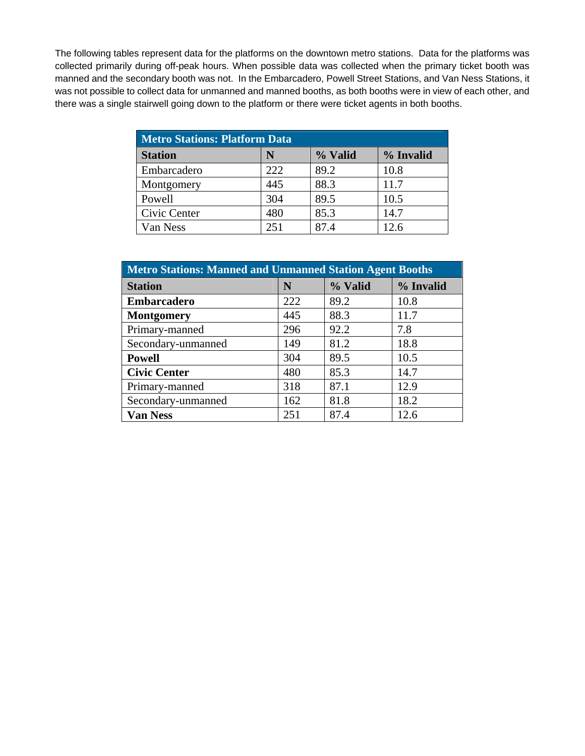The following tables represent data for the platforms on the downtown metro stations. Data for the platforms was collected primarily during off-peak hours. When possible data was collected when the primary ticket booth was manned and the secondary booth was not. In the Embarcadero, Powell Street Stations, and Van Ness Stations, it was not possible to collect data for unmanned and manned booths, as both booths were in view of each other, and there was a single stairwell going down to the platform or there were ticket agents in both booths.

| <b>Metro Stations: Platform Data</b> |     |         |           |  |  |
|--------------------------------------|-----|---------|-----------|--|--|
| <b>Station</b>                       | N   | % Valid | % Invalid |  |  |
| Embarcadero                          | 222 | 89.2    | 10.8      |  |  |
| Montgomery                           | 445 | 88.3    | 11.7      |  |  |
| Powell                               | 304 | 89.5    | 10.5      |  |  |
| Civic Center                         | 480 | 85.3    | 14.7      |  |  |
| Van Ness                             | 251 | 87.4    | 12.6      |  |  |

| Metro Stations: Manned and Unmanned Station Agent Booths |     |         |           |  |  |
|----------------------------------------------------------|-----|---------|-----------|--|--|
| <b>Station</b>                                           | N   | % Valid | % Invalid |  |  |
| <b>Embarcadero</b>                                       | 222 | 89.2    | 10.8      |  |  |
| <b>Montgomery</b>                                        | 445 | 88.3    | 11.7      |  |  |
| Primary-manned                                           | 296 | 92.2    | 7.8       |  |  |
| Secondary-unmanned                                       | 149 | 81.2    | 18.8      |  |  |
| <b>Powell</b>                                            | 304 | 89.5    | 10.5      |  |  |
| <b>Civic Center</b>                                      | 480 | 85.3    | 14.7      |  |  |
| Primary-manned                                           | 318 | 87.1    | 12.9      |  |  |
| Secondary-unmanned                                       | 162 | 81.8    | 18.2      |  |  |
| <b>Van Ness</b>                                          | 251 | 87.4    | 12.6      |  |  |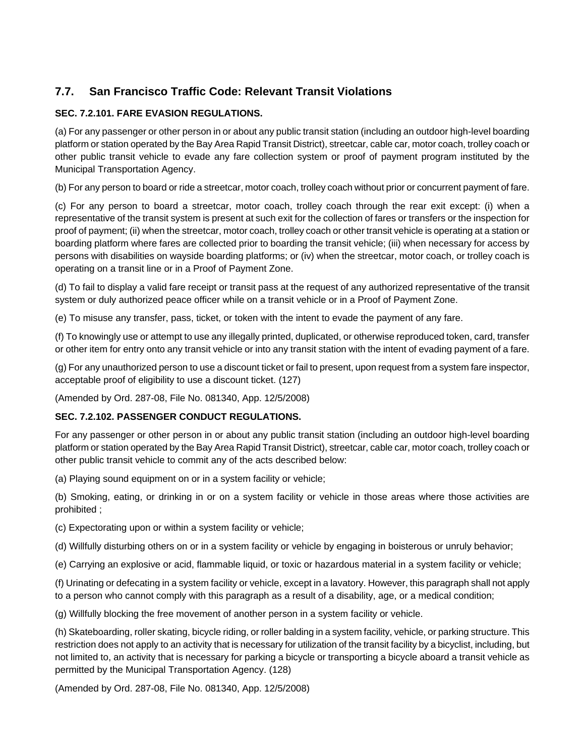# **7.7. San Francisco Traffic Code: Relevant Transit Violations**

## **SEC. 7.2.101. FARE EVASION REGULATIONS.**

(a) For any passenger or other person in or about any public transit station (including an outdoor high-level boarding platform or station operated by the Bay Area Rapid Transit District), streetcar, cable car, motor coach, trolley coach or other public transit vehicle to evade any fare collection system or proof of payment program instituted by the Municipal Transportation Agency.

(b) For any person to board or ride a streetcar, motor coach, trolley coach without prior or concurrent payment of fare.

(c) For any person to board a streetcar, motor coach, trolley coach through the rear exit except: (i) when a representative of the transit system is present at such exit for the collection of fares or transfers or the inspection for proof of payment; (ii) when the streetcar, motor coach, trolley coach or other transit vehicle is operating at a station or boarding platform where fares are collected prior to boarding the transit vehicle; (iii) when necessary for access by persons with disabilities on wayside boarding platforms; or (iv) when the streetcar, motor coach, or trolley coach is operating on a transit line or in a Proof of Payment Zone.

(d) To fail to display a valid fare receipt or transit pass at the request of any authorized representative of the transit system or duly authorized peace officer while on a transit vehicle or in a Proof of Payment Zone.

(e) To misuse any transfer, pass, ticket, or token with the intent to evade the payment of any fare.

(f) To knowingly use or attempt to use any illegally printed, duplicated, or otherwise reproduced token, card, transfer or other item for entry onto any transit vehicle or into any transit station with the intent of evading payment of a fare.

(g) For any unauthorized person to use a discount ticket or fail to present, upon request from a system fare inspector, acceptable proof of eligibility to use a discount ticket. (127)

(Amended by Ord. 287-08, File No. 081340, App. 12/5/2008)

## **SEC. 7.2.102. PASSENGER CONDUCT REGULATIONS.**

For any passenger or other person in or about any public transit station (including an outdoor high-level boarding platform or station operated by the Bay Area Rapid Transit District), streetcar, cable car, motor coach, trolley coach or other public transit vehicle to commit any of the acts described below:

(a) Playing sound equipment on or in a system facility or vehicle;

(b) Smoking, eating, or drinking in or on a system facility or vehicle in those areas where those activities are prohibited ;

(c) Expectorating upon or within a system facility or vehicle;

(d) Willfully disturbing others on or in a system facility or vehicle by engaging in boisterous or unruly behavior;

(e) Carrying an explosive or acid, flammable liquid, or toxic or hazardous material in a system facility or vehicle;

(f) Urinating or defecating in a system facility or vehicle, except in a lavatory. However, this paragraph shall not apply to a person who cannot comply with this paragraph as a result of a disability, age, or a medical condition;

(g) Willfully blocking the free movement of another person in a system facility or vehicle.

(h) Skateboarding, roller skating, bicycle riding, or roller balding in a system facility, vehicle, or parking structure. This restriction does not apply to an activity that is necessary for utilization of the transit facility by a bicyclist, including, but not limited to, an activity that is necessary for parking a bicycle or transporting a bicycle aboard a transit vehicle as permitted by the Municipal Transportation Agency. (128)

(Amended by Ord. 287-08, File No. 081340, App. 12/5/2008)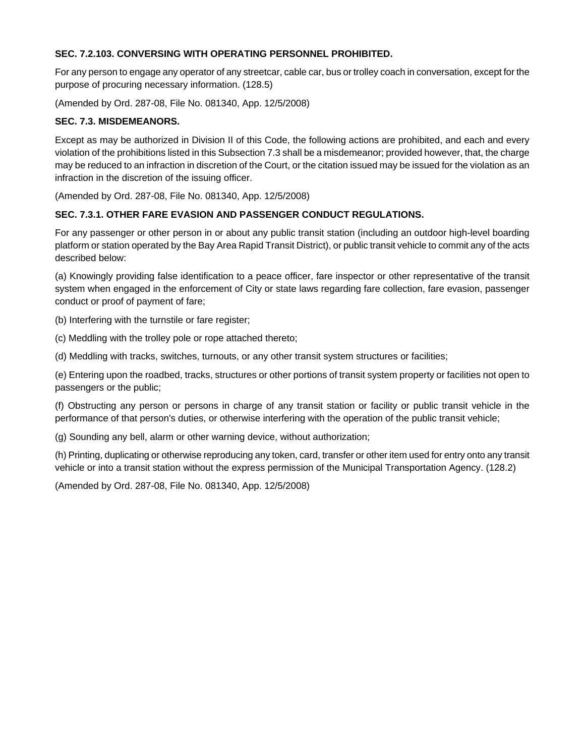## **SEC. 7.2.103. CONVERSING WITH OPERATING PERSONNEL PROHIBITED.**

For any person to engage any operator of any streetcar, cable car, bus or trolley coach in conversation, except for the purpose of procuring necessary information. (128.5)

(Amended by Ord. 287-08, File No. 081340, App. 12/5/2008)

## **SEC. 7.3. MISDEMEANORS.**

Except as may be authorized in Division II of this Code, the following actions are prohibited, and each and every violation of the prohibitions listed in this Subsection 7.3 shall be a misdemeanor; provided however, that, the charge may be reduced to an infraction in discretion of the Court, or the citation issued may be issued for the violation as an infraction in the discretion of the issuing officer.

(Amended by Ord. 287-08, File No. 081340, App. 12/5/2008)

## **SEC. 7.3.1. OTHER FARE EVASION AND PASSENGER CONDUCT REGULATIONS.**

For any passenger or other person in or about any public transit station (including an outdoor high-level boarding platform or station operated by the Bay Area Rapid Transit District), or public transit vehicle to commit any of the acts described below:

(a) Knowingly providing false identification to a peace officer, fare inspector or other representative of the transit system when engaged in the enforcement of City or state laws regarding fare collection, fare evasion, passenger conduct or proof of payment of fare;

(b) Interfering with the turnstile or fare register;

(c) Meddling with the trolley pole or rope attached thereto;

(d) Meddling with tracks, switches, turnouts, or any other transit system structures or facilities;

(e) Entering upon the roadbed, tracks, structures or other portions of transit system property or facilities not open to passengers or the public;

(f) Obstructing any person or persons in charge of any transit station or facility or public transit vehicle in the performance of that person's duties, or otherwise interfering with the operation of the public transit vehicle;

(g) Sounding any bell, alarm or other warning device, without authorization;

(h) Printing, duplicating or otherwise reproducing any token, card, transfer or other item used for entry onto any transit vehicle or into a transit station without the express permission of the Municipal Transportation Agency. (128.2)

(Amended by Ord. 287-08, File No. 081340, App. 12/5/2008)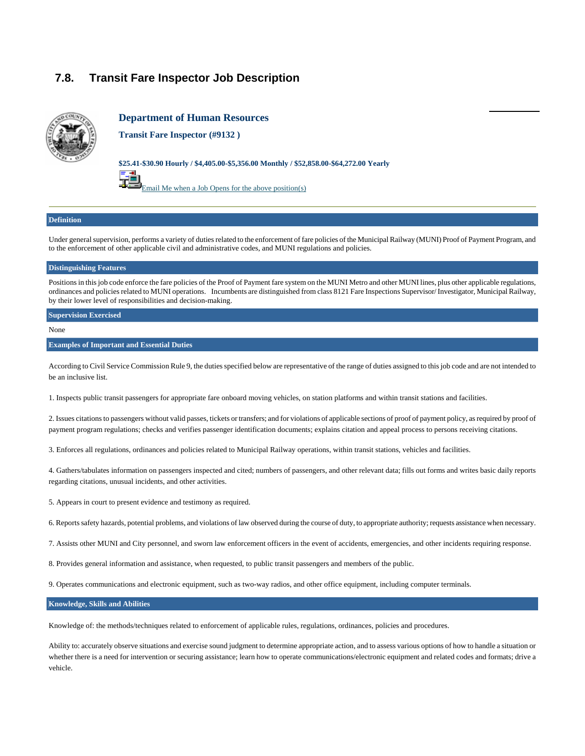# **7.8. Tran[sit Far](http://www.jobaps.com/SF/auditor/notify.asp?Code=%279132%27&BulletinTitle=Transit+Fare+Inspector%2C)e Inspector Job Description**



### **Department of Human Resources**

**Transit Fare Inspector (#9132 )**

#### **\$25.41-\$30.90 Hourly / \$4,405.00-\$5,356.00 Monthly / \$52,858.00-\$64,272.00 Yearly**



#### **Definition**

Under general supervision, performs a variety of duties related to the enforcement of fare policies of the Municipal Railway (MUNI) Proof of Payment Program, and to the enforcement of other applicable civil and administrative codes, and MUNI regulations and policies.

#### **Distinguishing Features**

Positions in this job code enforce the fare policies of the Proof of Payment fare system on the MUNI Metro and other MUNI lines, plus other applicable regulations, ordinances and policies related to MUNI operations. Incumbents are distinguished from class 8121 Fare Inspections Supervisor/ Investigator, Municipal Railway, by their lower level of responsibilities and decision-making.

#### **Supervision Exercised**

None

#### **Examples of Important and Essential Duties**

According to Civil Service Commission Rule 9, the duties specified below are representative of the range of duties assigned to this job code and are not intended to be an inclusive list.

1. Inspects public transit passengers for appropriate fare onboard moving vehicles, on station platforms and within transit stations and facilities.

2. Issues citations to passengers without valid passes, tickets or transfers; and for violations of applicable sections of proof of payment policy, as required by proof of payment program regulations; checks and verifies passenger identification documents; explains citation and appeal process to persons receiving citations.

3. Enforces all regulations, ordinances and policies related to Municipal Railway operations, within transit stations, vehicles and facilities.

4. Gathers/tabulates information on passengers inspected and cited; numbers of passengers, and other relevant data; fills out forms and writes basic daily reports regarding citations, unusual incidents, and other activities.

- 5. Appears in court to present evidence and testimony as required.
- 6. Reports safety hazards, potential problems, and violations of law observed during the course of duty, to appropriate authority; requests assistance when necessary.
- 7. Assists other MUNI and City personnel, and sworn law enforcement officers in the event of accidents, emergencies, and other incidents requiring response.
- 8. Provides general information and assistance, when requested, to public transit passengers and members of the public.

9. Operates communications and electronic equipment, such as two-way radios, and other office equipment, including computer terminals.

#### **Knowledge, Skills and Abilities**

Knowledge of: the methods/techniques related to enforcement of applicable rules, regulations, ordinances, policies and procedures.

Ability to: accurately observe situations and exercise sound judgment to determine appropriate action, and to assess various options of how to handle a situation or whether there is a need for intervention or securing assistance; learn how to operate communications/electronic equipment and related codes and formats; drive a vehicle.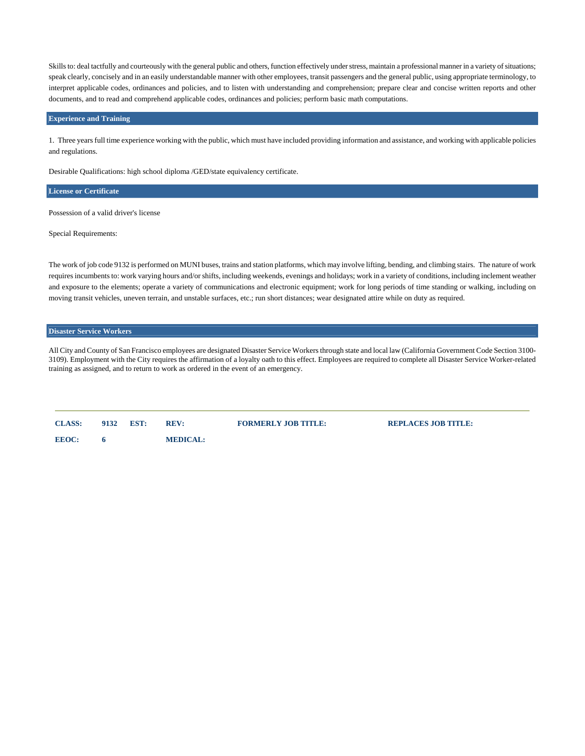Skills to: deal tactfully and courteously with the general public and others, function effectively under stress, maintain a professional manner in a variety of situations; speak clearly, concisely and in an easily understandable manner with other employees, transit passengers and the general public, using appropriate terminology, to interpret applicable codes, ordinances and policies, and to listen with understanding and comprehension; prepare clear and concise written reports and other documents, and to read and comprehend applicable codes, ordinances and policies; perform basic math computations.

#### **Experience and Training**

1. Three years full time experience working with the public, which must have included providing information and assistance, and working with applicable policies and regulations.

Desirable Qualifications: high school diploma /GED/state equivalency certificate.

#### **License or Certificate**

Possession of a valid driver's license

Special Requirements:

The work of job code 9132 is performed on MUNI buses, trains and station platforms, which may involve lifting, bending, and climbing stairs. The nature of work requires incumbents to: work varying hours and/or shifts, including weekends, evenings and holidays; work in a variety of conditions, including inclement weather and exposure to the elements; operate a variety of communications and electronic equipment; work for long periods of time standing or walking, including on moving transit vehicles, uneven terrain, and unstable surfaces, etc.; run short distances; wear designated attire while on duty as required.

### **Disaster Service Workers**

All City and County of San Francisco employees are designated Disaster Service Workers through state and local law (California Government Code Section 3100- 3109). Employment with the City requires the affirmation of a loyalty oath to this effect. Employees are required to complete all Disaster Service Worker-related training as assigned, and to return to work as ordered in the event of an emergency.

| <b>CLASS:</b> | 9132 | EST: | <b>REV:</b>     | <b>FORMERLY JOB TITLE:</b> | <b>REPLACES JOB TITLE:</b> |
|---------------|------|------|-----------------|----------------------------|----------------------------|
| <b>EEOC:</b>  |      |      | <b>MEDICAL:</b> |                            |                            |